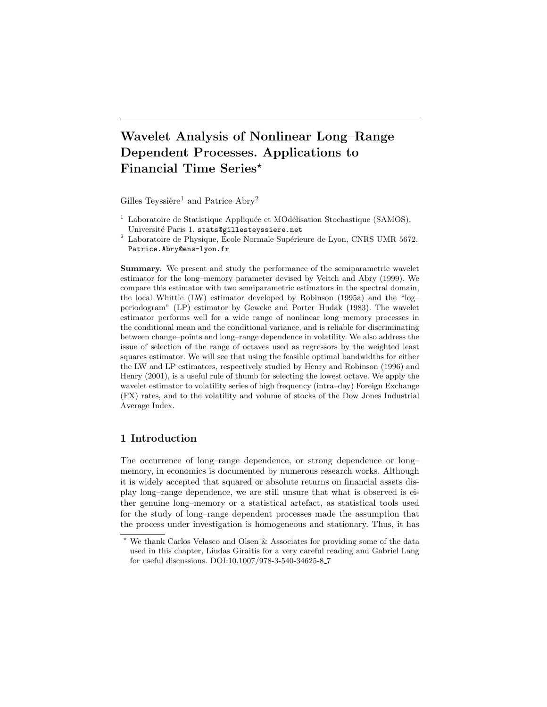# Wavelet Analysis of Nonlinear Long–Range Dependent Processes. Applications to Financial Time Series\*

Gilles Teyssière<sup>1</sup> and Patrice  $\rm{Abry^2}$ 

- <sup>1</sup> Laboratoire de Statistique Appliquée et MOdélisation Stochastique (SAMOS), Université Paris 1. stats@gillesteyssiere.net
- $^2$  Laboratoire de Physique, École Normale Supérieure de Lyon, CNRS UMR 5672. Patrice.Abry@ens-lyon.fr

Summary. We present and study the performance of the semiparametric wavelet estimator for the long–memory parameter devised by Veitch and Abry (1999). We compare this estimator with two semiparametric estimators in the spectral domain, the local Whittle (LW) estimator developed by Robinson (1995a) and the "log– periodogram" (LP) estimator by Geweke and Porter–Hudak (1983). The wavelet estimator performs well for a wide range of nonlinear long–memory processes in the conditional mean and the conditional variance, and is reliable for discriminating between change–points and long–range dependence in volatility. We also address the issue of selection of the range of octaves used as regressors by the weighted least squares estimator. We will see that using the feasible optimal bandwidths for either the LW and LP estimators, respectively studied by Henry and Robinson (1996) and Henry (2001), is a useful rule of thumb for selecting the lowest octave. We apply the wavelet estimator to volatility series of high frequency (intra–day) Foreign Exchange (FX) rates, and to the volatility and volume of stocks of the Dow Jones Industrial Average Index.

## 1 Introduction

The occurrence of long–range dependence, or strong dependence or long– memory, in economics is documented by numerous research works. Although it is widely accepted that squared or absolute returns on financial assets display long–range dependence, we are still unsure that what is observed is either genuine long–memory or a statistical artefact, as statistical tools used for the study of long–range dependent processes made the assumption that the process under investigation is homogeneous and stationary. Thus, it has

<sup>⋆</sup> We thank Carlos Velasco and Olsen & Associates for providing some of the data used in this chapter, Liudas Giraitis for a very careful reading and Gabriel Lang for useful discussions. DOI:10.1007/978-3-540-34625-8 7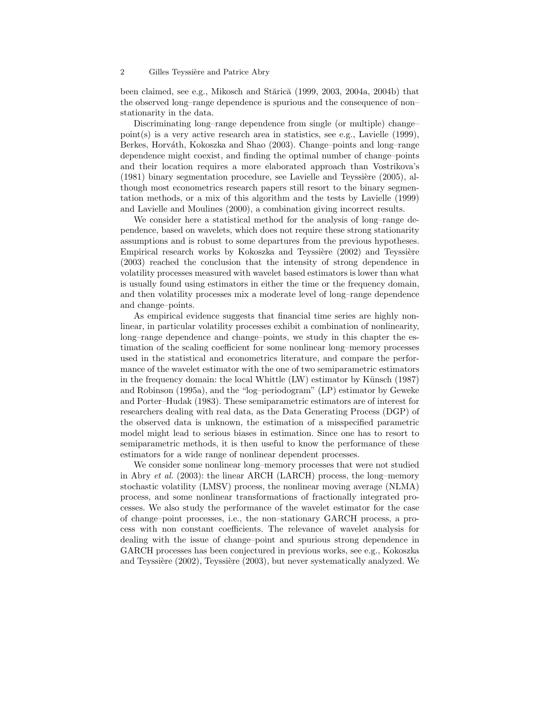been claimed, see e.g., Mikosch and Stărică  $(1999, 2003, 2004a, 2004b)$  that the observed long–range dependence is spurious and the consequence of non– stationarity in the data.

Discriminating long–range dependence from single (or multiple) change– point(s) is a very active research area in statistics, see e.g., Lavielle (1999), Berkes, Horváth, Kokoszka and Shao (2003). Change–points and long–range dependence might coexist, and finding the optimal number of change–points and their location requires a more elaborated approach than Vostrikova's  $(1981)$  binary segmentation procedure, see Lavielle and Teyssière  $(2005)$ , although most econometrics research papers still resort to the binary segmentation methods, or a mix of this algorithm and the tests by Lavielle (1999) and Lavielle and Moulines (2000), a combination giving incorrect results.

We consider here a statistical method for the analysis of long–range dependence, based on wavelets, which does not require these strong stationarity assumptions and is robust to some departures from the previous hypotheses. Empirical research works by Kokoszka and Teyssière  $(2002)$  and Teyssière (2003) reached the conclusion that the intensity of strong dependence in volatility processes measured with wavelet based estimators is lower than what is usually found using estimators in either the time or the frequency domain, and then volatility processes mix a moderate level of long–range dependence and change–points.

As empirical evidence suggests that financial time series are highly nonlinear, in particular volatility processes exhibit a combination of nonlinearity, long–range dependence and change–points, we study in this chapter the estimation of the scaling coefficient for some nonlinear long–memory processes used in the statistical and econometrics literature, and compare the performance of the wavelet estimator with the one of two semiparametric estimators in the frequency domain: the local Whittle  $(LW)$  estimator by Künsch (1987) and Robinson (1995a), and the "log–periodogram" (LP) estimator by Geweke and Porter–Hudak (1983). These semiparametric estimators are of interest for researchers dealing with real data, as the Data Generating Process (DGP) of the observed data is unknown, the estimation of a misspecified parametric model might lead to serious biases in estimation. Since one has to resort to semiparametric methods, it is then useful to know the performance of these estimators for a wide range of nonlinear dependent processes.

We consider some nonlinear long–memory processes that were not studied in Abry et al. (2003): the linear ARCH (LARCH) process, the long–memory stochastic volatility (LMSV) process, the nonlinear moving average (NLMA) process, and some nonlinear transformations of fractionally integrated processes. We also study the performance of the wavelet estimator for the case of change–point processes, i.e., the non–stationary GARCH process, a process with non constant coefficients. The relevance of wavelet analysis for dealing with the issue of change–point and spurious strong dependence in GARCH processes has been conjectured in previous works, see e.g., Kokoszka and Teyssière  $(2002)$ , Teyssière  $(2003)$ , but never systematically analyzed. We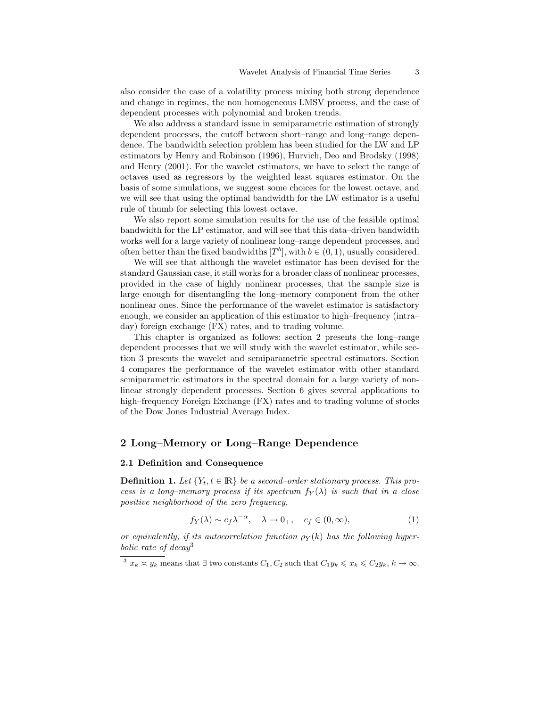also consider the case of a volatility process mixing both strong dependence and change in regimes, the non homogeneous LMSV process, and the case of dependent processes with polynomial and broken trends.

We also address a standard issue in semiparametric estimation of strongly dependent processes, the cutoff between short–range and long–range dependence. The bandwidth selection problem has been studied for the LW and LP estimators by Henry and Robinson (1996), Hurvich, Deo and Brodsky (1998) and Henry (2001). For the wavelet estimators, we have to select the range of octaves used as regressors by the weighted least squares estimator. On the basis of some simulations, we suggest some choices for the lowest octave, and we will see that using the optimal bandwidth for the LW estimator is a useful rule of thumb for selecting this lowest octave.

We also report some simulation results for the use of the feasible optimal bandwidth for the LP estimator, and will see that this data–driven bandwidth works well for a large variety of nonlinear long–range dependent processes, and often better than the fixed bandwidths  $[T^b]$ , with  $b \in (0, 1)$ , usually considered.

We will see that although the wavelet estimator has been devised for the standard Gaussian case, it still works for a broader class of nonlinear processes, provided in the case of highly nonlinear processes, that the sample size is large enough for disentangling the long–memory component from the other nonlinear ones. Since the performance of the wavelet estimator is satisfactory enough, we consider an application of this estimator to high–frequency (intra– day) foreign exchange (FX) rates, and to trading volume.

This chapter is organized as follows: section 2 presents the long–range dependent processes that we will study with the wavelet estimator, while section 3 presents the wavelet and semiparametric spectral estimators. Section 4 compares the performance of the wavelet estimator with other standard semiparametric estimators in the spectral domain for a large variety of nonlinear strongly dependent processes. Section 6 gives several applications to high–frequency Foreign Exchange (FX) rates and to trading volume of stocks of the Dow Jones Industrial Average Index.

## 2 Long–Memory or Long–Range Dependence

## 2.1 Definition and Consequence

**Definition 1.** Let  ${Y_t, t \in \mathbb{R}}$  be a second–order stationary process. This process is a long-memory process if its spectrum  $f_Y(\lambda)$  is such that in a close positive neighborhood of the zero frequency,

$$
f_Y(\lambda) \sim c_f \lambda^{-\alpha}, \quad \lambda \to 0_+, \quad c_f \in (0, \infty), \tag{1}
$$

or equivalently, if its autocorrelation function  $\rho_Y(k)$  has the following hyperbolic rate of decay<sup>3</sup>

<sup>&</sup>lt;sup>3</sup>  $x_k \approx y_k$  means that  $\exists$  two constants  $C_1, C_2$  such that  $C_1y_k \leqslant x_k \leqslant C_2y_k$ ,  $k \to \infty$ .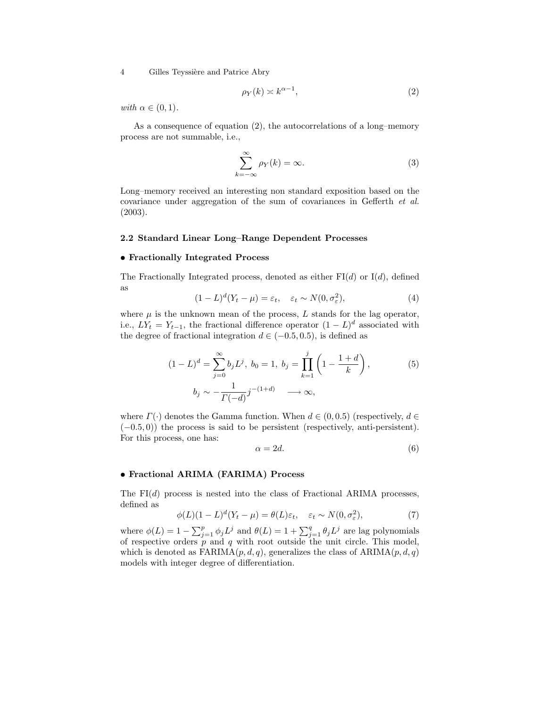$$
\rho_Y(k) \asymp k^{\alpha - 1},\tag{2}
$$

with  $\alpha \in (0,1)$ .

As a consequence of equation (2), the autocorrelations of a long–memory process are not summable, i.e.,

$$
\sum_{k=-\infty}^{\infty} \rho_Y(k) = \infty.
$$
 (3)

Long–memory received an interesting non standard exposition based on the covariance under aggregation of the sum of covariances in Gefferth et al. (2003).

#### 2.2 Standard Linear Long–Range Dependent Processes

#### • Fractionally Integrated Process

The Fractionally Integrated process, denoted as either  $FI(d)$  or  $I(d)$ , defined as

$$
(1 - L)^d (Y_t - \mu) = \varepsilon_t, \quad \varepsilon_t \sim N(0, \sigma_\varepsilon^2), \tag{4}
$$

where  $\mu$  is the unknown mean of the process,  $L$  stands for the lag operator, i.e.,  $LY_t = Y_{t-1}$ , the fractional difference operator  $(1 - L)^d$  associated with the degree of fractional integration  $d \in (-0.5, 0.5)$ , is defined as

$$
(1 - L)^d = \sum_{j=0}^{\infty} b_j L^j, \ b_0 = 1, \ b_j = \prod_{k=1}^j \left( 1 - \frac{1+d}{k} \right),
$$
  

$$
b_j \sim -\frac{1}{\Gamma(-d)} j^{-(1+d)} \longrightarrow \infty,
$$
 (5)

where  $\Gamma(\cdot)$  denotes the Gamma function. When  $d \in (0, 0.5)$  (respectively,  $d \in$  $(-0.5, 0)$ ) the process is said to be persistent (respectively, anti-persistent). For this process, one has:

$$
\alpha = 2d.\tag{6}
$$

### • Fractional ARIMA (FARIMA) Process

The  $FI(d)$  process is nested into the class of Fractional ARIMA processes, defined as

$$
\phi(L)(1-L)^d(Y_t-\mu) = \theta(L)\varepsilon_t, \quad \varepsilon_t \sim N(0, \sigma_{\varepsilon}^2), \tag{7}
$$

where  $\phi(L) = 1 - \sum_{j=1}^{p} \phi_j L^j$  and  $\theta(L) = 1 + \sum_{j=1}^{q} \theta_j L^j$  are lag polynomials of respective orders  $p$  and  $q$  with root outside the unit circle. This model, which is denoted as  $FARIMA(p,d,q)$ , generalizes the class of  $ARIMA(p,d,q)$ models with integer degree of differentiation.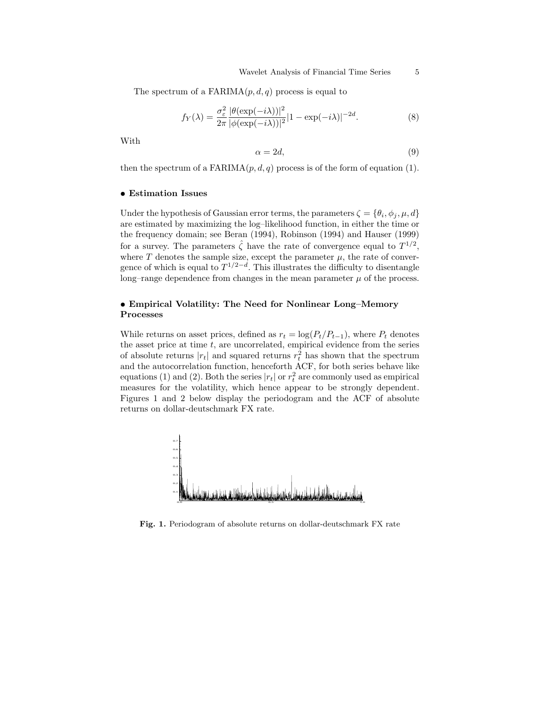The spectrum of a  $FARIMA(p,d,q)$  process is equal to

$$
f_Y(\lambda) = \frac{\sigma_{\varepsilon}^2}{2\pi} \frac{|\theta(\exp(-i\lambda))|^2}{|\phi(\exp(-i\lambda))|^2} |1 - \exp(-i\lambda)|^{-2d}.
$$
 (8)

With

$$
\alpha = 2d,\tag{9}
$$

then the spectrum of a FARIMA $(p, d, q)$  process is of the form of equation (1).

### • Estimation Issues

Under the hypothesis of Gaussian error terms, the parameters  $\zeta = {\theta_i, \phi_j, \mu, d}$ are estimated by maximizing the log–likelihood function, in either the time or the frequency domain; see Beran (1994), Robinson (1994) and Hauser (1999) for a survey. The parameters  $\hat{\zeta}$  have the rate of convergence equal to  $T^{1/2}$ , where T denotes the sample size, except the parameter  $\mu$ , the rate of convergence of which is equal to  $T^{1/2-d}$ . This illustrates the difficulty to disentangle long–range dependence from changes in the mean parameter  $\mu$  of the process.

## • Empirical Volatility: The Need for Nonlinear Long–Memory Processes

While returns on asset prices, defined as  $r_t = \log(P_t/P_{t-1})$ , where  $P_t$  denotes the asset price at time  $t$ , are uncorrelated, empirical evidence from the series of absolute returns  $|r_t|$  and squared returns  $r_t^2$  has shown that the spectrum and the autocorrelation function, henceforth ACF, for both series behave like equations (1) and (2). Both the series  $|r_t|$  or  $r_t^2$  are commonly used as empirical measures for the volatility, which hence appear to be strongly dependent. Figures 1 and 2 below display the periodogram and the ACF of absolute returns on dollar-deutschmark FX rate.



Fig. 1. Periodogram of absolute returns on dollar-deutschmark FX rate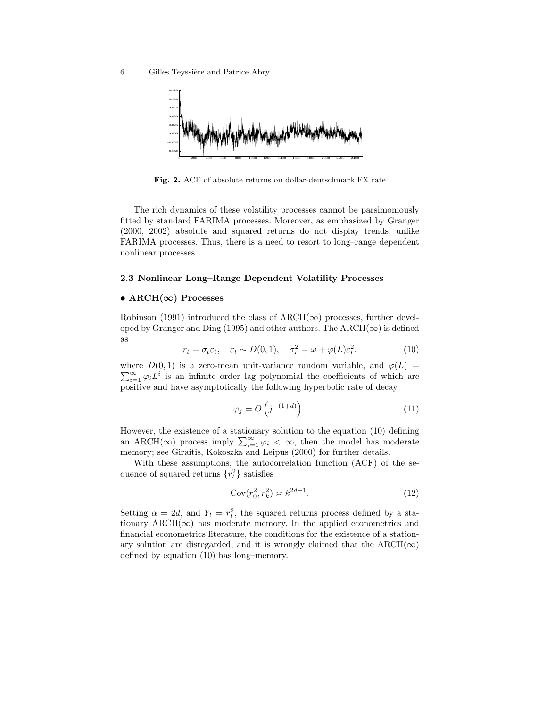

Fig. 2. ACF of absolute returns on dollar-deutschmark FX rate

The rich dynamics of these volatility processes cannot be parsimoniously fitted by standard FARIMA processes. Moreover, as emphasized by Granger (2000, 2002) absolute and squared returns do not display trends, unlike FARIMA processes. Thus, there is a need to resort to long–range dependent nonlinear processes.

### 2.3 Nonlinear Long–Range Dependent Volatility Processes

### • ARCH( $\infty$ ) Processes

Robinson (1991) introduced the class of  $\text{ARCH}(\infty)$  processes, further developed by Granger and Ding (1995) and other authors. The ARCH( $\infty$ ) is defined as

$$
r_t = \sigma_t \varepsilon_t, \quad \varepsilon_t \sim D(0, 1), \quad \sigma_t^2 = \omega + \varphi(L)\varepsilon_t^2,\tag{10}
$$

where  $D(0,1)$  is a zero-mean unit-variance random variable, and  $\varphi(L)$  $\sum_{i=1}^{\infty} \varphi_i L^i$  is an infinite order lag polynomial the coefficients of which are positive and have asymptotically the following hyperbolic rate of decay

$$
\varphi_j = O\left(j^{-(1+d)}\right). \tag{11}
$$

However, the existence of a stationary solution to the equation (10) defining an ARCH( $\infty$ ) process imply  $\sum_{i=1}^{\infty} \varphi_i < \infty$ , then the model has moderate memory; see Giraitis, Kokoszka and Leipus (2000) for further details.

With these assumptions, the autocorrelation function (ACF) of the sequence of squared returns  $\{r_t^2\}$  satisfies

$$
Cov(r_0^2, r_k^2) \asymp k^{2d-1}.\tag{12}
$$

Setting  $\alpha = 2d$ , and  $Y_t = r_t^2$ , the squared returns process defined by a stationary  $\text{ARCH}(\infty)$  has moderate memory. In the applied econometrics and financial econometrics literature, the conditions for the existence of a stationary solution are disregarded, and it is wrongly claimed that the  $\text{ARCH}(\infty)$ defined by equation (10) has long–memory.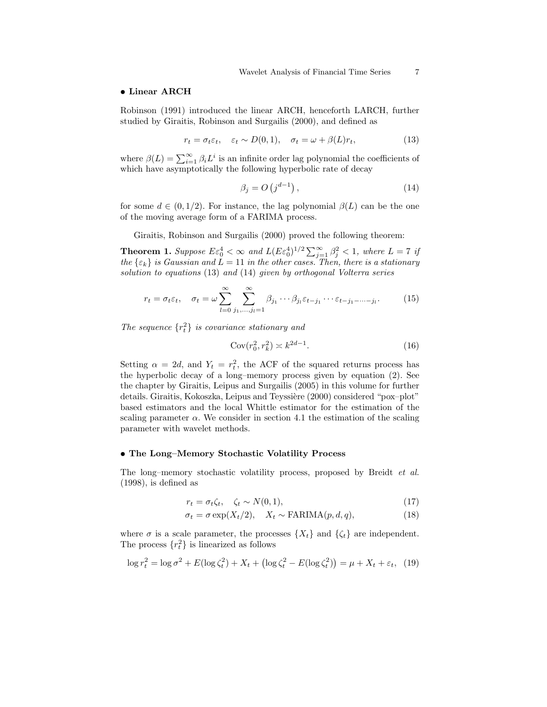#### • Linear ARCH

Robinson (1991) introduced the linear ARCH, henceforth LARCH, further studied by Giraitis, Robinson and Surgailis (2000), and defined as

$$
r_t = \sigma_t \varepsilon_t, \quad \varepsilon_t \sim D(0, 1), \quad \sigma_t = \omega + \beta(L)r_t,
$$
\n(13)

where  $\beta(L) = \sum_{i=1}^{\infty} \beta_i L^i$  is an infinite order lag polynomial the coefficients of which have asymptotically the following hyperbolic rate of decay

$$
\beta_j = O\left(j^{d-1}\right),\tag{14}
$$

for some  $d \in (0, 1/2)$ . For instance, the lag polynomial  $\beta(L)$  can be the one of the moving average form of a FARIMA process.

Giraitis, Robinson and Surgailis (2000) proved the following theorem:

**Theorem 1.** Suppose  $E \varepsilon_0^4 < \infty$  and  $L(E \varepsilon_0^4)^{1/2} \sum_{j=1}^{\infty} \beta_j^2 < 1$ , where  $L = 7$  if the  $\{\varepsilon_k\}$  is Gaussian and  $L = 11$  in the other cases. Then, there is a stationary solution to equations (13) and (14) given by orthogonal Volterra series

$$
r_t = \sigma_t \varepsilon_t, \quad \sigma_t = \omega \sum_{l=0}^{\infty} \sum_{j_1, \dots, j_l=1}^{\infty} \beta_{j_1} \cdots \beta_{j_l} \varepsilon_{t-j_1} \cdots \varepsilon_{t-j_1 - \dots - j_l}.
$$
 (15)

The sequence  $\{r_t^2\}$  is covariance stationary and

$$
Cov(r_0^2, r_k^2) \asymp k^{2d-1}.\tag{16}
$$

Setting  $\alpha = 2d$ , and  $Y_t = r_t^2$ , the ACF of the squared returns process has the hyperbolic decay of a long–memory process given by equation (2). See the chapter by Giraitis, Leipus and Surgailis (2005) in this volume for further details. Giraitis, Kokoszka, Leipus and Teyssière (2000) considered "pox-plot" based estimators and the local Whittle estimator for the estimation of the scaling parameter  $\alpha$ . We consider in section 4.1 the estimation of the scaling parameter with wavelet methods.

#### • The Long–Memory Stochastic Volatility Process

The long–memory stochastic volatility process, proposed by Breidt et al. (1998), is defined as

$$
r_t = \sigma_t \zeta_t, \quad \zeta_t \sim N(0, 1), \tag{17}
$$

$$
\sigma_t = \sigma \exp(X_t/2), \quad X_t \sim \text{FARIMA}(p, d, q), \tag{18}
$$

where  $\sigma$  is a scale parameter, the processes  $\{X_t\}$  and  $\{\zeta_t\}$  are independent. The process  $\{r_t^2\}$  is linearized as follows

$$
\log r_t^2 = \log \sigma^2 + E(\log \zeta_t^2) + X_t + (\log \zeta_t^2 - E(\log \zeta_t^2)) = \mu + X_t + \varepsilon_t, (19)
$$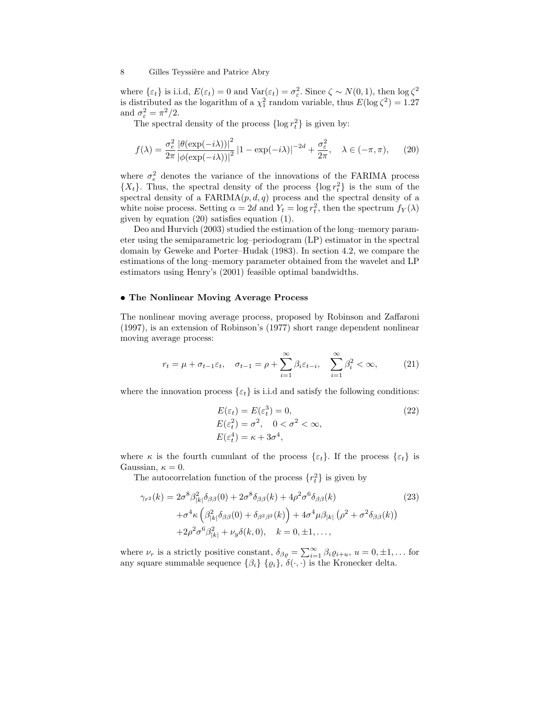where  $\{\varepsilon_t\}$  is i.i.d,  $E(\varepsilon_t) = 0$  and  $\text{Var}(\varepsilon_t) = \sigma_{\varepsilon}^2$ . Since  $\zeta \sim N(0, 1)$ , then  $\log \zeta^2$ is distributed as the logarithm of a  $\chi_1^2$  random variable, thus  $E(\log \zeta^2) = 1.27$ and  $\sigma_{\varepsilon}^2 = \pi^2/2$ .

The spectral density of the process  $\{\log r_t^2\}$  is given by:

$$
f(\lambda) = \frac{\sigma_{\varepsilon}^2}{2\pi} \frac{\left|\theta(\exp(-i\lambda))\right|^2}{\left|\phi(\exp(-i\lambda))\right|^2} \left|1 - \exp(-i\lambda)\right|^{-2d} + \frac{\sigma_{\varepsilon}^2}{2\pi}, \quad \lambda \in (-\pi, \pi), \tag{20}
$$

where  $\sigma_e^2$  denotes the variance of the innovations of the FARIMA process  $\{X_t\}$ . Thus, the spectral density of the process  $\{\log r_t^2\}$  is the sum of the spectral density of a  $FARIMA(p,d,q)$  process and the spectral density of a white noise process. Setting  $\alpha = 2d$  and  $Y_t = \log r_t^2$ , then the spectrum  $f_Y(\lambda)$ given by equation (20) satisfies equation (1).

Deo and Hurvich (2003) studied the estimation of the long–memory parameter using the semiparametric log–periodogram (LP) estimator in the spectral domain by Geweke and Porter–Hudak (1983). In section 4.2, we compare the estimations of the long–memory parameter obtained from the wavelet and LP estimators using Henry's (2001) feasible optimal bandwidths.

## • The Nonlinear Moving Average Process

The nonlinear moving average process, proposed by Robinson and Zaffaroni (1997), is an extension of Robinson's (1977) short range dependent nonlinear moving average process:

$$
r_t = \mu + \sigma_{t-1} \varepsilon_t, \quad \sigma_{t-1} = \rho + \sum_{i=1}^{\infty} \beta_i \varepsilon_{t-i}, \quad \sum_{i=1}^{\infty} \beta_i^2 < \infty,
$$
\n(21)

where the innovation process  $\{\varepsilon_t\}$  is i.i.d and satisfy the following conditions:

$$
E(\varepsilon_t) = E(\varepsilon_t^3) = 0,
$$
  
\n
$$
E(\varepsilon_t^2) = \sigma^2, \quad 0 < \sigma^2 < \infty,
$$
  
\n
$$
E(\varepsilon_t^4) = \kappa + 3\sigma^4,
$$
\n(22)

where  $\kappa$  is the fourth cumulant of the process  $\{\varepsilon_t\}$ . If the process  $\{\varepsilon_t\}$  is Gaussian,  $\kappa = 0$ .

The autocorrelation function of the process  $\{r_t^2\}$  is given by

$$
\gamma_{r^2}(k) = 2\sigma^8 \beta_{|k|}^2 \delta_{\beta\beta}(0) + 2\sigma^8 \delta_{\beta\beta}(k) + 4\rho^2 \sigma^6 \delta_{\beta\beta}(k)
$$
\n
$$
+ \sigma^4 \kappa \left( \beta_{|k|}^2 \delta_{\beta\beta}(0) + \delta_{\beta^2 \beta^2}(k) \right) + 4\sigma^4 \mu \beta_{|k|} \left( \rho^2 + \sigma^2 \delta_{\beta\beta}(k) \right)
$$
\n
$$
+ 2\rho^2 \sigma^6 \beta_{|k|}^2 + \nu_y \delta(k, 0), \quad k = 0, \pm 1, \dots,
$$
\n(23)

where  $\nu_r$  is a strictly positive constant,  $\delta_{\beta \varrho} = \sum_{i=1}^{\infty} \beta_i \varrho_{i+u}, u = 0, \pm 1, \dots$  for any square summable sequence  $\{\beta_i\}$   $\{\varrho_i\}, \delta(\cdot, \cdot)$  is the Kronecker delta.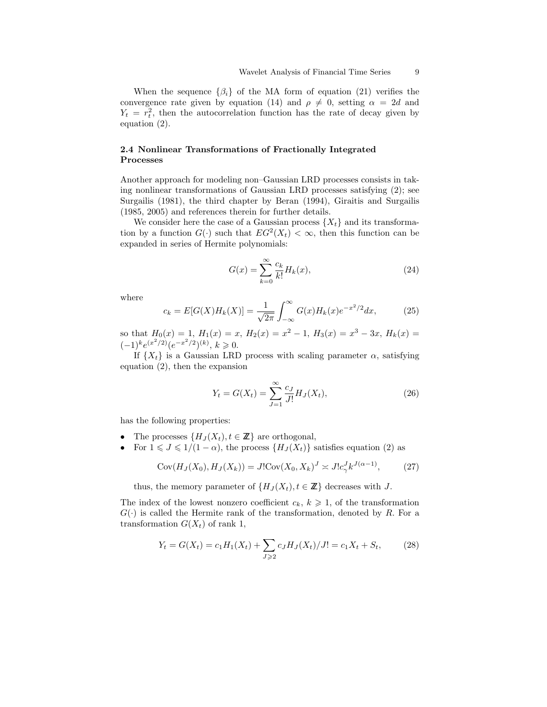When the sequence  $\{\beta_i\}$  of the MA form of equation (21) verifies the convergence rate given by equation (14) and  $\rho \neq 0$ , setting  $\alpha = 2d$  and  $Y_t = r_t^2$ , then the autocorrelation function has the rate of decay given by equation (2).

## 2.4 Nonlinear Transformations of Fractionally Integrated Processes

Another approach for modeling non–Gaussian LRD processes consists in taking nonlinear transformations of Gaussian LRD processes satisfying (2); see Surgailis (1981), the third chapter by Beran (1994), Giraitis and Surgailis (1985, 2005) and references therein for further details.

We consider here the case of a Gaussian process  $\{X_t\}$  and its transformation by a function  $G(\cdot)$  such that  $EG^2(X_t) < \infty$ , then this function can be expanded in series of Hermite polynomials:

$$
G(x) = \sum_{k=0}^{\infty} \frac{c_k}{k!} H_k(x),
$$
\n(24)

where

$$
c_k = E[G(X)H_k(X)] = \frac{1}{\sqrt{2\pi}} \int_{-\infty}^{\infty} G(x)H_k(x)e^{-x^2/2}dx,
$$
 (25)

so that  $H_0(x) = 1$ ,  $H_1(x) = x$ ,  $H_2(x) = x^2 - 1$ ,  $H_3(x) = x^3 - 3x$ ,  $H_k(x) =$  $(-1)^k e^{(x^2/2)} (e^{-x^2/2})^{(k)}, k \ge 0.$ 

If  $\{X_t\}$  is a Gaussian LRD process with scaling parameter  $\alpha$ , satisfying equation (2), then the expansion

$$
Y_t = G(X_t) = \sum_{J=1}^{\infty} \frac{c_J}{J!} H_J(X_t),
$$
\n(26)

has the following properties:

- The processes  $\{H_J(X_t), t \in \mathbb{Z}\}\$ are orthogonal,
- For  $1 \leqslant J \leqslant 1/(1-\alpha)$ , the process  $\{H_J(X_t)\}\$  satisfies equation (2) as

$$
Cov(H_J(X_0), H_J(X_k)) = J!Cov(X_0, X_k)^J \approx J!c_\gamma^J k^{J(\alpha - 1)},\tag{27}
$$

thus, the memory parameter of  $\{H_J(X_t), t \in \mathbb{Z}\}\)$  decreases with J.

The index of the lowest nonzero coefficient  $c_k, k \geq 1$ , of the transformation  $G(\cdot)$  is called the Hermite rank of the transformation, denoted by R. For a transformation  $G(X_t)$  of rank 1,

$$
Y_t = G(X_t) = c_1 H_1(X_t) + \sum_{J \ge 2} c_J H_J(X_t) / J! = c_1 X_t + S_t,
$$
 (28)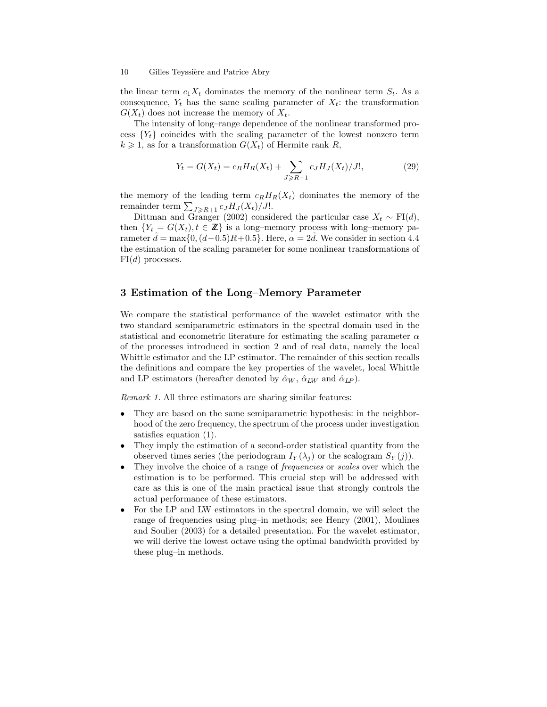the linear term  $c_1X_t$  dominates the memory of the nonlinear term  $S_t$ . As a consequence,  $Y_t$  has the same scaling parameter of  $X_t$ : the transformation  $G(X_t)$  does not increase the memory of  $X_t$ .

The intensity of long–range dependence of the nonlinear transformed process  ${Y_t}$  coincides with the scaling parameter of the lowest nonzero term  $k \geq 1$ , as for a transformation  $G(X_t)$  of Hermite rank R,

$$
Y_t = G(X_t) = c_R H_R(X_t) + \sum_{J \ge R+1} c_J H_J(X_t) / J!,
$$
\n(29)

the memory of the leading term  $c_RH_R(X_t)$  dominates the memory of the remainder term  $\sum_{J\geqslant R+1} c_J H_J(X_t)/J!$ .

Dittman and Granger (2002) considered the particular case  $X_t \sim \text{FI}(d)$ , then  $\{Y_t = G(X_t), t \in \mathbb{Z}\}\$ is a long-memory process with long-memory parameter  $d = \max\{0, (d-0.5)R+0.5\}$ . Here,  $\alpha = 2d$ . We consider in section 4.4 the estimation of the scaling parameter for some nonlinear transformations of  $FI(d)$  processes.

## 3 Estimation of the Long–Memory Parameter

We compare the statistical performance of the wavelet estimator with the two standard semiparametric estimators in the spectral domain used in the statistical and econometric literature for estimating the scaling parameter  $\alpha$ of the processes introduced in section 2 and of real data, namely the local Whittle estimator and the LP estimator. The remainder of this section recalls the definitions and compare the key properties of the wavelet, local Whittle and LP estimators (hereafter denoted by  $\hat{\alpha}_W$ ,  $\hat{\alpha}_{LW}$  and  $\hat{\alpha}_{LP}$ ).

Remark 1. All three estimators are sharing similar features:

- They are based on the same semiparametric hypothesis: in the neighborhood of the zero frequency, the spectrum of the process under investigation satisfies equation (1).
- They imply the estimation of a second-order statistical quantity from the observed times series (the periodogram  $I_Y(\lambda_j)$  or the scalogram  $S_Y(j)$ ).
- They involve the choice of a range of *frequencies* or *scales* over which the estimation is to be performed. This crucial step will be addressed with care as this is one of the main practical issue that strongly controls the actual performance of these estimators.
- For the LP and LW estimators in the spectral domain, we will select the range of frequencies using plug–in methods; see Henry (2001), Moulines and Soulier (2003) for a detailed presentation. For the wavelet estimator, we will derive the lowest octave using the optimal bandwidth provided by these plug–in methods.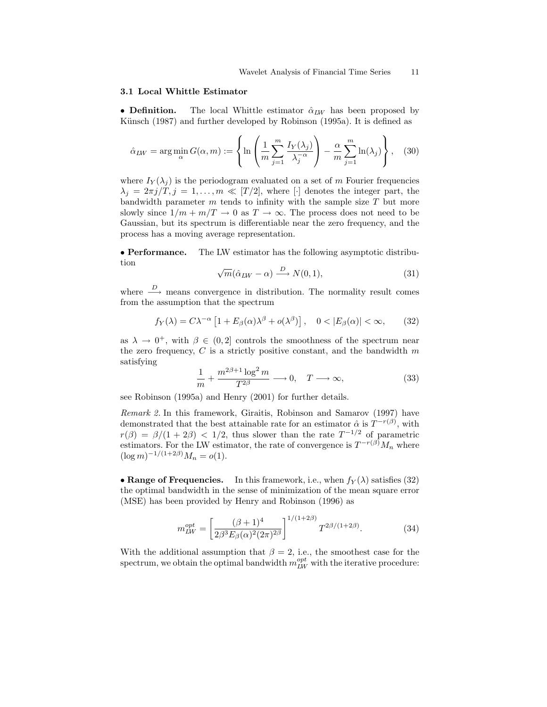#### 3.1 Local Whittle Estimator

• Definition. The local Whittle estimator  $\hat{\alpha}_{LW}$  has been proposed by Künsch (1987) and further developed by Robinson (1995a). It is defined as

$$
\hat{\alpha}_{LW} = \arg\min_{\alpha} G(\alpha, m) := \left\{ \ln \left( \frac{1}{m} \sum_{j=1}^{m} \frac{I_Y(\lambda_j)}{\lambda_j^{-\alpha}} \right) - \frac{\alpha}{m} \sum_{j=1}^{m} \ln(\lambda_j) \right\}, \quad (30)
$$

where  $I_Y(\lambda_i)$  is the periodogram evaluated on a set of m Fourier frequencies  $\lambda_j = 2\pi j/T, j = 1, \ldots, m \ll [T/2]$ , where [·] denotes the integer part, the bandwidth parameter  $m$  tends to infinity with the sample size  $T$  but more slowly since  $1/m + m/T \rightarrow 0$  as  $T \rightarrow \infty$ . The process does not need to be Gaussian, but its spectrum is differentiable near the zero frequency, and the process has a moving average representation.

• Performance. The LW estimator has the following asymptotic distribution

$$
\sqrt{m}(\hat{\alpha}_{LW} - \alpha) \xrightarrow{D} N(0, 1), \tag{31}
$$

where  $\stackrel{D}{\longrightarrow}$  means convergence in distribution. The normality result comes from the assumption that the spectrum

$$
f_Y(\lambda) = C\lambda^{-\alpha} \left[ 1 + E_\beta(\alpha)\lambda^\beta + o(\lambda^\beta) \right], \quad 0 < |E_\beta(\alpha)| < \infty,\tag{32}
$$

as  $\lambda \to 0^+$ , with  $\beta \in (0, 2]$  controls the smoothness of the spectrum near the zero frequency,  $C$  is a strictly positive constant, and the bandwidth  $m$ satisfying

$$
\frac{1}{m} + \frac{m^{2\beta + 1} \log^2 m}{T^{2\beta}} \longrightarrow 0, \quad T \longrightarrow \infty,
$$
\n(33)

see Robinson (1995a) and Henry (2001) for further details.

Remark 2. In this framework, Giraitis, Robinson and Samarov (1997) have demonstrated that the best attainable rate for an estimator  $\hat{\alpha}$  is  $T^{-r(\beta)}$ , with  $r(\beta) = \beta/(1 + 2\beta) < 1/2$ , thus slower than the rate  $T^{-1/2}$  of parametric estimators. For the LW estimator, the rate of convergence is  $T^{-r(\beta)}M_n$  where  $(\log m)^{-1/(1+2\beta)}M_n = o(1).$ 

• Range of Frequencies. In this framework, i.e., when  $f_Y(\lambda)$  satisfies (32) the optimal bandwidth in the sense of minimization of the mean square error (MSE) has been provided by Henry and Robinson (1996) as

$$
m_{LW}^{opt} = \left[\frac{(\beta + 1)^4}{2\beta^3 E_\beta(\alpha)^2 (2\pi)^{2\beta}}\right]^{1/(1+2\beta)} T^{2\beta/(1+2\beta)}.
$$
 (34)

With the additional assumption that  $\beta = 2$ , i.e., the smoothest case for the spectrum, we obtain the optimal bandwidth  $m_{LW}^{opt}$  with the iterative procedure: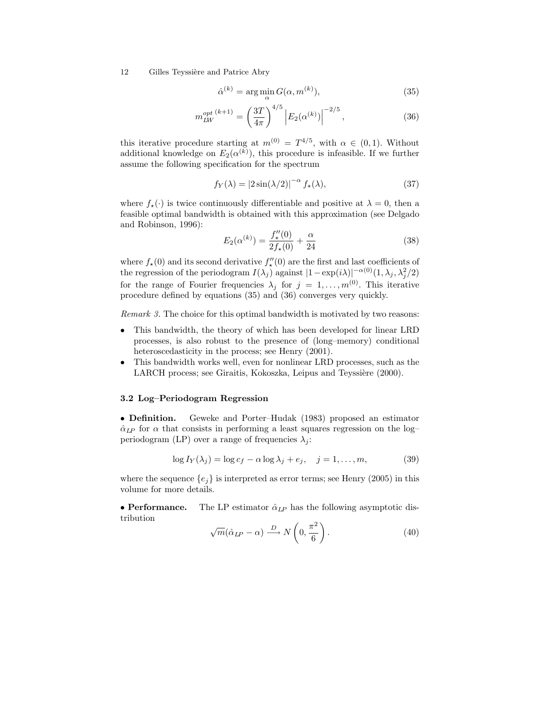$$
\hat{\alpha}^{(k)} = \arg\min_{\alpha} G(\alpha, m^{(k)}),\tag{35}
$$

$$
m_{LW}^{opt (k+1)} = \left(\frac{3T}{4\pi}\right)^{4/5} \left| E_2(\alpha^{(k)}) \right|^{-2/5},\tag{36}
$$

this iterative procedure starting at  $m^{(0)} = T^{4/5}$ , with  $\alpha \in (0, 1)$ . Without additional knowledge on  $E_2(\alpha^{(k)})$ , this procedure is infeasible. If we further assume the following specification for the spectrum

$$
f_Y(\lambda) = \left| 2\sin(\lambda/2) \right|^{-\alpha} f_\star(\lambda),\tag{37}
$$

where  $f_{\star}(\cdot)$  is twice continuously differentiable and positive at  $\lambda = 0$ , then a feasible optimal bandwidth is obtained with this approximation (see Delgado and Robinson, 1996):

$$
E_2(\alpha^{(k)}) = \frac{f''_{\star}(0)}{2f_{\star}(0)} + \frac{\alpha}{24}
$$
 (38)

where  $f_{\star}(0)$  and its second derivative  $f''_{\star}(0)$  are the first and last coefficients of the regression of the periodogram  $I(\lambda_j)$  against  $|1 - \exp(i\lambda)|^{-\alpha(0)}(1, \lambda_j, \lambda_j^2/2)$ for the range of Fourier frequencies  $\lambda_j$  for  $j = 1, \ldots, m^{(0)}$ . This iterative procedure defined by equations (35) and (36) converges very quickly.

Remark 3. The choice for this optimal bandwidth is motivated by two reasons:

- This bandwidth, the theory of which has been developed for linear LRD processes, is also robust to the presence of (long–memory) conditional heteroscedasticity in the process; see Henry  $(2001)$ .
- This bandwidth works well, even for nonlinear LRD processes, such as the LARCH process; see Giraitis, Kokoszka, Leipus and Teyssière (2000).

### 3.2 Log–Periodogram Regression

• Definition. Geweke and Porter–Hudak (1983) proposed an estimator  $\hat{\alpha}_{LP}$  for  $\alpha$  that consists in performing a least squares regression on the log– periodogram (LP) over a range of frequencies  $\lambda_i$ :

$$
\log I_Y(\lambda_j) = \log c_f - \alpha \log \lambda_j + e_j, \quad j = 1, \dots, m,
$$
 (39)

where the sequence  $\{e_j\}$  is interpreted as error terms; see Henry (2005) in this volume for more details.

• Performance. The LP estimator  $\hat{\alpha}_{LP}$  has the following asymptotic distribution

$$
\sqrt{m}(\hat{\alpha}_{LP} - \alpha) \xrightarrow{D} N\left(0, \frac{\pi^2}{6}\right). \tag{40}
$$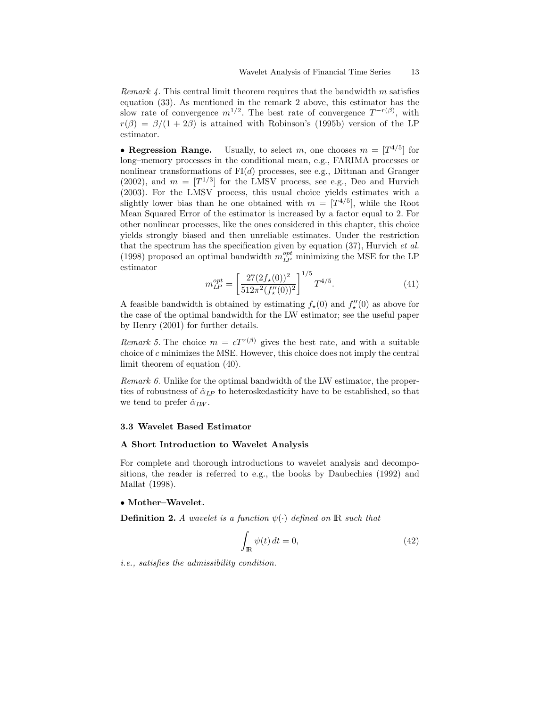*Remark 4.* This central limit theorem requires that the bandwidth m satisfies equation (33). As mentioned in the remark 2 above, this estimator has the slow rate of convergence  $m^{1/2}$ . The best rate of convergence  $T^{-r(\beta)}$ , with  $r(\beta) = \beta/(1 + 2\beta)$  is attained with Robinson's (1995b) version of the LP estimator.

• Regression Range. Usually, to select m, one chooses  $m = [T^{4/5}]$  for long–memory processes in the conditional mean, e.g., FARIMA processes or nonlinear transformations of  $FI(d)$  processes, see e.g., Dittman and Granger (2002), and  $m = [T^{1/3}]$  for the LMSV process, see e.g., Deo and Hurvich (2003). For the LMSV process, this usual choice yields estimates with a slightly lower bias than he one obtained with  $m = [T^{4/5}]$ , while the Root Mean Squared Error of the estimator is increased by a factor equal to 2. For other nonlinear processes, like the ones considered in this chapter, this choice yields strongly biased and then unreliable estimates. Under the restriction that the spectrum has the specification given by equation  $(37)$ , Hurvich et al. (1998) proposed an optimal bandwidth  $m_{L\!P}^{opt}$  minimizing the MSE for the LP estimator

$$
m_{LP}^{opt} = \left[\frac{27(2f_\star(0))^2}{512\pi^2(f_\star''(0))^2}\right]^{1/5} T^{4/5}.
$$
\n(41)

A feasible bandwidth is obtained by estimating  $f_{\star}(0)$  and  $f''_{\star}(0)$  as above for the case of the optimal bandwidth for the LW estimator; see the useful paper by Henry (2001) for further details.

Remark 5. The choice  $m = cT^{r(\beta)}$  gives the best rate, and with a suitable choice of c minimizes the MSE. However, this choice does not imply the central limit theorem of equation (40).

Remark 6. Unlike for the optimal bandwidth of the LW estimator, the properties of robustness of  $\hat{\alpha}_{LP}$  to heteroskedasticity have to be established, so that we tend to prefer  $\hat{\alpha}_{LW}$ .

#### 3.3 Wavelet Based Estimator

#### A Short Introduction to Wavelet Analysis

For complete and thorough introductions to wavelet analysis and decompositions, the reader is referred to e.g., the books by Daubechies (1992) and Mallat (1998).

#### • Mother–Wavelet.

**Definition 2.** A wavelet is a function  $\psi(\cdot)$  defined on **R** such that

$$
\int_{\mathbb{R}} \psi(t) dt = 0,\tag{42}
$$

i.e., satisfies the admissibility condition.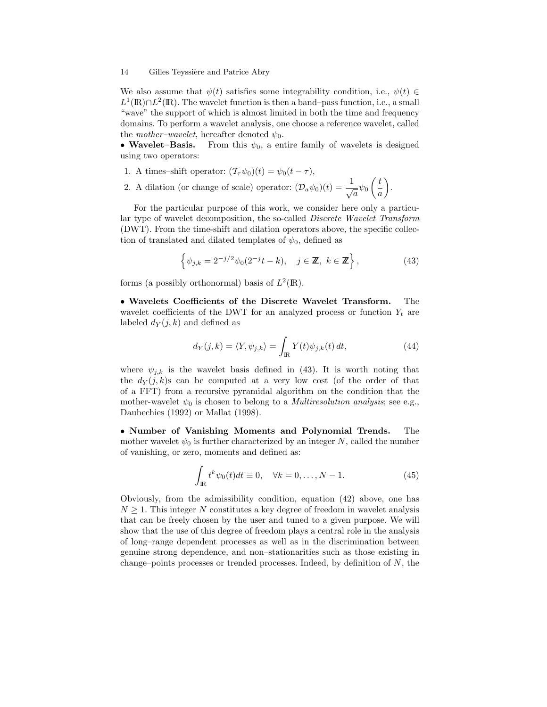We also assume that  $\psi(t)$  satisfies some integrability condition, i.e.,  $\psi(t) \in$  $L^1(\mathbb{R}) \cap L^2(\mathbb{R})$ . The wavelet function is then a band–pass function, i.e., a small "wave" the support of which is almost limited in both the time and frequency domains. To perform a wavelet analysis, one choose a reference wavelet, called the *mother–wavelet*, hereafter denoted  $\psi_0$ .

• Wavelet–Basis. From this  $\psi_0$ , a entire family of wavelets is designed using two operators:

- 1. A times–shift operator:  $(\mathcal{T}_{\tau}\psi_0)(t) = \psi_0(t \tau),$
- 2. A dilation (or change of scale) operator:  $(\mathcal{D}_a \psi_0)(t) = \frac{1}{\sqrt{a}} \psi_0$  $\int t$ a  $\setminus$ .

For the particular purpose of this work, we consider here only a particular type of wavelet decomposition, the so-called Discrete Wavelet Transform (DWT). From the time-shift and dilation operators above, the specific collection of translated and dilated templates of  $\psi_0$ , defined as

$$
\left\{\psi_{j,k} = 2^{-j/2}\psi_0(2^{-j}t - k), \quad j \in \mathbb{Z}, \ k \in \mathbb{Z}\right\},\tag{43}
$$

forms (a possibly orthonormal) basis of  $L^2(\mathbb{R})$ .

• Wavelets Coefficients of the Discrete Wavelet Transform. The wavelet coefficients of the DWT for an analyzed process or function  $Y_t$  are labeled  $d_Y(j,k)$  and defined as

$$
d_Y(j,k) = \langle Y, \psi_{j,k} \rangle = \int_{\mathbb{R}} Y(t)\psi_{j,k}(t) dt,
$$
\n(44)

where  $\psi_{j,k}$  is the wavelet basis defined in (43). It is worth noting that the  $d_Y(j,k)$  can be computed at a very low cost (of the order of that of a FFT) from a recursive pyramidal algorithm on the condition that the mother-wavelet  $\psi_0$  is chosen to belong to a *Multiresolution analysis*; see e.g., Daubechies (1992) or Mallat (1998).

• Number of Vanishing Moments and Polynomial Trends. The mother wavelet  $\psi_0$  is further characterized by an integer N, called the number of vanishing, or zero, moments and defined as:

$$
\int_{\mathbb{R}} t^k \psi_0(t) dt \equiv 0, \quad \forall k = 0, \dots, N - 1.
$$
\n(45)

Obviously, from the admissibility condition, equation (42) above, one has  $N \geq 1$ . This integer N constitutes a key degree of freedom in wavelet analysis that can be freely chosen by the user and tuned to a given purpose. We will show that the use of this degree of freedom plays a central role in the analysis of long–range dependent processes as well as in the discrimination between genuine strong dependence, and non–stationarities such as those existing in change–points processes or trended processes. Indeed, by definition of  $N$ , the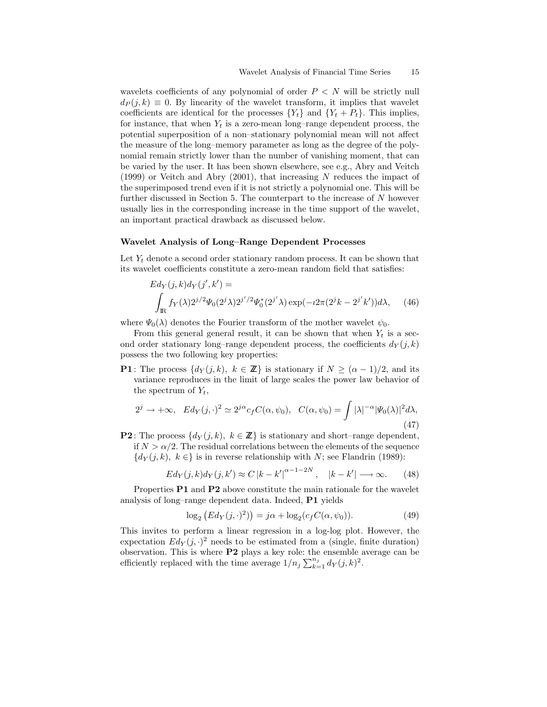wavelets coefficients of any polynomial of order  $P \leq N$  will be strictly null  $d_P(j,k) \equiv 0$ . By linearity of the wavelet transform, it implies that wavelet coefficients are identical for the processes  $\{Y_t\}$  and  $\{Y_t + P_t\}$ . This implies, for instance, that when  $Y_t$  is a zero-mean long–range dependent process, the potential superposition of a non–stationary polynomial mean will not affect the measure of the long–memory parameter as long as the degree of the polynomial remain strictly lower than the number of vanishing moment, that can be varied by the user. It has been shown elsewhere, see e.g., Abry and Veitch (1999) or Veitch and Abry (2001), that increasing  $N$  reduces the impact of the superimposed trend even if it is not strictly a polynomial one. This will be further discussed in Section 5. The counterpart to the increase of N however usually lies in the corresponding increase in the time support of the wavelet, an important practical drawback as discussed below.

#### Wavelet Analysis of Long–Range Dependent Processes

Let  $Y_t$  denote a second order stationary random process. It can be shown that its wavelet coefficients constitute a zero-mean random field that satisfies:

$$
Ed_Y(j,k)d_Y(j',k') =
$$
  

$$
\int_{\mathbb{R}} f_Y(\lambda)2^{j/2}\Psi_0(2^j\lambda)2^{j'/2}\Psi_0^*(2^{j'}\lambda)\exp(-i2\pi(2^jk-2^{j'}k'))d\lambda, \quad (46)
$$

where  $\Psi_0(\lambda)$  denotes the Fourier transform of the mother wavelet  $\psi_0$ .

From this general general result, it can be shown that when  $Y_t$  is a second order stationary long–range dependent process, the coefficients  $d_Y(j,k)$ possess the two following key properties:

**P1**: The process  $\{d_Y(j,k), k \in \mathbb{Z}\}\$ is stationary if  $N \geq (\alpha-1)/2$ , and its variance reproduces in the limit of large scales the power law behavior of the spectrum of  $Y_t$ ,

$$
2^j \to +\infty, \quad Ed_Y(j, \cdot)^2 \simeq 2^{j\alpha} c_f C(\alpha, \psi_0), \quad C(\alpha, \psi_0) = \int |\lambda|^{-\alpha} |\Psi_0(\lambda)|^2 d\lambda,
$$
\n(47)

**P2**: The process  $\{d_Y(j,k), k \in \mathbb{Z}\}\$ is stationary and short–range dependent, if  $N > \alpha/2$ . The residual correlations between the elements of the sequence  ${d_Y(j,k), k \in}$  is in reverse relationship with N; see Flandrin (1989):

$$
Ed_Y(j,k)d_Y(j,k') \approx C |k - k'|^{\alpha - 1 - 2N}, \quad |k - k'| \longrightarrow \infty. \tag{48}
$$

Properties P1 and P2 above constitute the main rationale for the wavelet analysis of long–range dependent data. Indeed, P1 yields

$$
\log_2 (Ed_Y(j, \cdot)^2) = j\alpha + \log_2(c_f C(\alpha, \psi_0)).
$$
\n(49)

This invites to perform a linear regression in a log-log plot. However, the expectation  $Ed_Y(j, \cdot)^2$  needs to be estimated from a (single, finite duration) observation. This is where P2 plays a key role: the ensemble average can be efficiently replaced with the time average  $1/n_j \sum_{k=1}^{n_j} d_Y(j,k)^2$ .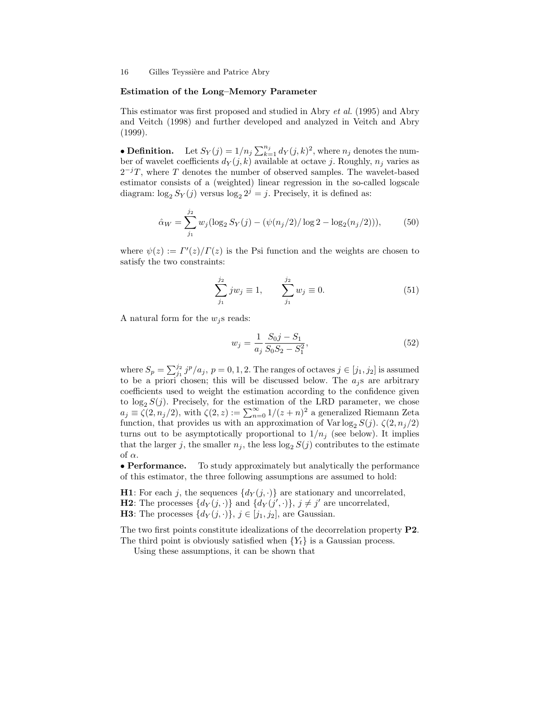#### Estimation of the Long–Memory Parameter

This estimator was first proposed and studied in Abry et al. (1995) and Abry and Veitch (1998) and further developed and analyzed in Veitch and Abry (1999).

• **Definition.** Let  $S_Y(j) = 1/n_j \sum_{k=1}^{n_j} d_Y(j,k)^2$ , where  $n_j$  denotes the number of wavelet coefficients  $d_Y(j,k)$  available at octave j. Roughly,  $n_j$  varies as  $2^{-j}T$ , where T denotes the number of observed samples. The wavelet-based estimator consists of a (weighted) linear regression in the so-called logscale diagram:  $\log_2 S_Y(j)$  versus  $\log_2 2^j = j$ . Precisely, it is defined as:

$$
\hat{\alpha}_W = \sum_{j_1}^{j_2} w_j (\log_2 S_Y(j) - (\psi(n_j/2)) \log 2 - \log_2(n_j/2))),\tag{50}
$$

where  $\psi(z) := \Gamma'(z)/\Gamma(z)$  is the Psi function and the weights are chosen to satisfy the two constraints:

$$
\sum_{j_1}^{j_2} j w_j \equiv 1, \qquad \sum_{j_1}^{j_2} w_j \equiv 0. \tag{51}
$$

A natural form for the  $w_j$ s reads:

$$
w_j = \frac{1}{a_j} \frac{S_0 j - S_1}{S_0 S_2 - S_1^2},\tag{52}
$$

where  $S_p = \sum_{j_1}^{j_2} j^p/a_j$ ,  $p = 0, 1, 2$ . The ranges of octaves  $j \in [j_1, j_2]$  is assumed to be a priori chosen; this will be discussed below. The  $a_i$ s are arbitrary coefficients used to weight the estimation according to the confidence given to  $\log_2 S(j)$ . Precisely, for the estimation of the LRD parameter, we chose  $a_j \equiv \zeta(2, n_j/2)$ , with  $\zeta(2, z) := \sum_{n=0}^{\infty} 1/(z+n)^2$  a generalized Riemann Zeta function, that provides us with an approximation of Var log<sub>2</sub>  $S(j)$ .  $\zeta(2,n_j/2)$ turns out to be asymptotically proportional to  $1/n_i$  (see below). It implies that the larger j, the smaller  $n_j$ , the less  $\log_2 S(j)$  contributes to the estimate of  $\alpha$ .

• Performance. To study approximately but analytically the performance of this estimator, the three following assumptions are assumed to hold:

**H1**: For each j, the sequences  $\{d_Y(j, \cdot)\}\$  are stationary and uncorrelated, **H2**: The processes  $\{d_Y(j, \cdot)\}\$  and  $\{d_Y(j', \cdot)\}\$ ,  $j \neq j'$  are uncorrelated, **H3**: The processes  $\{d_Y(j, \cdot)\}\$ ,  $j \in [j_1, j_2]$ , are Gaussian.

The two first points constitute idealizations of the decorrelation property P2. The third point is obviously satisfied when  ${Y<sub>t</sub>}$  is a Gaussian process.

Using these assumptions, it can be shown that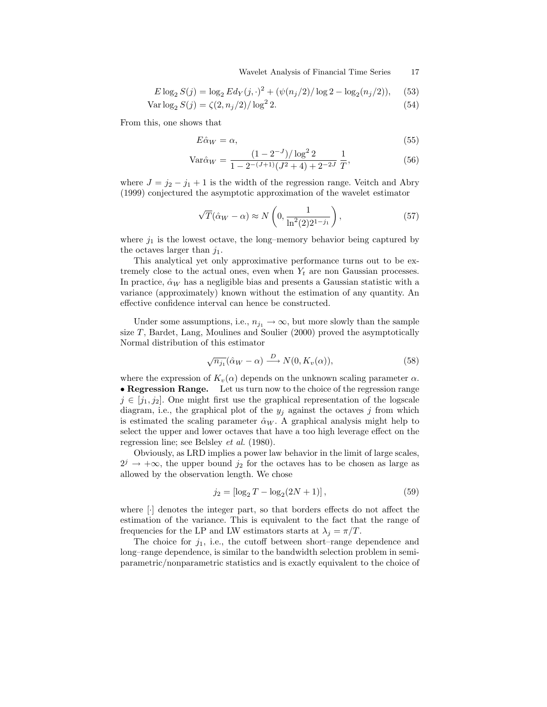Wavelet Analysis of Financial Time Series 17

$$
E \log_2 S(j) = \log_2 Ed_Y(j, \cdot)^2 + (\psi(n_j/2)/\log 2 - \log_2(n_j/2)), \quad (53)
$$

$$
Var \log_2 S(j) = \zeta(2, n_j/2) / \log^2 2.
$$
 (54)

From this, one shows that

$$
E\hat{\alpha}_W = \alpha,\tag{55}
$$

$$
Var\hat{\alpha}_W = \frac{(1 - 2^{-J})/\log^2 2}{1 - 2^{-(J+1)}(J^2 + 4) + 2^{-2J}} \frac{1}{T},
$$
\n(56)

where  $J = j_2 - j_1 + 1$  is the width of the regression range. Veitch and Abry (1999) conjectured the asymptotic approximation of the wavelet estimator

$$
\sqrt{T}(\hat{\alpha}_W - \alpha) \approx N\left(0, \frac{1}{\ln^2(2)2^{1-j_1}}\right),\tag{57}
$$

where  $j_1$  is the lowest octave, the long–memory behavior being captured by the octaves larger than  $j_1$ .

This analytical yet only approximative performance turns out to be extremely close to the actual ones, even when  $Y_t$  are non Gaussian processes. In practice,  $\hat{\alpha}_W$  has a negligible bias and presents a Gaussian statistic with a variance (approximately) known without the estimation of any quantity. An effective confidence interval can hence be constructed.

Under some assumptions, i.e.,  $n_{j_1} \rightarrow \infty$ , but more slowly than the sample size  $T$ , Bardet, Lang, Moulines and Soulier (2000) proved the asymptotically Normal distribution of this estimator

$$
\sqrt{n_{j_1}}(\hat{\alpha}_W - \alpha) \xrightarrow{D} N(0, K_v(\alpha)), \tag{58}
$$

where the expression of  $K_n(\alpha)$  depends on the unknown scaling parameter  $\alpha$ . • Regression Range. Let us turn now to the choice of the regression range  $j \in [j_1, j_2]$ . One might first use the graphical representation of the logscale diagram, i.e., the graphical plot of the  $y_j$  against the octaves j from which is estimated the scaling parameter  $\hat{\alpha}_W$ . A graphical analysis might help to select the upper and lower octaves that have a too high leverage effect on the regression line; see Belsley et al. (1980).

Obviously, as LRD implies a power law behavior in the limit of large scales,  $2^{j} \rightarrow +\infty$ , the upper bound  $j_2$  for the octaves has to be chosen as large as allowed by the observation length. We chose

$$
j_2 = [\log_2 T - \log_2 (2N + 1)], \qquad (59)
$$

where [·] denotes the integer part, so that borders effects do not affect the estimation of the variance. This is equivalent to the fact that the range of frequencies for the LP and LW estimators starts at  $\lambda_i = \pi/T$ .

The choice for  $j_1$ , i.e., the cutoff between short–range dependence and long–range dependence, is similar to the bandwidth selection problem in semiparametric/nonparametric statistics and is exactly equivalent to the choice of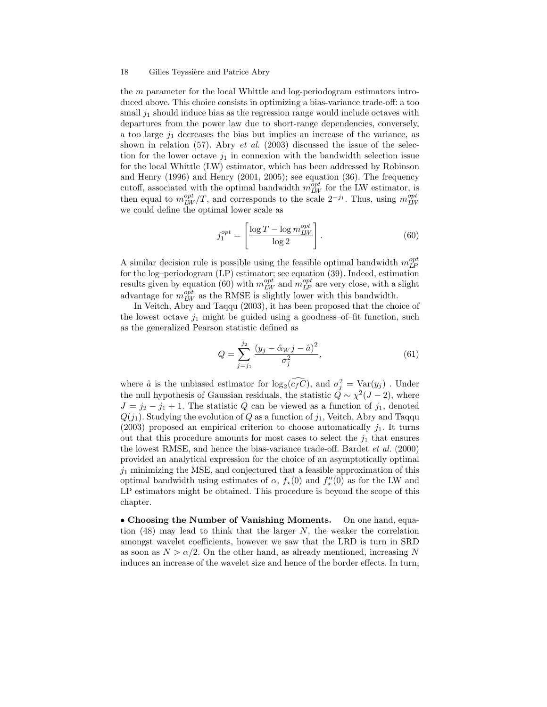the m parameter for the local Whittle and log-periodogram estimators introduced above. This choice consists in optimizing a bias-variance trade-off: a too small  $j_1$  should induce bias as the regression range would include octaves with departures from the power law due to short-range dependencies, conversely, a too large  $j_1$  decreases the bias but implies an increase of the variance, as shown in relation (57). Abry *et al.* (2003) discussed the issue of the selection for the lower octave  $j_1$  in connexion with the bandwidth selection issue for the local Whittle (LW) estimator, which has been addressed by Robinson and Henry (1996) and Henry (2001, 2005); see equation (36). The frequency cutoff, associated with the optimal bandwidth  $m_{LW}^{opt}$  for the LW estimator, is then equal to  $m_{LW}^{opt}/T$ , and corresponds to the scale  $2^{-j_1}$ . Thus, using  $m_{LW}^{opt}$ we could define the optimal lower scale as

$$
j_1^{opt} = \left[\frac{\log T - \log m_{LW}^{opt}}{\log 2}\right].\tag{60}
$$

A similar decision rule is possible using the feasible optimal bandwidth  $m_{LP}^{opt}$ for the log–periodogram (LP) estimator; see equation (39). Indeed, estimation results given by equation (60) with  $m_{LW}^{opt}$  and  $m_{LP}^{opt}$  are very close, with a slight advantage for  $m_{LW}^{opt}$  as the RMSE is slightly lower with this bandwidth.

In Veitch, Abry and Taqqu (2003), it has been proposed that the choice of the lowest octave  $j_1$  might be guided using a goodness-of-fit function, such as the generalized Pearson statistic defined as

$$
Q = \sum_{j=j_1}^{j_2} \frac{(y_j - \hat{\alpha}_W j - \hat{a})^2}{\sigma_j^2},\tag{61}
$$

where  $\hat{a}$  is the unbiased estimator for  $\log_2(\tilde{c}_f \tilde{C})$ , and  $\sigma_j^2 = \text{Var}(y_j)$ . Under the null hypothesis of Gaussian residuals, the statistic  $\ddot{Q} \sim \chi^2(J-2)$ , where  $J = j_2 - j_1 + 1$ . The statistic Q can be viewed as a function of  $j_1$ , denoted  $Q(j_1)$ . Studying the evolution of Q as a function of  $j_1$ , Veitch, Abry and Taqqu (2003) proposed an empirical criterion to choose automatically  $j_1$ . It turns out that this procedure amounts for most cases to select the  $j_1$  that ensures the lowest RMSE, and hence the bias-variance trade-off. Bardet et al. (2000) provided an analytical expression for the choice of an asymptotically optimal  $j_1$  minimizing the MSE, and conjectured that a feasible approximation of this optimal bandwidth using estimates of  $\alpha$ ,  $f_{\star}(0)$  and  $f''_{\star}(0)$  as for the LW and LP estimators might be obtained. This procedure is beyond the scope of this chapter.

• Choosing the Number of Vanishing Moments. On one hand, equation  $(48)$  may lead to think that the larger N, the weaker the correlation amongst wavelet coefficients, however we saw that the LRD is turn in SRD as soon as  $N > \alpha/2$ . On the other hand, as already mentioned, increasing N induces an increase of the wavelet size and hence of the border effects. In turn,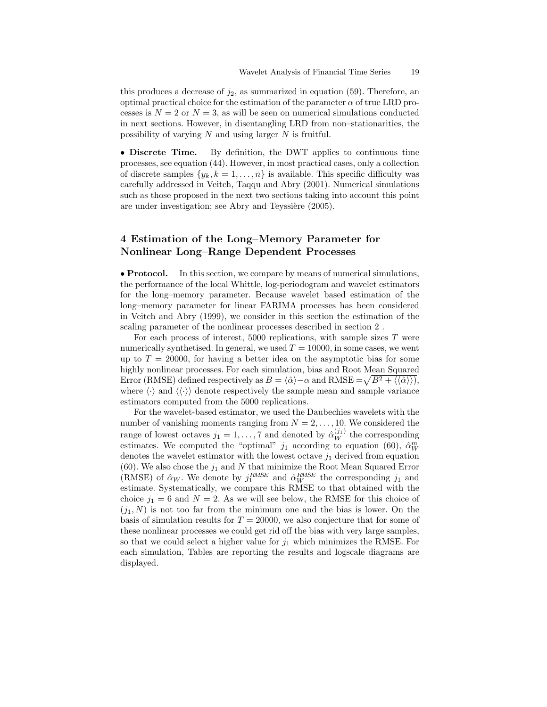this produces a decrease of  $j_2$ , as summarized in equation (59). Therefore, an optimal practical choice for the estimation of the parameter  $\alpha$  of true LRD processes is  $N = 2$  or  $N = 3$ , as will be seen on numerical simulations conducted in next sections. However, in disentangling LRD from non–stationarities, the possibility of varying  $N$  and using larger  $N$  is fruitful.

• Discrete Time. By definition, the DWT applies to continuous time processes, see equation (44). However, in most practical cases, only a collection of discrete samples  $\{y_k, k = 1, \ldots, n\}$  is available. This specific difficulty was carefully addressed in Veitch, Taqqu and Abry (2001). Numerical simulations such as those proposed in the next two sections taking into account this point are under investigation; see Abry and Teyssière (2005).

## 4 Estimation of the Long–Memory Parameter for Nonlinear Long–Range Dependent Processes

• Protocol. In this section, we compare by means of numerical simulations, the performance of the local Whittle, log-periodogram and wavelet estimators for the long–memory parameter. Because wavelet based estimation of the long–memory parameter for linear FARIMA processes has been considered in Veitch and Abry (1999), we consider in this section the estimation of the scaling parameter of the nonlinear processes described in section 2 .

For each process of interest, 5000 replications, with sample sizes  $T$  were numerically synthetised. In general, we used  $T = 10000$ , in some cases, we went up to  $T = 20000$ , for having a better idea on the asymptotic bias for some highly nonlinear processes. For each simulation, bias and Root Mean Squared Error (RMSE) defined respectively as  $B = \langle \hat{\alpha} \rangle - \alpha$  and RMSE  $= \sqrt{B^2 + \langle \langle \hat{\alpha} \rangle \rangle},$ where  $\langle \cdot \rangle$  and  $\langle \langle \cdot \rangle \rangle$  denote respectively the sample mean and sample variance estimators computed from the 5000 replications.

For the wavelet-based estimator, we used the Daubechies wavelets with the number of vanishing moments ranging from  $N = 2, \ldots, 10$ . We considered the range of lowest octaves  $j_1 = 1, ..., 7$  and denoted by  $\hat{\alpha}_W^{(j_1)}$  the corresponding estimates. We computed the "optimal"  $j_1$  according to equation (60),  $\hat{\alpha}_W^m$ denotes the wavelet estimator with the lowest octave  $j_1$  derived from equation (60). We also chose the  $j_1$  and N that minimize the Root Mean Squared Error (RMSE) of  $\hat{\alpha}_W$ . We denote by  $j_1^{RMSE}$  and  $\hat{\alpha}_W^{RMSE}$  the corresponding  $j_1$  and estimate. Systematically, we compare this RMSE to that obtained with the choice  $j_1 = 6$  and  $N = 2$ . As we will see below, the RMSE for this choice of  $(j_1, N)$  is not too far from the minimum one and the bias is lower. On the basis of simulation results for  $T = 20000$ , we also conjecture that for some of these nonlinear processes we could get rid off the bias with very large samples, so that we could select a higher value for  $j_1$  which minimizes the RMSE. For each simulation, Tables are reporting the results and logscale diagrams are displayed.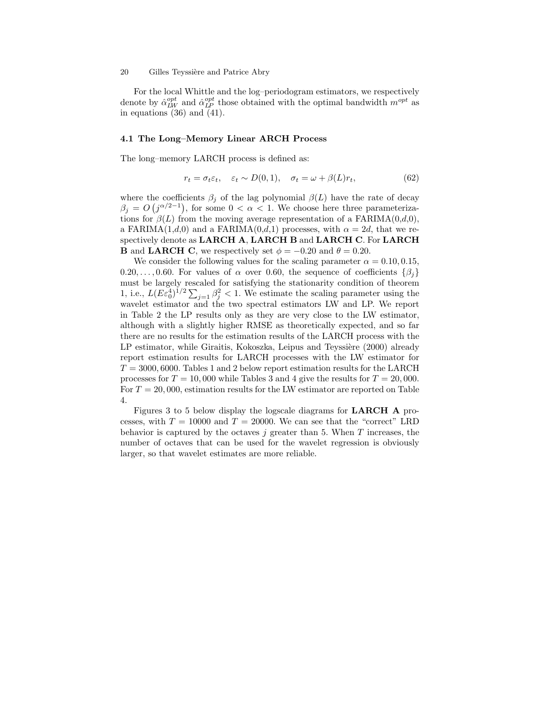For the local Whittle and the log–periodogram estimators, we respectively denote by  $\hat{\alpha}_{LW}^{opt}$  and  $\hat{\alpha}_{LP}^{opt}$  those obtained with the optimal bandwidth  $m^{opt}$  as in equations (36) and (41).

#### 4.1 The Long–Memory Linear ARCH Process

The long–memory LARCH process is defined as:

$$
r_t = \sigma_t \varepsilon_t, \quad \varepsilon_t \sim D(0, 1), \quad \sigma_t = \omega + \beta(L)r_t,
$$
\n(62)

where the coefficients  $\beta_j$  of the lag polynomial  $\beta(L)$  have the rate of decay  $\beta_j = O(j^{\alpha/2-1})$ , for some  $0 < \alpha < 1$ . We choose here three parameterizations for  $\beta(L)$  from the moving average representation of a FARIMA $(0,d,0)$ , a FARIMA(1,d,0) and a FARIMA(0,d,1) processes, with  $\alpha = 2d$ , that we respectively denote as LARCH A, LARCH B and LARCH C. For LARCH **B** and LARCH C, we respectively set  $\phi = -0.20$  and  $\theta = 0.20$ .

We consider the following values for the scaling parameter  $\alpha = 0.10, 0.15$ , 0.20,..., 0.60. For values of  $\alpha$  over 0.60, the sequence of coefficients  $\{\beta_i\}$ must be largely rescaled for satisfying the stationarity condition of theorem 1, i.e.,  $L(E\varepsilon_0^4)^{1/2}\sum_{j=1}^3 \beta_j^2 < 1$ . We estimate the scaling parameter using the wavelet estimator and the two spectral estimators LW and LP. We report in Table 2 the LP results only as they are very close to the LW estimator, although with a slightly higher RMSE as theoretically expected, and so far there are no results for the estimation results of the LARCH process with the LP estimator, while Giraitis, Kokoszka, Leipus and Teyssière (2000) already report estimation results for LARCH processes with the LW estimator for  $T = 3000, 6000$ . Tables 1 and 2 below report estimation results for the LARCH processes for  $T = 10,000$  while Tables 3 and 4 give the results for  $T = 20,000$ . For  $T = 20,000$ , estimation results for the LW estimator are reported on Table 4.

Figures 3 to 5 below display the logscale diagrams for LARCH A processes, with  $T = 10000$  and  $T = 20000$ . We can see that the "correct" LRD behavior is captured by the octaves  $j$  greater than 5. When  $T$  increases, the number of octaves that can be used for the wavelet regression is obviously larger, so that wavelet estimates are more reliable.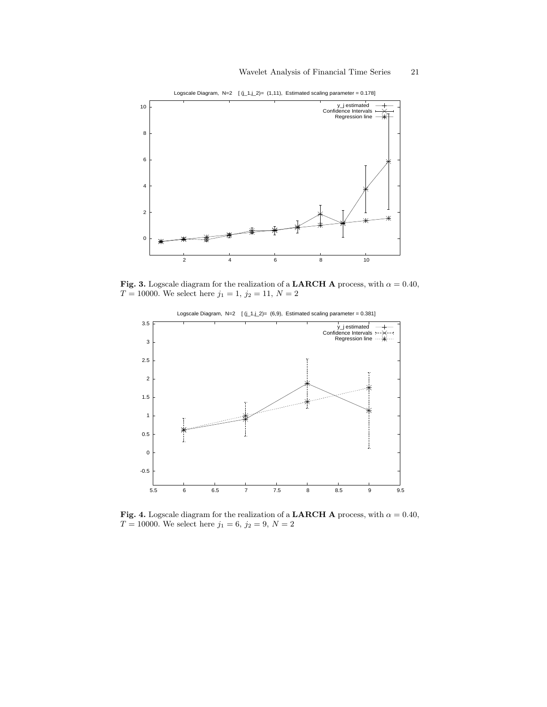

Logscale Diagram, N=2  $[(j_1,j_2)=(1,11)]$ , Estimated scaling parameter = 0.178]

Fig. 3. Logscale diagram for the realization of a LARCH A process, with  $\alpha = 0.40$ ,  $T=10000.$  We select here  $j_1=1,\,j_2=11,\,N=2$ 



Logscale Diagram,  $N=2$   $[(j_1, j_2)=(6, 9),$  Estimated scaling parameter = 0.381]

Fig. 4. Logscale diagram for the realization of a LARCH A process, with  $\alpha = 0.40$ ,  $T = 10000$ . We select here  $j_1 = 6, j_2 = 9, N = 2$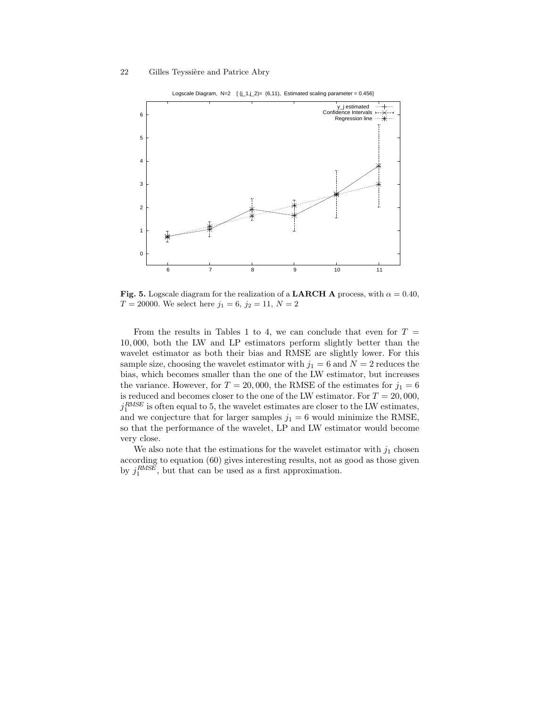

Logscale Diagram, N=2  $[(j_1, j_2) = (6, 11)]$ , Estimated scaling parameter = 0.456]

Fig. 5. Logscale diagram for the realization of a LARCH A process, with  $\alpha = 0.40$ ,  $T = 20000$ . We select here  $j_1 = 6, j_2 = 11, N = 2$ 

From the results in Tables 1 to 4, we can conclude that even for  $T =$ 10, 000, both the LW and LP estimators perform slightly better than the wavelet estimator as both their bias and RMSE are slightly lower. For this sample size, choosing the wavelet estimator with  $j_1 = 6$  and  $N = 2$  reduces the bias, which becomes smaller than the one of the LW estimator, but increases the variance. However, for  $T = 20,000$ , the RMSE of the estimates for  $j_1 = 6$ is reduced and becomes closer to the one of the LW estimator. For  $T = 20,000$ ,  $j_1^{RMSE}$  is often equal to 5, the wavelet estimates are closer to the LW estimates, and we conjecture that for larger samples  $j_1 = 6$  would minimize the RMSE, so that the performance of the wavelet, LP and LW estimator would become very close.

We also note that the estimations for the wavelet estimator with  $j_1$  chosen according to equation (60) gives interesting results, not as good as those given by  $j_1^{RMSE}$ , but that can be used as a first approximation.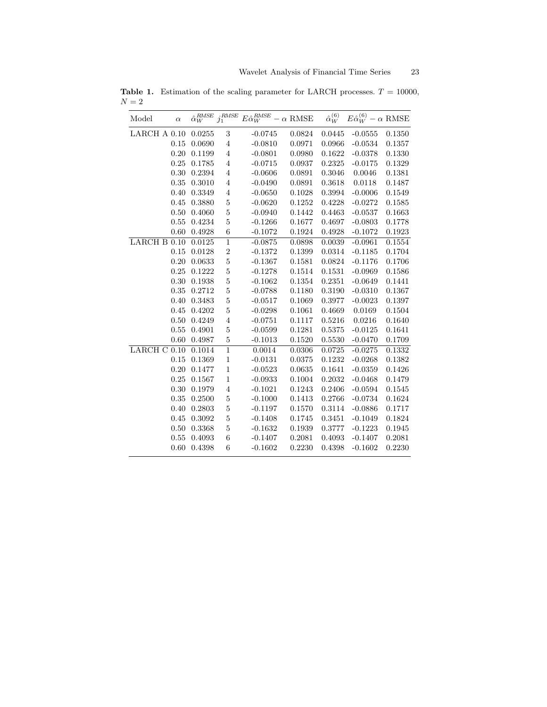| Model        | $\alpha$ | $\hat{\alpha}_W^{RMSE}$ | $j_1^\mathit{RMSE}$     | $E\hat{\alpha}_W^{RMSE}$ | $ \alpha$ RMSE | $\hat{\alpha}_{W}^{(6)}$ | $E\hat{\alpha}_W^{(6)} - \alpha$ RMSE |        |
|--------------|----------|-------------------------|-------------------------|--------------------------|----------------|--------------------------|---------------------------------------|--------|
| LARCH A 0.10 |          | 0.0255                  | 3                       | $-0.0745$                | 0.0824         | 0.0445                   | $-0.0555$                             | 0.1350 |
|              | 0.15     | 0.0690                  | $\overline{4}$          | $-0.0810$                | 0.0971         | 0.0966                   | $-0.0534$                             | 0.1357 |
|              | 0.20     | 0.1199                  | 4                       | $-0.0801$                | 0.0980         | 0.1622                   | $-0.0378$                             | 0.1330 |
|              | 0.25     | 0.1785                  | $\overline{4}$          | $-0.0715$                | 0.0937         | 0.2325                   | $-0.0175$                             | 0.1329 |
|              | 0.30     | 0.2394                  | $\overline{\mathbf{4}}$ | $-0.0606$                | 0.0891         | 0.3046                   | 0.0046                                | 0.1381 |
|              | 0.35     | 0.3010                  | $\overline{\mathbf{4}}$ | $-0.0490$                | 0.0891         | 0.3618                   | 0.0118                                | 0.1487 |
|              | 0.40     | 0.3349                  | $\overline{\mathbf{4}}$ | $-0.0650$                | 0.1028         | 0.3994                   | $-0.0006$                             | 0.1549 |
|              | 0.45     | 0.3880                  | $\overline{5}$          | $-0.0620$                | 0.1252         | 0.4228                   | $-0.0272$                             | 0.1585 |
|              | 0.50     | 0.4060                  | $\overline{5}$          | $-0.0940$                | 0.1442         | 0.4463                   | $-0.0537$                             | 0.1663 |
|              | 0.55     | 0.4234                  | $\overline{5}$          | $-0.1266$                | 0.1677         | 0.4697                   | $-0.0803$                             | 0.1778 |
|              | 0.60     | 0.4928                  | 6                       | $-0.1072$                | 0.1924         | 0.4928                   | $-0.1072$                             | 0.1923 |
| LARCHB0.10   |          | 0.0125                  | $\overline{1}$          | $-0.0875$                | 0.0898         | 0.0039                   | $-0.0961$                             | 0.1554 |
|              | 0.15     | 0.0128                  | $\overline{2}$          | $-0.1372$                | 0.1399         | 0.0314                   | $-0.1185$                             | 0.1704 |
|              | 0.20     | 0.0633                  | $\overline{5}$          | $-0.1367$                | 0.1581         | 0.0824                   | $-0.1176$                             | 0.1706 |
|              | 0.25     | 0.1222                  | $\overline{5}$          | $-0.1278$                | 0.1514         | 0.1531                   | $-0.0969$                             | 0.1586 |
|              | 0.30     | 0.1938                  | $\overline{5}$          | $-0.1062$                | 0.1354         | 0.2351                   | $-0.0649$                             | 0.1441 |
|              | 0.35     | 0.2712                  | $\overline{5}$          | $-0.0788$                | 0.1180         | 0.3190                   | $-0.0310$                             | 0.1367 |
|              | 0.40     | 0.3483                  | $\bf 5$                 | $-0.0517$                | 0.1069         | 0.3977                   | $-0.0023$                             | 0.1397 |
|              | 0.45     | 0.4202                  | $\overline{5}$          | $-0.0298$                | 0.1061         | 0.4669                   | 0.0169                                | 0.1504 |
|              | 0.50     | 0.4249                  | $\overline{4}$          | $-0.0751$                | 0.1117         | 0.5216                   | 0.0216                                | 0.1640 |
|              | 0.55     | 0.4901                  | $\overline{5}$          | $-0.0599$                | 0.1281         | 0.5375                   | $-0.0125$                             | 0.1641 |
|              | 0.60     | 0.4987                  | $\mathbf 5$             | $-0.1013$                | 0.1520         | 0.5530                   | $-0.0470$                             | 0.1709 |
| LARCH C 0.10 |          | 0.1014                  | $\overline{1}$          | 0.0014                   | 0.0306         | 0.0725                   | $-0.0275$                             | 0.1332 |
|              | 0.15     | 0.1369                  | $\mathbf 1$             | $-0.0131$                | 0.0375         | 0.1232                   | $-0.0268$                             | 0.1382 |
|              | 0.20     | 0.1477                  | $\mathbf 1$             | $-0.0523$                | 0.0635         | 0.1641                   | $-0.0359$                             | 0.1426 |
|              | 0.25     | 0.1567                  | $\mathbf 1$             | $-0.0933$                | 0.1004         | 0.2032                   | $-0.0468$                             | 0.1479 |
|              | 0.30     | 0.1979                  | $\overline{\mathbf{4}}$ | $-0.1021$                | 0.1243         | 0.2406                   | $-0.0594$                             | 0.1545 |
|              | 0.35     | 0.2500                  | $\mathbf 5$             | $-0.1000$                | 0.1413         | 0.2766                   | $-0.0734$                             | 0.1624 |
|              | 0.40     | 0.2803                  | $\mathbf 5$             | $-0.1197$                | 0.1570         | 0.3114                   | $-0.0886$                             | 0.1717 |
|              | 0.45     | 0.3092                  | $\overline{5}$          | $-0.1408$                | 0.1745         | 0.3451                   | $-0.1049$                             | 0.1824 |
|              | 0.50     | 0.3368                  | $\overline{5}$          | $-0.1632$                | 0.1939         | 0.3777                   | $-0.1223$                             | 0.1945 |
|              | 0.55     | 0.4093                  | 6                       | $-0.1407$                | 0.2081         | 0.4093                   | $-0.1407$                             | 0.2081 |
|              | 0.60     | 0.4398                  | 6                       | $-0.1602$                | 0.2230         | 0.4398                   | $-0.1602$                             | 0.2230 |

Table 1. Estimation of the scaling parameter for LARCH processes.  $T = 10000$ ,  ${\cal N}=2$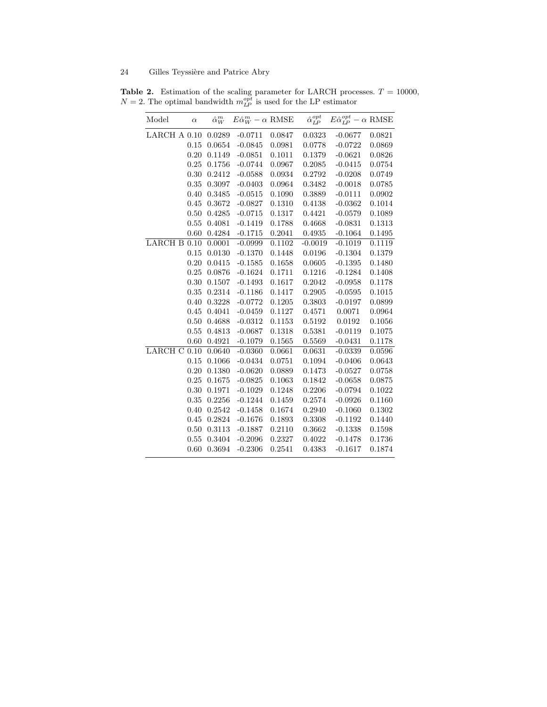**Table 2.** Estimation of the scaling parameter for LARCH processes.  $T = 10000$ ,  $N = 2$ . The optimal bandwidth  $m_{LP}^{opt}$  is used for the LP estimator

| Model        | $\alpha$ | $\hat{\alpha}_W^m$ | $E\hat{\alpha}_W^m - \alpha$ RMSE |        | $\hat{\alpha}_{LP}^{opt}$ | $E\hat{\alpha}_{LP}^{opt} - \alpha$ RMSE |        |
|--------------|----------|--------------------|-----------------------------------|--------|---------------------------|------------------------------------------|--------|
| LARCH A 0.10 |          | 0.0289             | $-0.0711$                         | 0.0847 | 0.0323                    | $-0.0677$                                | 0.0821 |
|              | 0.15     | 0.0654             | $-0.0845$                         | 0.0981 | 0.0778                    | $-0.0722$                                | 0.0869 |
|              | 0.20     | 0.1149             | $-0.0851$                         | 0.1011 | 0.1379                    | $-0.0621$                                | 0.0826 |
|              | 0.25     | 0.1756             | $-0.0744$                         | 0.0967 | 0.2085                    | $-0.0415$                                | 0.0754 |
|              | 0.30     | 0.2412             | $-0.0588$                         | 0.0934 | 0.2792                    | $-0.0208$                                | 0.0749 |
|              | 0.35     | 0.3097             | $-0.0403$                         | 0.0964 | 0.3482                    | $-0.0018$                                | 0.0785 |
|              | 0.40     | 0.3485             | $-0.0515$                         | 0.1090 | 0.3889                    | $-0.0111$                                | 0.0902 |
|              | 0.45     | 0.3672             | $-0.0827$                         | 0.1310 | 0.4138                    | $-0.0362$                                | 0.1014 |
|              | 0.50     | 0.4285             | $-0.0715$                         | 0.1317 | 0.4421                    | $-0.0579$                                | 0.1089 |
|              | 0.55     | 0.4081             | $-0.1419$                         | 0.1788 | 0.4668                    | $-0.0831$                                | 0.1313 |
|              | 0.60     | 0.4284             | $-0.1715$                         | 0.2041 | 0.4935                    | $-0.1064$                                | 0.1495 |
| LARCH B      | 0.10     | 0.0001             | $-0.0999$                         | 0.1102 | $-0.0019$                 | $-0.1019$                                | 0.1119 |
|              | 0.15     | 0.0130             | $-0.1370$                         | 0.1448 | 0.0196                    | $-0.1304$                                | 0.1379 |
|              | 0.20     | 0.0415             | $-0.1585$                         | 0.1658 | 0.0605                    | $-0.1395$                                | 0.1480 |
|              | 0.25     | 0.0876             | $-0.1624$                         | 0.1711 | 0.1216                    | $-0.1284$                                | 0.1408 |
|              | 0.30     | 0.1507             | $-0.1493$                         | 0.1617 | 0.2042                    | $-0.0958$                                | 0.1178 |
|              | 0.35     | 0.2314             | $-0.1186$                         | 0.1417 | 0.2905                    | $-0.0595$                                | 0.1015 |
|              | 0.40     | 0.3228             | $-0.0772$                         | 0.1205 | 0.3803                    | $-0.0197$                                | 0.0899 |
|              | 0.45     | 0.4041             | $-0.0459$                         | 0.1127 | 0.4571                    | 0.0071                                   | 0.0964 |
|              | 0.50     | 0.4688             | $-0.0312$                         | 0.1153 | 0.5192                    | 0.0192                                   | 0.1056 |
|              | 0.55     | 0.4813             | $-0.0687$                         | 0.1318 | 0.5381                    | $-0.0119$                                | 0.1075 |
|              | 0.60     | 0.4921             | $-0.1079$                         | 0.1565 | 0.5569                    | $-0.0431$                                | 0.1178 |
| LARCH C      | 0.10     | 0.0640             | $-0.0360$                         | 0.0661 | 0.0631                    | $-0.0339$                                | 0.0596 |
|              | 0.15     | 0.1066             | $-0.0434$                         | 0.0751 | 0.1094                    | $-0.0406$                                | 0.0643 |
|              | 0.20     | 0.1380             | $-0.0620$                         | 0.0889 | 0.1473                    | $-0.0527$                                | 0.0758 |
|              | 0.25     | 0.1675             | $-0.0825$                         | 0.1063 | 0.1842                    | $-0.0658$                                | 0.0875 |
|              | 0.30     | 0.1971             | $-0.1029$                         | 0.1248 | 0.2206                    | $-0.0794$                                | 0.1022 |
|              | 0.35     | 0.2256             | $-0.1244$                         | 0.1459 | 0.2574                    | $-0.0926$                                | 0.1160 |
|              | 0.40     | 0.2542             | $-0.1458$                         | 0.1674 | 0.2940                    | $-0.1060$                                | 0.1302 |
|              | 0.45     | 0.2824             | $-0.1676$                         | 0.1893 | 0.3308                    | $-0.1192$                                | 0.1440 |
|              | 0.50     | 0.3113             | $-0.1887$                         | 0.2110 | 0.3662                    | $-0.1338$                                | 0.1598 |
|              | 0.55     | 0.3404             | $-0.2096$                         | 0.2327 | 0.4022                    | $-0.1478$                                | 0.1736 |
|              | 0.60     | 0.3694             | $-0.2306$                         | 0.2541 | 0.4383                    | $-0.1617$                                | 0.1874 |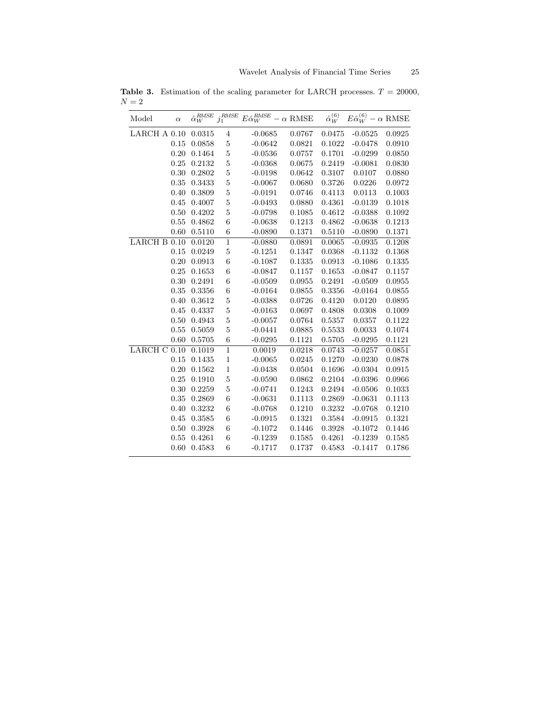| Model                | $\alpha$ | $\hat{\alpha}_W^{RMSE}$ | $j_1^\mathit{RMSE}$ | $E\hat{\alpha}_W^{RMSE}-\alpha$ RMSE |        | $\hat{\alpha}_W^{(6)}$ | $E\hat{\alpha}_W^{(6)} - \alpha$ RMSE |        |
|----------------------|----------|-------------------------|---------------------|--------------------------------------|--------|------------------------|---------------------------------------|--------|
| $\rm LARCH$ A $0.10$ |          | 0.0315                  | $\overline{4}$      | $-0.0685$                            | 0.0767 | 0.0475                 | $-0.0525$                             | 0.0925 |
|                      | 0.15     | 0.0858                  | $\bf 5$             | $-0.0642$                            | 0.0821 | 0.1022                 | $-0.0478$                             | 0.0910 |
|                      | 0.20     | 0.1464                  | $\overline{5}$      | $-0.0536$                            | 0.0757 | 0.1701                 | $-0.0299$                             | 0.0850 |
|                      | 0.25     | 0.2132                  | $\bf 5$             | $-0.0368$                            | 0.0675 | 0.2419                 | $-0.0081$                             | 0.0830 |
|                      | 0.30     | 0.2802                  | $\mathbf 5$         | $-0.0198$                            | 0.0642 | 0.3107                 | 0.0107                                | 0.0880 |
|                      | 0.35     | 0.3433                  | $\overline{5}$      | $-0.0067$                            | 0.0680 | 0.3726                 | 0.0226                                | 0.0972 |
|                      | 0.40     | 0.3809                  | $\overline{5}$      | $-0.0191$                            | 0.0746 | 0.4113                 | 0.0113                                | 0.1003 |
|                      | 0.45     | 0.4007                  | $\overline{5}$      | $-0.0493$                            | 0.0880 | 0.4361                 | $-0.0139$                             | 0.1018 |
|                      | 0.50     | 0.4202                  | $\bf 5$             | $-0.0798$                            | 0.1085 | 0.4612                 | $-0.0388$                             | 0.1092 |
|                      | 0.55     | 0.4862                  | 6                   | $-0.0638$                            | 0.1213 | 0.4862                 | $-0.0638$                             | 0.1213 |
|                      | 0.60     | 0.5110                  | $\,6$               | $-0.0890$                            | 0.1371 | 0.5110                 | $-0.0890$                             | 0.1371 |
| LARCH B 0.10         |          | 0.0120                  | $\mathbf{1}$        | $-0.0880$                            | 0.0891 | 0.0065                 | $-0.0935$                             | 0.1208 |
|                      | 0.15     | 0.0249                  | $\bf 5$             | $-0.1251$                            | 0.1347 | 0.0368                 | $-0.1132$                             | 0.1368 |
|                      | 0.20     | 0.0913                  | $\,6$               | $-0.1087$                            | 0.1335 | 0.0913                 | $-0.1086$                             | 0.1335 |
|                      | 0.25     | 0.1653                  | $\,6$               | $-0.0847$                            | 0.1157 | 0.1653                 | $-0.0847$                             | 0.1157 |
|                      | 0.30     | 0.2491                  | 6                   | $-0.0509$                            | 0.0955 | 0.2491                 | $-0.0509$                             | 0.0955 |
|                      | 0.35     | 0.3356                  | $\,6$               | $-0.0164$                            | 0.0855 | 0.3356                 | $-0.0164$                             | 0.0855 |
|                      | 0.40     | 0.3612                  | $\bf 5$             | $-0.0388$                            | 0.0726 | 0.4120                 | 0.0120                                | 0.0895 |
|                      | 0.45     | 0.4337                  | $\mathbf 5$         | $-0.0163$                            | 0.0697 | 0.4808                 | 0.0308                                | 0.1009 |
|                      | 0.50     | 0.4943                  | $\overline{5}$      | $-0.0057$                            | 0.0764 | 0.5357                 | 0.0357                                | 0.1122 |
|                      | 0.55     | 0.5059                  | $\overline{5}$      | $-0.0441$                            | 0.0885 | 0.5533                 | 0.0033                                | 0.1074 |
|                      | 0.60     | 0.5705                  | $\,6$               | $-0.0295$                            | 0.1121 | 0.5705                 | $-0.0295$                             | 0.1121 |
| LARCH C 0.10         |          | 0.1019                  | $\mathbf{1}$        | 0.0019                               | 0.0218 | 0.0743                 | $-0.0257$                             | 0.0851 |
|                      | 0.15     | 0.1435                  | $\mathbf{1}$        | $-0.0065$                            | 0.0245 | 0.1270                 | $-0.0230$                             | 0.0878 |
|                      | 0.20     | 0.1562                  | $\mathbf{1}$        | $-0.0438$                            | 0.0504 | 0.1696                 | $-0.0304$                             | 0.0915 |
|                      | 0.25     | 0.1910                  | $\overline{5}$      | $-0.0590$                            | 0.0862 | 0.2104                 | $-0.0396$                             | 0.0966 |
|                      | 0.30     | 0.2259                  | $\overline{5}$      | $-0.0741$                            | 0.1243 | 0.2494                 | $-0.0506$                             | 0.1033 |
|                      | 0.35     | 0.2869                  | 6                   | $-0.0631$                            | 0.1113 | 0.2869                 | $-0.0631$                             | 0.1113 |
|                      | 0.40     | 0.3232                  | 6                   | $-0.0768$                            | 0.1210 | 0.3232                 | $-0.0768$                             | 0.1210 |
|                      | 0.45     | 0.3585                  | 6                   | $-0.0915$                            | 0.1321 | 0.3584                 | $-0.0915$                             | 0.1321 |
|                      | 0.50     | 0.3928                  | 6                   | $-0.1072$                            | 0.1446 | 0.3928                 | $-0.1072$                             | 0.1446 |
|                      | 0.55     | 0.4261                  | 6                   | $-0.1239$                            | 0.1585 | 0.4261                 | $-0.1239$                             | 0.1585 |
|                      | 0.60     | 0.4583                  | 6                   | $-0.1717$                            | 0.1737 | 0.4583                 | $-0.1417$                             | 0.1786 |

Table 3. Estimation of the scaling parameter for LARCH processes.  $T = 20000$ ,  ${\cal N}=2$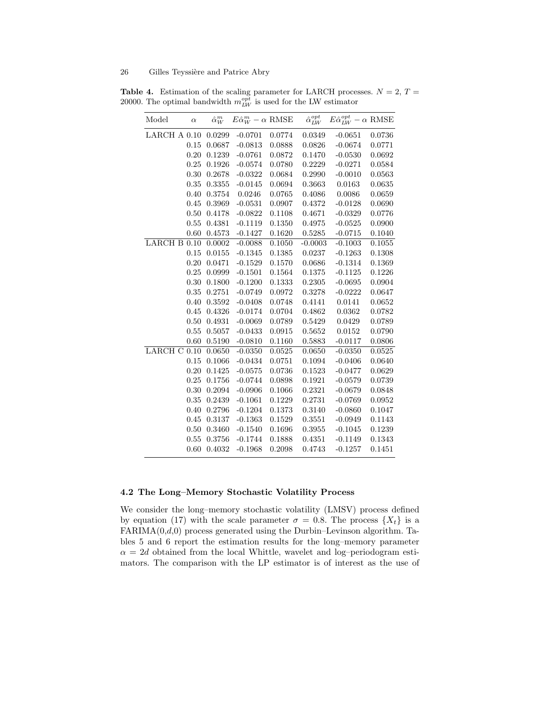| Model                | $\alpha$ | $\hat{\alpha}_W^m$ | $E\hat{\alpha}_W^m - \alpha$ RMSE |        | $\hat{\alpha}_{LW}^{opt}$ | $E\hat{\alpha}_{LW}^{opt} - \alpha$ RMSE |        |
|----------------------|----------|--------------------|-----------------------------------|--------|---------------------------|------------------------------------------|--------|
| $\rm LARCH$ A $0.10$ |          | 0.0299             | $-0.0701$                         | 0.0774 | 0.0349                    | $-0.0651$                                | 0.0736 |
|                      | 0.15     | 0.0687             | $-0.0813$                         | 0.0888 | 0.0826                    | $-0.0674$                                | 0.0771 |
|                      | 0.20     | 0.1239             | $-0.0761$                         | 0.0872 | 0.1470                    | $-0.0530$                                | 0.0692 |
|                      | 0.25     | 0.1926             | $-0.0574$                         | 0.0780 | 0.2229                    | $-0.0271$                                | 0.0584 |
|                      | 0.30     | 0.2678             | $-0.0322$                         | 0.0684 | 0.2990                    | $-0.0010$                                | 0.0563 |
|                      | 0.35     | 0.3355             | $-0.0145$                         | 0.0694 | $\, 0.3663 \,$            | 0.0163                                   | 0.0635 |
|                      | 0.40     | 0.3754             | 0.0246                            | 0.0765 | 0.4086                    | 0.0086                                   | 0.0659 |
|                      | 0.45     | 0.3969             | $-0.0531$                         | 0.0907 | 0.4372                    | $-0.0128$                                | 0.0690 |
|                      | 0.50     | 0.4178             | $-0.0822$                         | 0.1108 | 0.4671                    | $-0.0329$                                | 0.0776 |
|                      | 0.55     | 0.4381             | $-0.1119$                         | 0.1350 | 0.4975                    | $-0.0525$                                | 0.0900 |
|                      | 0.60     | 0.4573             | $-0.1427$                         | 0.1620 | 0.5285                    | $-0.0715$                                | 0.1040 |
| LARCH B 0.10         |          | 0.0002             | $-0.0088$                         | 0.1050 | $-0.0003$                 | $-0.1003$                                | 0.1055 |
|                      | 0.15     | 0.0155             | $-0.1345$                         | 0.1385 | 0.0237                    | $-0.1263$                                | 0.1308 |
|                      | 0.20     | 0.0471             | $-0.1529$                         | 0.1570 | 0.0686                    | $-0.1314$                                | 0.1369 |
|                      | 0.25     | 0.0999             | $-0.1501$                         | 0.1564 | 0.1375                    | $-0.1125$                                | 0.1226 |
|                      | 0.30     | 0.1800             | $-0.1200$                         | 0.1333 | 0.2305                    | $-0.0695$                                | 0.0904 |
|                      | 0.35     | 0.2751             | $-0.0749$                         | 0.0972 | 0.3278                    | $-0.0222$                                | 0.0647 |
|                      | 0.40     | 0.3592             | $-0.0408$                         | 0.0748 | 0.4141                    | 0.0141                                   | 0.0652 |
|                      | 0.45     | 0.4326             | $-0.0174$                         | 0.0704 | 0.4862                    | 0.0362                                   | 0.0782 |
|                      | 0.50     | 0.4931             | $-0.0069$                         | 0.0789 | 0.5429                    | 0.0429                                   | 0.0789 |
|                      | 0.55     | 0.5057             | $-0.0433$                         | 0.0915 | 0.5652                    | 0.0152                                   | 0.0790 |
|                      | 0.60     | 0.5190             | $-0.0810$                         | 0.1160 | 0.5883                    | $-0.0117$                                | 0.0806 |
| LARCHC 0.10          |          | 0.0650             | $-0.0350$                         | 0.0525 | 0.0650                    | $-0.0350$                                | 0.0525 |
|                      | 0.15     | 0.1066             | $-0.0434$                         | 0.0751 | 0.1094                    | $-0.0406$                                | 0.0640 |
|                      | 0.20     | 0.1425             | $-0.0575$                         | 0.0736 | 0.1523                    | $-0.0477$                                | 0.0629 |
|                      | 0.25     | 0.1756             | $-0.0744$                         | 0.0898 | 0.1921                    | $-0.0579$                                | 0.0739 |
|                      | 0.30     | 0.2094             | $-0.0906$                         | 0.1066 | 0.2321                    | $-0.0679$                                | 0.0848 |
|                      | 0.35     | 0.2439             | $-0.1061$                         | 0.1229 | 0.2731                    | $-0.0769$                                | 0.0952 |
|                      | 0.40     | 0.2796             | $-0.1204$                         | 0.1373 | 0.3140                    | $-0.0860$                                | 0.1047 |
|                      | 0.45     | 0.3137             | $-0.1363$                         | 0.1529 | 0.3551                    | $-0.0949$                                | 0.1143 |
|                      | 0.50     | 0.3460             | $-0.1540$                         | 0.1696 | 0.3955                    | $-0.1045$                                | 0.1239 |
|                      | 0.55     | 0.3756             | $-0.1744$                         | 0.1888 | 0.4351                    | $-0.1149$                                | 0.1343 |
|                      | 0.60     | 0.4032             | $-0.1968$                         | 0.2098 | 0.4743                    | $-0.1257$                                | 0.1451 |

**Table 4.** Estimation of the scaling parameter for LARCH processes.  $N = 2$ ,  $T =$ 20000. The optimal bandwidth  $m_{LW}^{opt}$  is used for the LW estimator

## 4.2 The Long–Memory Stochastic Volatility Process

We consider the long–memory stochastic volatility (LMSV) process defined by equation (17) with the scale parameter  $\sigma = 0.8$ . The process  $\{X_t\}$  is a  $FARIMA(0,d,0)$  process generated using the Durbin–Levinson algorithm. Tables 5 and 6 report the estimation results for the long–memory parameter  $\alpha = 2d$  obtained from the local Whittle, wavelet and log-periodogram estimators. The comparison with the LP estimator is of interest as the use of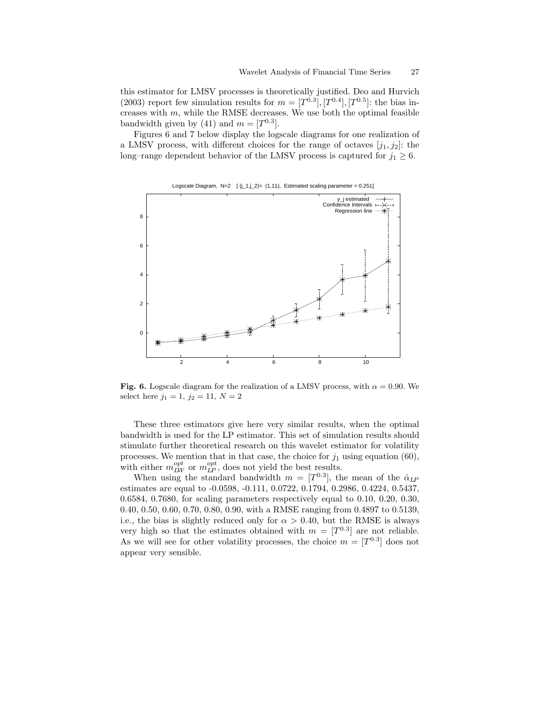this estimator for LMSV processes is theoretically justified. Deo and Hurvich (2003) report few simulation results for  $m = [T^{0.3}]$ ,  $[T^{0.4}]$ ,  $[T^{0.5}]$ : the bias increases with  $m$ , while the RMSE decreases. We use both the optimal feasible bandwidth given by (41) and  $m = [T^{0.3}]$ .

Figures 6 and 7 below display the logscale diagrams for one realization of a LMSV process, with different choices for the range of octaves  $[j_1,j_2]$ : the long–range dependent behavior of the LMSV process is captured for  $j_1 \geq 6$ .



Logscale Diagram, N=2  $[(j_1,j_2)=(1,11)]$ , Estimated scaling parameter = 0.251]

Fig. 6. Logscale diagram for the realization of a LMSV process, with  $\alpha = 0.90$ . We select here  $j_1 = 1, j_2 = 11, N = 2$ 

These three estimators give here very similar results, when the optimal bandwidth is used for the LP estimator. This set of simulation results should stimulate further theoretical research on this wavelet estimator for volatility processes. We mention that in that case, the choice for  $j_1$  using equation (60), with either  $m_{LW}^{opt}$  or  $m_{LP}^{opt}$ , does not yield the best results.

When using the standard bandwidth  $m = [T^{0.3}]$ , the mean of the  $\hat{\alpha}_{\text{LP}}$ estimates are equal to -0.0598, -0.111, 0.0722, 0.1794, 0.2986, 0.4224, 0.5437, 0.6584, 0.7680, for scaling parameters respectively equal to 0.10, 0.20, 0.30, 0.40, 0.50, 0.60, 0.70, 0.80, 0.90, with a RMSE ranging from 0.4897 to 0.5139, i.e., the bias is slightly reduced only for  $\alpha > 0.40$ , but the RMSE is always very high so that the estimates obtained with  $m = [T^{0.3}]$  are not reliable. As we will see for other volatility processes, the choice  $m = [T^{0.3}]$  does not appear very sensible.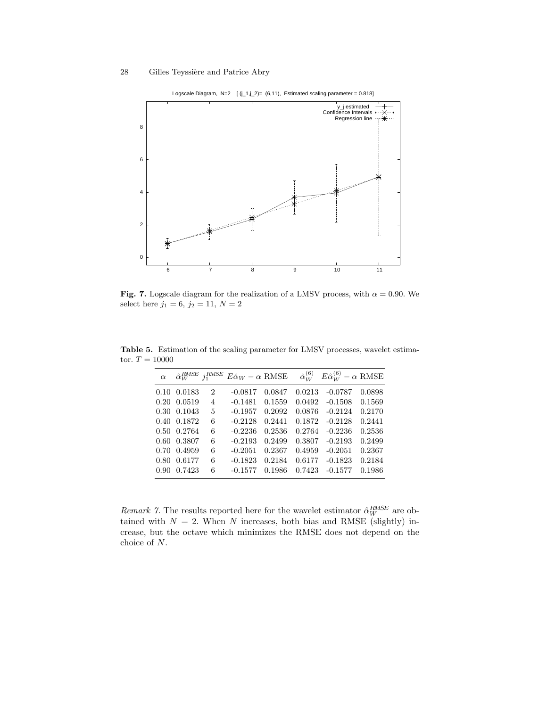

Logscale Diagram, N=2  $[(j_1,j_2)=(6,11)]$ , Estimated scaling parameter = 0.818]

Fig. 7. Logscale diagram for the realization of a LMSV process, with  $\alpha = 0.90$ . We select here  $j_1 = 6, j_2 = 11, N = 2$ 

| $\alpha$ | $\hat{\alpha}_W^{RMSE}$ | $i_1^{RMSE}$ | $E\hat{\alpha}_W - \alpha$ RMSE |        | $\hat{\alpha}_{W}^{(6)}$ | $E\hat{\alpha}_{W}^{(6)} - \alpha$ RMSE |        |
|----------|-------------------------|--------------|---------------------------------|--------|--------------------------|-----------------------------------------|--------|
|          | 0.10 0.0183             | 2            | $-0.0817$                       | 0.0847 | 0.0213                   | $-0.0787$                               | 0.0898 |
|          | 0.20 0.0519             | 4            | $-0.1481$                       | 0.1559 | 0.0492                   | $-0.1508$                               | 0.1569 |
|          | 0.30 0.1043             | 5            | $-0.1957$                       | 0.2092 | 0.0876                   | $-0.2124$                               | 0.2170 |
|          | 0.40 0.1872             | 6            | $-0.2128$                       | 0.2441 | 0.1872                   | $-0.2128$                               | 0.2441 |
|          | 0.50 0.2764             | 6            | $-0.2236$                       | 0.2536 | 0.2764                   | $-0.2236$                               | 0.2536 |
|          | 0.60 0.3807             | 6            | $-0.2193$                       | 0.2499 | 0.3807                   | $-0.2193$                               | 0.2499 |
|          | 0.70 0.4959             | 6            | $-0.2051$                       | 0.2367 | 0.4959                   | $-0.2051$                               | 0.2367 |
| $0.80 -$ | 0.6177                  | 6            | $-0.1823$                       | 0.2184 | 0.6177                   | $-0.1823$                               | 0.2184 |
| 0.90     | 0.7423                  | 6            | $-0.1577$                       | 0.1986 | 0.7423                   | $-0.1577$                               | 0.1986 |
|          |                         |              |                                 |        |                          |                                         |        |

Table 5. Estimation of the scaling parameter for LMSV processes, wavelet estimator.  $T = 10000$ 

*Remark 7*. The results reported here for the wavelet estimator  $\hat{\alpha}_W^{RMSE}$  are obtained with  $N = 2$ . When N increases, both bias and RMSE (slightly) increase, but the octave which minimizes the RMSE does not depend on the choice of N.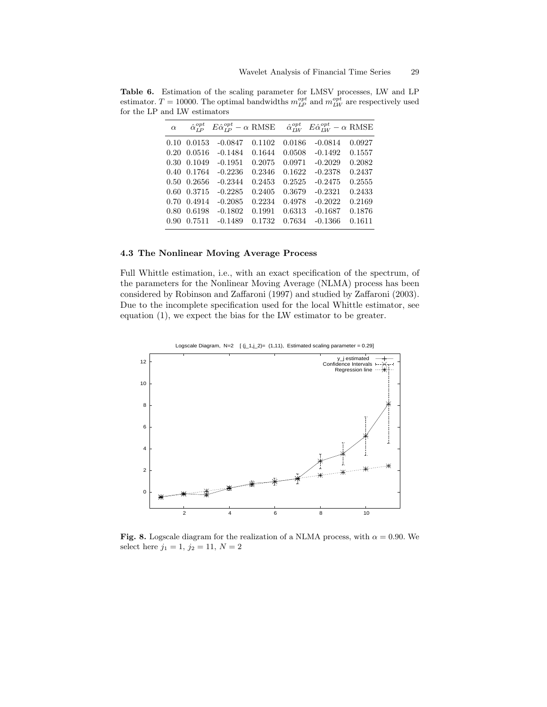| $\alpha$ | $\hat{\alpha}_{\tau p}^{opt}$ | $E\hat{\alpha}_{IP}^{opt} - \alpha$ RMSE |        | $\hat{\alpha}_{\scriptscriptstyle I\scriptscriptstyle I\scriptscriptstyle W}^{\scriptscriptstyle opt}$ | $E\hat{\alpha}_{IW}^{opt} - \alpha$ RMSE |        |
|----------|-------------------------------|------------------------------------------|--------|--------------------------------------------------------------------------------------------------------|------------------------------------------|--------|
| 0.10     | 0.0153                        | $-0.0847$                                | 0.1102 | 0.0186                                                                                                 | $-0.0814$                                | 0.0927 |
| 0.20     | 0.0516                        | $-0.1484$                                | 0.1644 | 0.0508                                                                                                 | $-0.1492$                                | 0.1557 |
|          | 0.30 0.1049                   | $-0.1951$                                | 0.2075 | 0.0971                                                                                                 | $-0.2029$                                | 0.2082 |
|          | 0.40 0.1764                   | $-0.2236$                                | 0.2346 | 0.1622                                                                                                 | $-0.2378$                                | 0.2437 |
|          | $0.50 \quad 0.2656$           | $-0.2344$                                | 0.2453 | 0.2525                                                                                                 | $-0.2475$                                | 0.2555 |
|          | 0.60 0.3715                   | $-0.2285$                                | 0.2405 | 0.3679                                                                                                 | $-0.2321$                                | 0.2433 |
|          | 0.70 0.4914                   | $-0.2085$                                | 0.2234 | 0.4978                                                                                                 | $-0.2022$                                | 0.2169 |
| 0.80     | 0.6198                        | $-0.1802$                                | 0.1991 | 0.6313                                                                                                 | $-0.1687$                                | 0.1876 |
| 0.90     | 0.7511                        | $-0.1489$                                | 0.1732 | 0.7634                                                                                                 | $-0.1366$                                | 0.1611 |
|          |                               |                                          |        |                                                                                                        |                                          |        |

Table 6. Estimation of the scaling parameter for LMSV processes, LW and LP estimator.  $T = 10000$ . The optimal bandwidths  $m_{LP}^{opt}$  and  $m_{LW}^{opt}$  are respectively used for the LP and LW estimators

#### 4.3 The Nonlinear Moving Average Process

Full Whittle estimation, i.e., with an exact specification of the spectrum, of the parameters for the Nonlinear Moving Average (NLMA) process has been considered by Robinson and Zaffaroni (1997) and studied by Zaffaroni (2003). Due to the incomplete specification used for the local Whittle estimator, see equation (1), we expect the bias for the LW estimator to be greater.



Logscale Diagram,  $N=2$   $[(j_1, j_2) = (1, 11)$ , Estimated scaling parameter = 0.29]

Fig. 8. Logscale diagram for the realization of a NLMA process, with  $\alpha = 0.90$ . We select here  $j_1 = 1, j_2 = 11, N = 2$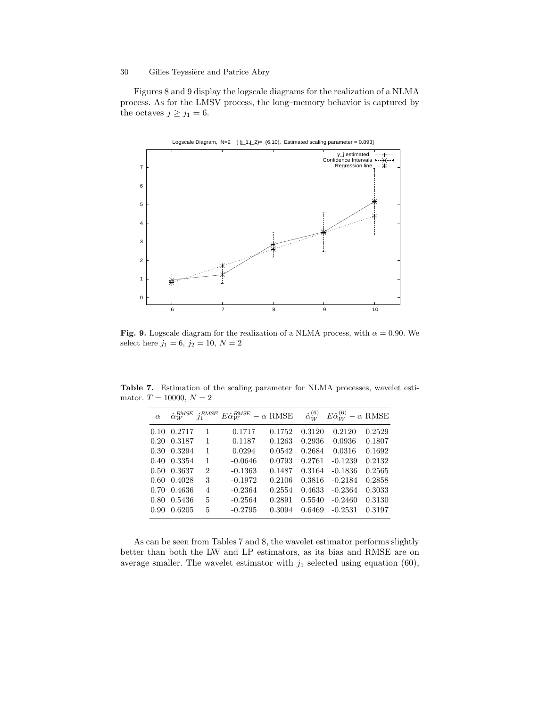Figures 8 and 9 display the logscale diagrams for the realization of a NLMA process. As for the LMSV process, the long–memory behavior is captured by the octaves  $j \ge j_1 = 6$ .



Fig. 9. Logscale diagram for the realization of a NLMA process, with  $\alpha = 0.90$ . We select here  $j_1 = 6, j_2 = 10, N = 2$ 

Table 7. Estimation of the scaling parameter for NLMA processes, wavelet estimator.  $T = 10000, N = 2$ 

| $\alpha$ |             | $\hat{\alpha}_W^{RMSE}$ $j_1^{RMSE}$ | $E\hat{\alpha}_{W}^{RMSE} - \alpha$ RMSE |        | $\hat{\alpha}_{W}^{(6)}$ | $E\hat{\alpha}_{W}^{(6)} - \alpha$ RMSE |        |
|----------|-------------|--------------------------------------|------------------------------------------|--------|--------------------------|-----------------------------------------|--------|
|          | 0.10 0.2717 | 1                                    | 0.1717                                   | 0.1752 | 0.3120                   | 0.2120                                  | 0.2529 |
|          | 0.20 0.3187 | 1                                    | 0.1187                                   | 0.1263 | 0.2936                   | 0.0936                                  | 0.1807 |
|          | 0.30 0.3294 | 1                                    | 0.0294                                   | 0.0542 | 0.2684                   | 0.0316                                  | 0.1692 |
|          | 0.40 0.3354 | 1                                    | $-0.0646$                                | 0.0793 | 0.2761                   | $-0.1239$                               | 0.2132 |
|          | 0.50 0.3637 | $\overline{2}$                       | $-0.1363$                                | 0.1487 | 0.3164                   | $-0.1836$                               | 0.2565 |
|          | 0.60 0.4028 | 3                                    | $-0.1972$                                | 0.2106 | 0.3816                   | $-0.2184$                               | 0.2858 |
|          | 0.70 0.4636 | 4                                    | $-0.2364$                                | 0.2554 | 0.4633                   | $-0.2364$                               | 0.3033 |
|          | 0.80 0.5436 | 5                                    | $-0.2564$                                | 0.2891 | 0.5540                   | $-0.2460$                               | 0.3130 |
| 0.90     | 0.6205      | 5                                    | $-0.2795$                                | 0.3094 | 0.6469                   | $-0.2531$                               | 0.3197 |

As can be seen from Tables 7 and 8, the wavelet estimator performs slightly better than both the LW and LP estimators, as its bias and RMSE are on average smaller. The wavelet estimator with  $j_1$  selected using equation (60),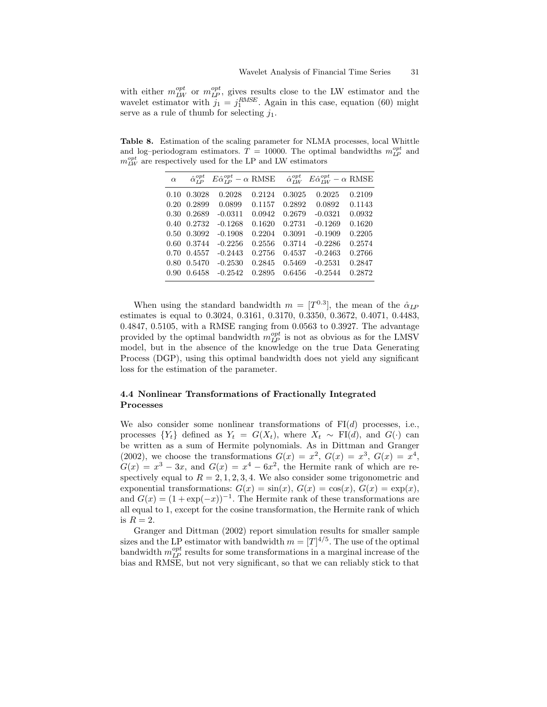with either  $m_{LW}^{opt}$  or  $m_{LP}^{opt}$ , gives results close to the LW estimator and the wavelet estimator with  $j_1 = j_1^{RMSE}$ . Again in this case, equation (60) might serve as a rule of thumb for selecting  $j_1$ .

Table 8. Estimation of the scaling parameter for NLMA processes, local Whittle and log-periodogram estimators.  $T = 10000$ . The optimal bandwidths  $m_{LP}^{opt}$  and  $m_{LW}^{opt}$  are respectively used for the LP and LW estimators

| $\alpha$ | $\hat{\alpha}_{I}^{opt}$ | $E\hat{\alpha}_{LP}^{opt} - \alpha$ RMSE |        |        | $\hat{\alpha}_{IW}^{opt}$ $E \hat{\alpha}_{IW}^{opt} - \alpha$ RMSE |        |
|----------|--------------------------|------------------------------------------|--------|--------|---------------------------------------------------------------------|--------|
| 0.10     | 0.3028                   | 0.2028                                   | 0.2124 | 0.3025 | 0.2025                                                              | 0.2109 |
| 0.20     | 0.2899                   | 0.0899                                   | 0.1157 | 0.2892 | 0.0892                                                              | 0.1143 |
| 0.30     | 0.2689                   | $-0.0311$                                | 0.0942 | 0.2679 | $-0.0321$                                                           | 0.0932 |
| 0.40     | 0.2732                   | $-0.1268$                                | 0.1620 | 0.2731 | $-0.1269$                                                           | 0.1620 |
| 0.50     | 0.3092                   | $-0.1908$                                | 0.2204 | 0.3091 | $-0.1909$                                                           | 0.2205 |
| 0.60     | 0.3744                   | $-0.2256$                                | 0.2556 | 0.3714 | $-0.2286$                                                           | 0.2574 |
| 0.70     | 0.4557                   | $-0.2443$                                | 0.2756 | 0.4537 | $-0.2463$                                                           | 0.2766 |
| 0.80     | 0.5470                   | $-0.2530$                                | 0.2845 | 0.5469 | $-0.2531$                                                           | 0.2847 |
| 0.90     | 0.6458                   | $-0.2542$                                | 0.2895 | 0.6456 | $-0.2544$                                                           | 0.2872 |
|          |                          |                                          |        |        |                                                                     |        |

When using the standard bandwidth  $m = [T^{0.3}]$ , the mean of the  $\hat{\alpha}_{\text{LP}}$ estimates is equal to 0.3024, 0.3161, 0.3170, 0.3350, 0.3672, 0.4071, 0.4483, 0.4847, 0.5105, with a RMSE ranging from 0.0563 to 0.3927. The advantage provided by the optimal bandwidth  $m_{LP}^{opt}$  is not as obvious as for the LMSV model, but in the absence of the knowledge on the true Data Generating Process (DGP), using this optimal bandwidth does not yield any significant loss for the estimation of the parameter.

## 4.4 Nonlinear Transformations of Fractionally Integrated Processes

We also consider some nonlinear transformations of  $FI(d)$  processes, i.e., processes  ${Y_t}$  defined as  $Y_t = G(X_t)$ , where  $X_t \sim \text{FI}(d)$ , and  $G(\cdot)$  can be written as a sum of Hermite polynomials. As in Dittman and Granger (2002), we choose the transformations  $G(x) = x^2$ ,  $G(x) = x^3$ ,  $G(x) = x^4$ ,  $G(x) = x^3 - 3x$ , and  $G(x) = x^4 - 6x^2$ , the Hermite rank of which are respectively equal to  $R = 2, 1, 2, 3, 4$ . We also consider some trigonometric and exponential transformations:  $G(x) = sin(x), G(x) = cos(x), G(x) = exp(x),$ and  $G(x) = (1 + \exp(-x))^{-1}$ . The Hermite rank of these transformations are all equal to 1, except for the cosine transformation, the Hermite rank of which is  $R=2$ .

Granger and Dittman (2002) report simulation results for smaller sample sizes and the LP estimator with bandwidth  $m = [T]^{4/5}$ . The use of the optimal bandwidth  $m_{LP}^{opt}$  results for some transformations in a marginal increase of the bias and RMSE, but not very significant, so that we can reliably stick to that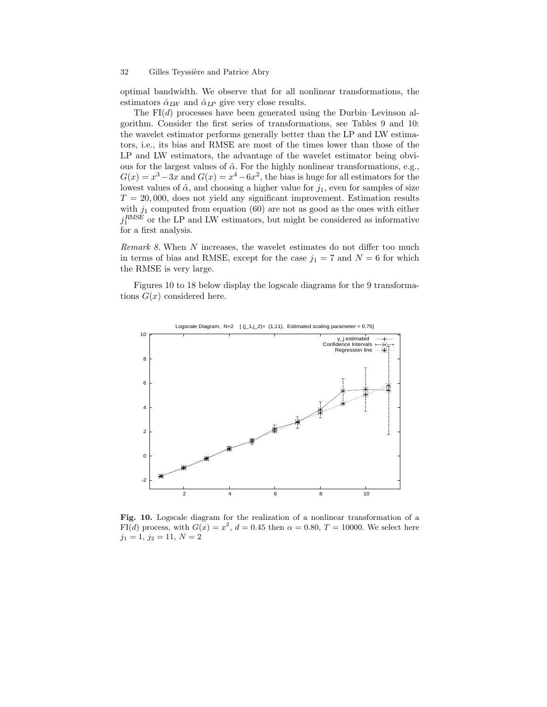optimal bandwidth. We observe that for all nonlinear transformations, the estimators  $\hat{\alpha}_{LW}$  and  $\hat{\alpha}_{LP}$  give very close results.

The  $FI(d)$  processes have been generated using the Durbin–Levinson algorithm. Consider the first series of transformations, see Tables 9 and 10: the wavelet estimator performs generally better than the LP and LW estimators, i.e., its bias and RMSE are most of the times lower than those of the LP and LW estimators, the advantage of the wavelet estimator being obvious for the largest values of  $\tilde{\alpha}$ . For the highly nonlinear transformations, e.g.,  $G(x) = x^3 - 3x$  and  $G(x) = x^4 - 6x^2$ , the bias is huge for all estimators for the lowest values of  $\tilde{\alpha}$ , and choosing a higher value for  $j_1$ , even for samples of size  $T = 20,000$ , does not yield any significant improvement. Estimation results with  $j_1$  computed from equation (60) are not as good as the ones with either  $j_1^{RMSE}$  or the LP and LW estimators, but might be considered as informative for a first analysis.

Remark 8. When N increases, the wavelet estimates do not differ too much in terms of bias and RMSE, except for the case  $j_1 = 7$  and  $N = 6$  for which the RMSE is very large.

Figures 10 to 18 below display the logscale diagrams for the 9 transformations  $G(x)$  considered here.



Logscale Diagram, N=2  $[(j_1,j_2)=(1,11)]$ , Estimated scaling parameter = 0.75]

Fig. 10. Logscale diagram for the realization of a nonlinear transformation of a FI(d) process, with  $G(x) = x^2$ ,  $d = 0.45$  then  $\alpha = 0.80$ ,  $T = 10000$ . We select here  $j_1 = 1, j_2 = 11, N = 2$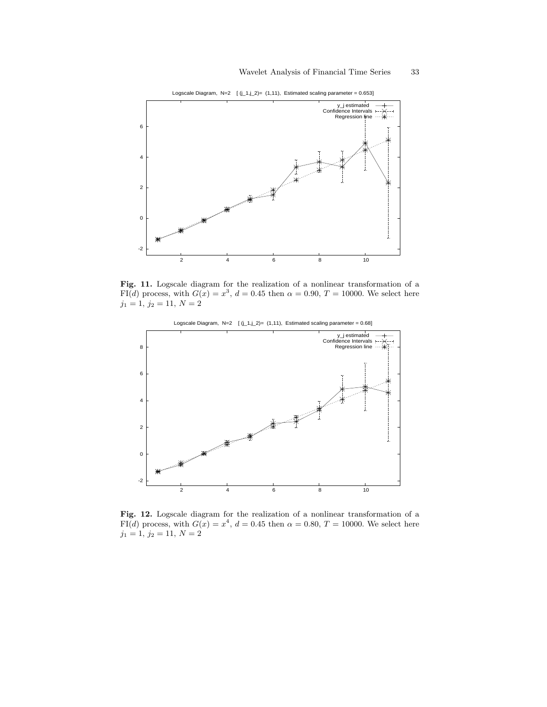

Logscale Diagram, N=2  $[(j_1,j_2)=(1,11)]$ , Estimated scaling parameter = 0.653]

Fig. 11. Logscale diagram for the realization of a nonlinear transformation of a FI(d) process, with  $G(x) = x^3$ ,  $d = 0.45$  then  $\alpha = 0.90$ ,  $T = 10000$ . We select here  $j_1 = 1, j_2 = 11, N = 2$ 



Logscale Diagram, N=2  $[(j_1,j_2)=(1,11)]$ , Estimated scaling parameter = 0.68]

Fig. 12. Logscale diagram for the realization of a nonlinear transformation of a FI(d) process, with  $G(x) = x^4$ ,  $d = 0.45$  then  $\alpha = 0.80$ ,  $T = 10000$ . We select here  $j_1 = 1, j_2 = 11, N = 2$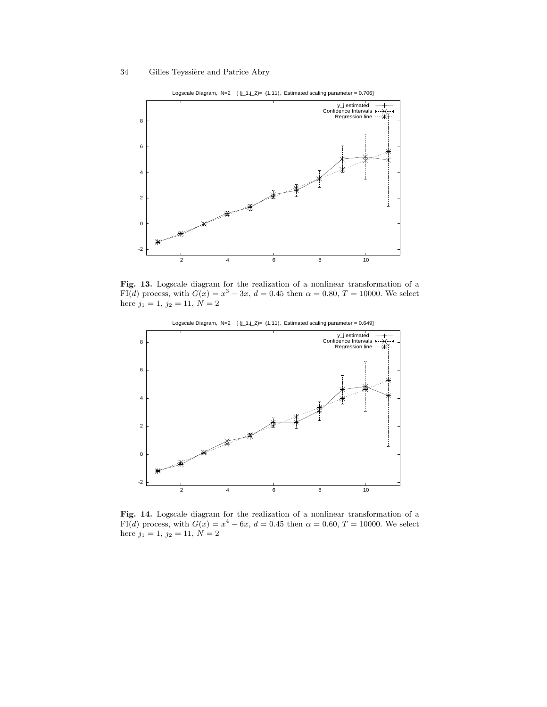



Fig. 13. Logscale diagram for the realization of a nonlinear transformation of a FI(d) process, with  $G(x) = x^3 - 3x$ ,  $d = 0.45$  then  $\alpha = 0.80$ ,  $T = 10000$ . We select here  $j_1 = 1, j_2 = 11, N = 2$ 



Logscale Diagram, N=2  $[(j_1,j_2)=(1,11)]$ , Estimated scaling parameter = 0.649]

Fig. 14. Logscale diagram for the realization of a nonlinear transformation of a FI(d) process, with  $G(x) = x^4 - 6x$ ,  $d = 0.45$  then  $\alpha = 0.60$ ,  $T = 10000$ . We select here  $j_1 = 1, j_2 = 11, N = 2$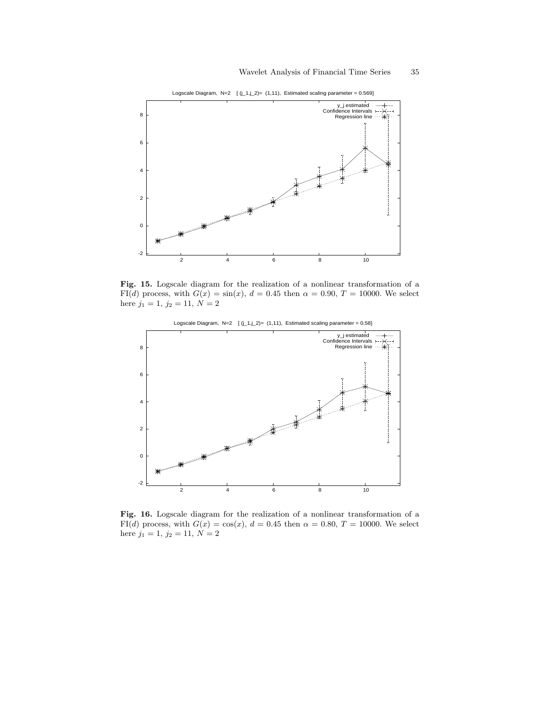

Logscale Diagram, N=2  $[(j_1, j_2) = (1, 11)$ , Estimated scaling parameter = 0.569]

Fig. 15. Logscale diagram for the realization of a nonlinear transformation of a FI(d) process, with  $G(x) = sin(x)$ ,  $d = 0.45$  then  $\alpha = 0.90$ ,  $T = 10000$ . We select here  $j_1 = 1, j_2 = 11, N = 2$ 



Logscale Diagram, N=2  $[(j_1,j_2)=(1,11)]$ , Estimated scaling parameter = 0.58]

Fig. 16. Logscale diagram for the realization of a nonlinear transformation of a FI(d) process, with  $G(x) = \cos(x)$ ,  $d = 0.45$  then  $\alpha = 0.80$ ,  $T = 10000$ . We select here  $j_1 = 1, j_2 = 11, N = 2$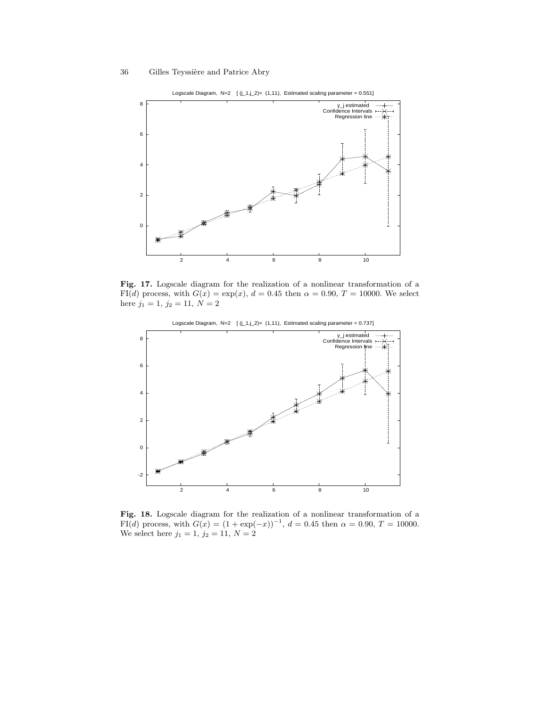

Logscale Diagram, N=2  $[(j_1,j_2)=(1,11),$  Estimated scaling parameter = 0.551]

Fig. 17. Logscale diagram for the realization of a nonlinear transformation of a FI(d) process, with  $G(x) = \exp(x)$ ,  $d = 0.45$  then  $\alpha = 0.90$ ,  $T = 10000$ . We select here  $j_1 = 1, j_2 = 11, N = 2$ 



Logscale Diagram, N=2  $[(j_1,j_2)=(1,11)]$ , Estimated scaling parameter = 0.737]

Fig. 18. Logscale diagram for the realization of a nonlinear transformation of a FI(d) process, with  $G(x) = (1 + \exp(-x))^{-1}$ ,  $d = 0.45$  then  $\alpha = 0.90$ ,  $T = 10000$ . We select here  $j_1 = 1, j_2 = 11, N = 2$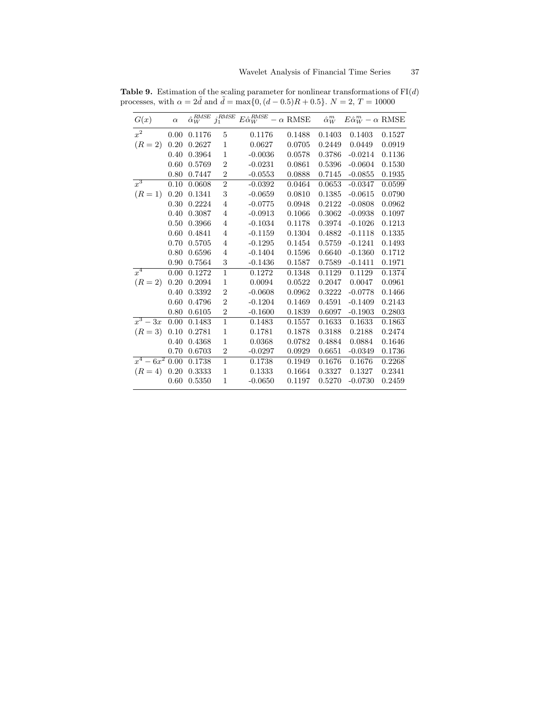| G(x)       | $\alpha$ |        |                | $\hat{\alpha}_{W}^{RMSE}$ j <sub>1</sub> <sup>RMSE</sup> $E \hat{\alpha}_{W}^{RMSE} - \alpha$ RMSE |        | $\hat{\alpha}_W^m$ | $E\hat{\alpha}_W^m - \alpha$ RMSE |        |
|------------|----------|--------|----------------|----------------------------------------------------------------------------------------------------|--------|--------------------|-----------------------------------|--------|
| $x^2$      | 0.00     | 0.1176 | 5              | 0.1176                                                                                             | 0.1488 | 0.1403             | 0.1403                            | 0.1527 |
| $(R = 2)$  | 0.20     | 0.2627 | 1              | 0.0627                                                                                             | 0.0705 | 0.2449             | 0.0449                            | 0.0919 |
|            | 0.40     | 0.3964 | $\mathbf{1}$   | $-0.0036$                                                                                          | 0.0578 | 0.3786             | $-0.0214$                         | 0.1136 |
|            | 0.60     | 0.5769 | $\overline{2}$ | $-0.0231$                                                                                          | 0.0861 | 0.5396             | $-0.0604$                         | 0.1530 |
|            | 0.80     | 0.7447 | $\sqrt{2}$     | $-0.0553$                                                                                          | 0.0888 | 0.7145             | $-0.0855$                         | 0.1935 |
| $x^3$      | 0.10     | 0.0608 | $\overline{2}$ | $-0.0392$                                                                                          | 0.0464 | 0.0653             | $-0.0347$                         | 0.0599 |
| $(R = 1)$  | 0.20     | 0.1341 | 3              | $-0.0659$                                                                                          | 0.0810 | 0.1385             | $-0.0615$                         | 0.0790 |
|            | 0.30     | 0.2224 | 4              | $-0.0775$                                                                                          | 0.0948 | 0.2122             | $-0.0808$                         | 0.0962 |
|            | 0.40     | 0.3087 | 4              | $-0.0913$                                                                                          | 0.1066 | 0.3062             | $-0.0938$                         | 0.1097 |
|            | 0.50     | 0.3966 | 4              | $-0.1034$                                                                                          | 0.1178 | 0.3974             | $-0.1026$                         | 0.1213 |
|            | 0.60     | 0.4841 | 4              | $-0.1159$                                                                                          | 0.1304 | 0.4882             | $-0.1118$                         | 0.1335 |
|            | 0.70     | 0.5705 | 4              | $-0.1295$                                                                                          | 0.1454 | 0.5759             | $-0.1241$                         | 0.1493 |
|            | 0.80     | 0.6596 | 4              | $-0.1404$                                                                                          | 0.1596 | 0.6640             | $-0.1360$                         | 0.1712 |
|            | 0.90     | 0.7564 | 3              | $-0.1436$                                                                                          | 0.1587 | 0.7589             | $-0.1411$                         | 0.1971 |
| $x^4$      | 0.00     | 0.1272 | $\mathbf{1}$   | 0.1272                                                                                             | 0.1348 | 0.1129             | 0.1129                            | 0.1374 |
| $(R = 2)$  | 0.20     | 0.2094 | $\mathbf{1}$   | 0.0094                                                                                             | 0.0522 | 0.2047             | 0.0047                            | 0.0961 |
|            | 0.40     | 0.3392 | $\overline{2}$ | $-0.0608$                                                                                          | 0.0962 | 0.3222             | $-0.0778$                         | 0.1466 |
|            | 0.60     | 0.4796 | $\overline{2}$ | $-0.1204$                                                                                          | 0.1469 | 0.4591             | $-0.1409$                         | 0.2143 |
|            | 0.80     | 0.6105 | $\overline{2}$ | $-0.1600$                                                                                          | 0.1839 | 0.6097             | $-0.1903$                         | 0.2803 |
| $x^3-3x$   | 0.00     | 0.1483 | $\mathbf{1}$   | 0.1483                                                                                             | 0.1557 | 0.1633             | 0.1633                            | 0.1863 |
| $(R = 3)$  | 0.10     | 0.2781 | $\mathbf{1}$   | 0.1781                                                                                             | 0.1878 | 0.3188             | 0.2188                            | 0.2474 |
|            | 0.40     | 0.4368 | 1              | 0.0368                                                                                             | 0.0782 | 0.4884             | 0.0884                            | 0.1646 |
|            | 0.70     | 0.6703 | $\overline{2}$ | $-0.0297$                                                                                          | 0.0929 | 0.6651             | $-0.0349$                         | 0.1736 |
| $x^4-6x^2$ | 0.00     | 0.1738 | $\mathbf{1}$   | 0.1738                                                                                             | 0.1949 | 0.1676             | 0.1676                            | 0.2268 |
| $(R = 4)$  | 0.20     | 0.3333 | $\mathbf{1}$   | 0.1333                                                                                             | 0.1664 | 0.3327             | 0.1327                            | 0.2341 |
|            | 0.60     | 0.5350 | 1              | $-0.0650$                                                                                          | 0.1197 | 0.5270             | $-0.0730$                         | 0.2459 |
|            |          |        |                |                                                                                                    |        |                    |                                   |        |

**Table 9.** Estimation of the scaling parameter for nonlinear transformations of  $FI(d)$ processes, with  $\alpha = 2\tilde{d}$  and  $\tilde{d} = \max\{0, (d - 0.5)R + 0.5\}$ .  $N = 2, T = 10000$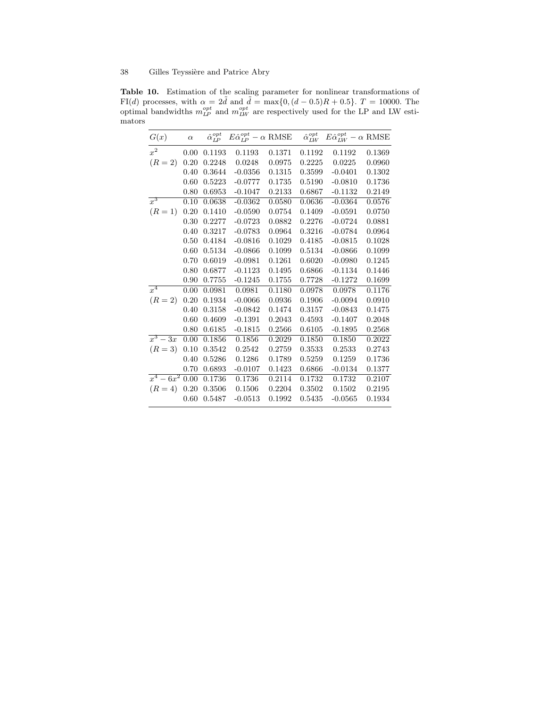Table 10. Estimation of the scaling parameter for nonlinear transformations of FI(d) processes, with  $\alpha = 2\tilde{d}$  and  $\tilde{d} = \max\{0, (d - 0.5)R + 0.5\}$ .  $T = 10000$ . The optimal bandwidths  $m_{LP}^{opt}$  and  $m_{LW}^{opt}$  are respectively used for the LP and LW estimators

| G(x)              | $\alpha$ | $\hat{\alpha}_{LP}^{opt}$ | $E\hat{\alpha}_{LP}^{opt} - \alpha$ RMSE |        | $\hat{\alpha}_{LW}^{opt}$ | $E\hat{\alpha}_{LW}^{opt} - \alpha \text{ RMSE}$ |        |
|-------------------|----------|---------------------------|------------------------------------------|--------|---------------------------|--------------------------------------------------|--------|
| $x^2$             | 0.00     | 0.1193                    | 0.1193                                   | 0.1371 | 0.1192                    | 0.1192                                           | 0.1369 |
| $(R = 2)$         | 0.20     | 0.2248                    | 0.0248                                   | 0.0975 | 0.2225                    | 0.0225                                           | 0.0960 |
|                   | 0.40     | 0.3644                    | $-0.0356$                                | 0.1315 | 0.3599                    | $-0.0401$                                        | 0.1302 |
|                   | 0.60     | 0.5223                    | $-0.0777$                                | 0.1735 | 0.5190                    | $-0.0810$                                        | 0.1736 |
|                   | 0.80     | 0.6953                    | $-0.1047$                                | 0.2133 | 0.6867                    | $-0.1132$                                        | 0.2149 |
| $x^3$             | 0.10     | 0.0638                    | $-0.0362$                                | 0.0580 | 0.0636                    | $-0.0364$                                        | 0.0576 |
| $(R = 1)$         | 0.20     | 0.1410                    | $-0.0590$                                | 0.0754 | 0.1409                    | $-0.0591$                                        | 0.0750 |
|                   | 0.30     | 0.2277                    | $-0.0723$                                | 0.0882 | 0.2276                    | $-0.0724$                                        | 0.0881 |
|                   | 0.40     | 0.3217                    | $-0.0783$                                | 0.0964 | 0.3216                    | $-0.0784$                                        | 0.0964 |
|                   | 0.50     | 0.4184                    | $-0.0816$                                | 0.1029 | 0.4185                    | $-0.0815$                                        | 0.1028 |
|                   | 0.60     | 0.5134                    | $-0.0866$                                | 0.1099 | 0.5134                    | $-0.0866$                                        | 0.1099 |
|                   | 0.70     | 0.6019                    | $-0.0981$                                | 0.1261 | 0.6020                    | $-0.0980$                                        | 0.1245 |
|                   | 0.80     | 0.6877                    | $-0.1123$                                | 0.1495 | 0.6866                    | $-0.1134$                                        | 0.1446 |
|                   | 0.90     | 0.7755                    | $-0.1245$                                | 0.1755 | 0.7728                    | $-0.1272$                                        | 0.1699 |
| $\overline{x^4}$  | 0.00     | 0.0981                    | 0.0981                                   | 0.1180 | 0.0978                    | 0.0978                                           | 0.1176 |
| $(R = 2)$         | 0.20     | 0.1934                    | $-0.0066$                                | 0.0936 | 0.1906                    | $-0.0094$                                        | 0.0910 |
|                   | 0.40     | 0.3158                    | $-0.0842$                                | 0.1474 | 0.3157                    | $-0.0843$                                        | 0.1475 |
|                   | 0.60     | 0.4609                    | $-0.1391$                                | 0.2043 | 0.4593                    | $-0.1407$                                        | 0.2048 |
|                   | 0.80     | 0.6185                    | $-0.1815$                                | 0.2566 | 0.6105                    | $-0.1895$                                        | 0.2568 |
| $x^3-3x$          | 0.00     | 0.1856                    | 0.1856                                   | 0.2029 | 0.1850                    | 0.1850                                           | 0.2022 |
| $(R = 3)$         | 0.10     | 0.3542                    | 0.2542                                   | 0.2759 | 0.3533                    | 0.2533                                           | 0.2743 |
|                   | 0.40     | 0.5286                    | 0.1286                                   | 0.1789 | 0.5259                    | 0.1259                                           | 0.1736 |
|                   | 0.70     | 0.6893                    | $-0.0107$                                | 0.1423 | 0.6866                    | $-0.0134$                                        | 0.1377 |
| $x^4 - 6x^2$ 0.00 |          | 0.1736                    | 0.1736                                   | 0.2114 | 0.1732                    | 0.1732                                           | 0.2107 |
| $(R = 4)$         | 0.20     | $0.3506\,$                | 0.1506                                   | 0.2204 | 0.3502                    | 0.1502                                           | 0.2195 |
|                   | 0.60     | 0.5487                    | $-0.0513$                                | 0.1992 | 0.5435                    | $-0.0565$                                        | 0.1934 |
|                   |          |                           |                                          |        |                           |                                                  |        |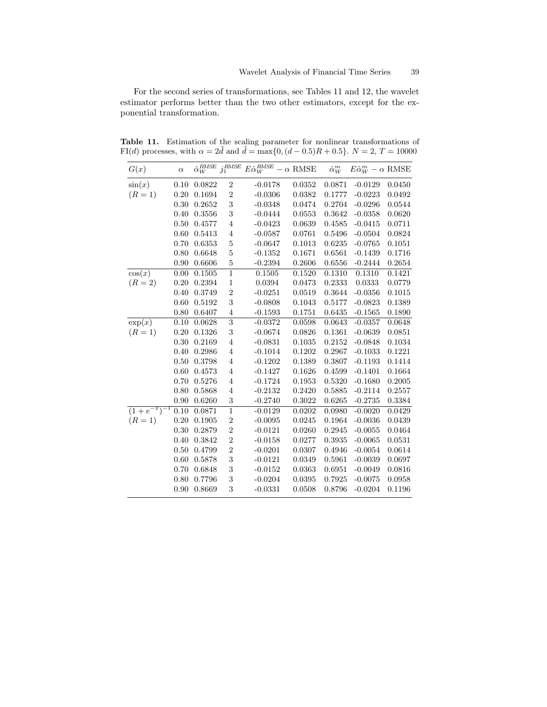For the second series of transformations, see Tables 11 and 12, the wavelet estimator performs better than the two other estimators, except for the exponential transformation.

| G(x)                     | $\alpha$ | $\hat{\alpha}_W^{RMSE}$ | $j_1^{RMSE}$              | $E\hat{\alpha}_W^{RMSE}$ | $ \alpha$ RMSE | $\hat{\alpha}_W^m$ | $E\hat{\alpha}_W^m - \alpha$ RMSE |        |
|--------------------------|----------|-------------------------|---------------------------|--------------------------|----------------|--------------------|-----------------------------------|--------|
| $\sin(x)$                | 0.10     | 0.0822                  | 2                         | $-0.0178$                | 0.0352         | 0.0871             | $-0.0129$                         | 0.0450 |
| $(R = 1)$                | 0.20     | 0.1694                  | $\overline{2}$            | $-0.0306$                | 0.0382         | 0.1777             | $-0.0223$                         | 0.0492 |
|                          | 0.30     | 0.2652                  | 3                         | $-0.0348$                | 0.0474         | 0.2704             | $-0.0296$                         | 0.0544 |
|                          | 0.40     | 0.3556                  | 3                         | $-0.0444$                | 0.0553         | 0.3642             | $-0.0358$                         | 0.0620 |
|                          | 0.50     | 0.4577                  | $\overline{4}$            | $-0.0423$                | 0.0639         | 0.4585             | $-0.0415$                         | 0.0711 |
|                          | 0.60     | 0.5413                  | $\overline{4}$            | $-0.0587$                | 0.0761         | 0.5496             | $-0.0504$                         | 0.0824 |
|                          | 0.70     | 0.6353                  | $\overline{5}$            | $-0.0647$                | 0.1013         | 0.6235             | $-0.0765$                         | 0.1051 |
|                          | 0.80     | 0.6648                  | $\overline{5}$            | $-0.1352$                | 0.1671         | 0.6561             | $-0.1439$                         | 0.1716 |
|                          | 0.90     | 0.6606                  | $\overline{5}$            | $-0.2394$                | 0.2606         | 0.6556             | $-0.2444$                         | 0.2654 |
| $\cos(x)$                | 0.00     | 0.1505                  | $\overline{1}$            | 0.1505                   | 0.1520         | 0.1310             | 0.1310                            | 0.1421 |
| $(R = 2)$                | 0.20     | 0.2394                  | $\mathbf{1}$              | 0.0394                   | 0.0473         | 0.2333             | 0.0333                            | 0.0779 |
|                          | 0.40     | 0.3749                  | $\overline{2}$            | $-0.0251$                | 0.0519         | 0.3644             | $-0.0356$                         | 0.1015 |
|                          | 0.60     | $0.5192\,$              | 3                         | $-0.0808$                | 0.1043         | 0.5177             | $-0.0823$                         | 0.1389 |
|                          | 0.80     | 0.6407                  | $\overline{4}$            | $-0.1593$                | 0.1751         | 0.6435             | $-0.1565$                         | 0.1890 |
| $\exp(x)$                | 0.10     | 0.0628                  | $\overline{\overline{3}}$ | $-0.0372$                | 0.0598         | 0.0643             | $-0.0357$                         | 0.0648 |
| $(R = 1)$                | 0.20     | 0.1326                  | 3                         | $-0.0674$                | 0.0826         | 0.1361             | $-0.0639$                         | 0.0851 |
|                          | 0.30     | 0.2169                  | 4                         | $-0.0831$                | 0.1035         | 0.2152             | $-0.0848$                         | 0.1034 |
|                          | 0.40     | 0.2986                  | $\overline{4}$            | $-0.1014$                | 0.1202         | 0.2967             | $-0.1033$                         | 0.1221 |
|                          | 0.50     | 0.3798                  | $\overline{4}$            | $-0.1202$                | 0.1389         | 0.3807             | $-0.1193$                         | 0.1414 |
|                          | 0.60     | 0.4573                  | $\overline{\mathbf{4}}$   | $-0.1427$                | 0.1626         | 0.4599             | $-0.1401$                         | 0.1664 |
|                          | 0.70     | 0.5276                  | $\overline{4}$            | $-0.1724$                | 0.1953         | 0.5320             | $-0.1680$                         | 0.2005 |
|                          | 0.80     | 0.5868                  | 4                         | $-0.2132$                | 0.2420         | 0.5885             | $-0.2114$                         | 0.2557 |
|                          | 0.90     | 0.6260                  | 3                         | $-0.2740$                | 0.3022         | 0.6265             | $-0.2735$                         | 0.3384 |
| $\sqrt{(1+e^{-x})^{-1}}$ | 0.10     | 0.0871                  | $\overline{1}$            | $-0.0129$                | 0.0202         | 0.0980             | $-0.0020$                         | 0.0429 |
| $(R = 1)$                | 0.20     | 0.1905                  | $\overline{2}$            | $-0.0095$                | 0.0245         | 0.1964             | $-0.0036$                         | 0.0439 |
|                          | 0.30     | 0.2879                  | $\overline{2}$            | $-0.0121$                | 0.0260         | 0.2945             | $-0.0055$                         | 0.0464 |
|                          | 0.40     | 0.3842                  | $\overline{2}$            | $-0.0158$                | 0.0277         | 0.3935             | $-0.0065$                         | 0.0531 |
|                          | 0.50     | 0.4799                  | $\overline{2}$            | $-0.0201$                | 0.0307         | 0.4946             | $-0.0054$                         | 0.0614 |
|                          | 0.60     | 0.5878                  | 3                         | $-0.0121$                | 0.0349         | 0.5961             | $-0.0039$                         | 0.0697 |
|                          | 0.70     | 0.6848                  | 3                         | $-0.0152$                | 0.0363         | 0.6951             | $-0.0049$                         | 0.0816 |
|                          | 0.80     | 0.7796                  | 3                         | $-0.0204$                | 0.0395         | 0.7925             | $-0.0075$                         | 0.0958 |
|                          | 0.90     | 0.8669                  | 3                         | $-0.0331$                | 0.0508         | 0.8796             | $-0.0204$                         | 0.1196 |

Table 11. Estimation of the scaling parameter for nonlinear transformations of FI(d) processes, with  $\alpha = 2\tilde{d}$  and  $\tilde{d} = \max\{0, (d - 0.5)R + 0.5\}$ .  $N = 2, T = 10000$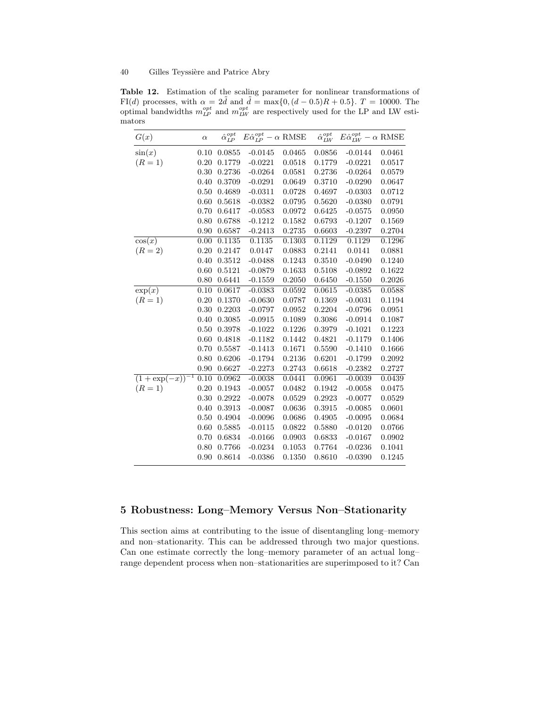Table 12. Estimation of the scaling parameter for nonlinear transformations of FI(d) processes, with  $\alpha = 2d$  and  $d = \max\{0, (d - 0.5)R + 0.5\}$ . T = 10000. The optimal bandwidths  $m_{LP}^{opt}$  and  $m_{LW}^{opt}$  are respectively used for the LP and LW estimators

| G(x)                  | $\alpha$ | $\hat{\alpha}_{LP}^{opt}$ | $E\hat{\alpha}_{LP}^{opt} - \alpha$ RMSE |        | $\hat{\alpha}_{LW}^{\tiny{opt}}$ | $E\hat{\alpha}_{LW}^{opt} - \alpha$ RMSE |        |
|-----------------------|----------|---------------------------|------------------------------------------|--------|----------------------------------|------------------------------------------|--------|
| $\sin(x)$             | 0.10     | 0.0855                    | $-0.0145$                                | 0.0465 | 0.0856                           | $-0.0144$                                | 0.0461 |
| $(R = 1)$             | 0.20     | 0.1779                    | $-0.0221$                                | 0.0518 | 0.1779                           | $-0.0221$                                | 0.0517 |
|                       | 0.30     | 0.2736                    | $-0.0264$                                | 0.0581 | 0.2736                           | $-0.0264$                                | 0.0579 |
|                       | 0.40     | 0.3709                    | $-0.0291$                                | 0.0649 | 0.3710                           | $-0.0290$                                | 0.0647 |
|                       | 0.50     | 0.4689                    | $-0.0311$                                | 0.0728 | 0.4697                           | $-0.0303$                                | 0.0712 |
|                       | 0.60     | 0.5618                    | $-0.0382$                                | 0.0795 | 0.5620                           | $-0.0380$                                | 0.0791 |
|                       | 0.70     | 0.6417                    | $-0.0583$                                | 0.0972 | 0.6425                           | $-0.0575$                                | 0.0950 |
|                       | 0.80     | 0.6788                    | $-0.1212$                                | 0.1582 | 0.6793                           | $-0.1207$                                | 0.1569 |
|                       | 0.90     | 0.6587                    | $-0.2413$                                | 0.2735 | 0.6603                           | $-0.2397$                                | 0.2704 |
| $\cos(x)$             | 0.00     | 0.1135                    | 0.1135                                   | 0.1303 | 0.1129                           | 0.1129                                   | 0.1296 |
| $(R = 2)$             | 0.20     | 0.2147                    | 0.0147                                   | 0.0883 | 0.2141                           | 0.0141                                   | 0.0881 |
|                       | 0.40     | 0.3512                    | $-0.0488$                                | 0.1243 | 0.3510                           | $-0.0490$                                | 0.1240 |
|                       | 0.60     | 0.5121                    | $-0.0879$                                | 0.1633 | 0.5108                           | $-0.0892$                                | 0.1622 |
|                       | 0.80     | 0.6441                    | $-0.1559$                                | 0.2050 | 0.6450                           | $-0.1550$                                | 0.2026 |
| $\exp(x)$             | 0.10     | 0.0617                    | $-0.0383$                                | 0.0592 | 0.0615                           | $-0.0385$                                | 0.0588 |
| $(R = 1)$             | 0.20     | 0.1370                    | $-0.0630$                                | 0.0787 | 0.1369                           | $-0.0031$                                | 0.1194 |
|                       | 0.30     | 0.2203                    | $-0.0797$                                | 0.0952 | 0.2204                           | $-0.0796$                                | 0.0951 |
|                       | 0.40     | 0.3085                    | $-0.0915$                                | 0.1089 | 0.3086                           | $-0.0914$                                | 0.1087 |
|                       | 0.50     | 0.3978                    | $-0.1022$                                | 0.1226 | 0.3979                           | $-0.1021$                                | 0.1223 |
|                       | 0.60     | 0.4818                    | $-0.1182$                                | 0.1442 | 0.4821                           | $-0.1179$                                | 0.1406 |
|                       | 0.70     | 0.5587                    | $-0.1413$                                | 0.1671 | 0.5590                           | $-0.1410$                                | 0.1666 |
|                       | 0.80     | 0.6206                    | $-0.1794$                                | 0.2136 | 0.6201                           | $-0.1799$                                | 0.2092 |
|                       | 0.90     | 0.6627                    | $-0.2273$                                | 0.2743 | 0.6618                           | $-0.2382$                                | 0.2727 |
| $(1 + \exp(-x))^{-1}$ | 0.10     | 0.0962                    | $-0.0038$                                | 0.0441 | 0.0961                           | $-0.0039$                                | 0.0439 |
| $(R=1)$               | 0.20     | 0.1943                    | $-0.0057$                                | 0.0482 | 0.1942                           | $-0.0058$                                | 0.0475 |
|                       | 0.30     | 0.2922                    | $-0.0078$                                | 0.0529 | 0.2923                           | $-0.0077$                                | 0.0529 |
|                       | 0.40     | 0.3913                    | $-0.0087$                                | 0.0636 | 0.3915                           | $-0.0085$                                | 0.0601 |
|                       | 0.50     | 0.4904                    | $-0.0096$                                | 0.0686 | 0.4905                           | $-0.0095$                                | 0.0684 |
|                       | 0.60     | 0.5885                    | $-0.0115$                                | 0.0822 | 0.5880                           | $-0.0120$                                | 0.0766 |
|                       | 0.70     | 0.6834                    | $-0.0166$                                | 0.0903 | 0.6833                           | $-0.0167$                                | 0.0902 |
|                       | 0.80     | 0.7766                    | $-0.0234$                                | 0.1053 | 0.7764                           | $-0.0236$                                | 0.1041 |
|                       | 0.90     | 0.8614                    | $-0.0386$                                | 0.1350 | 0.8610                           | $-0.0390$                                | 0.1245 |

## 5 Robustness: Long–Memory Versus Non–Stationarity

This section aims at contributing to the issue of disentangling long–memory and non–stationarity. This can be addressed through two major questions. Can one estimate correctly the long–memory parameter of an actual long– range dependent process when non–stationarities are superimposed to it? Can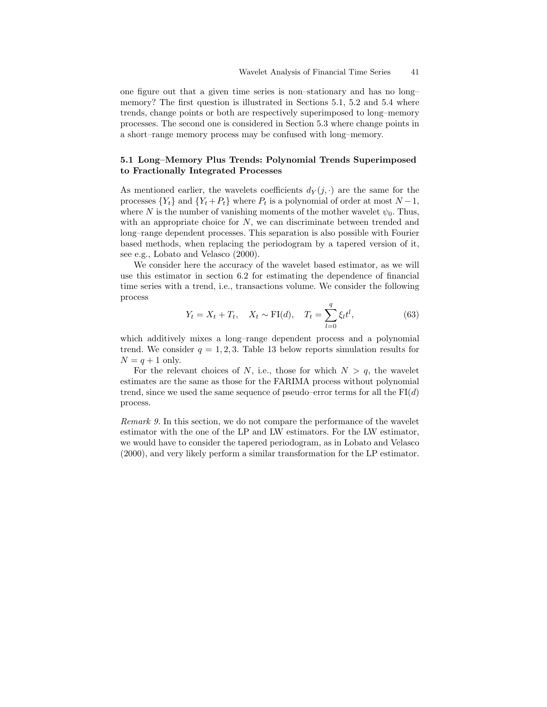one figure out that a given time series is non–stationary and has no long– memory? The first question is illustrated in Sections 5.1, 5.2 and 5.4 where trends, change points or both are respectively superimposed to long–memory processes. The second one is considered in Section 5.3 where change points in a short–range memory process may be confused with long–memory.

## 5.1 Long–Memory Plus Trends: Polynomial Trends Superimposed to Fractionally Integrated Processes

As mentioned earlier, the wavelets coefficients  $d_Y(j, \cdot)$  are the same for the processes  $\{Y_t\}$  and  $\{Y_t + P_t\}$  where  $P_t$  is a polynomial of order at most  $N-1$ , where N is the number of vanishing moments of the mother wavelet  $\psi_0$ . Thus, with an appropriate choice for  $N$ , we can discriminate between trended and long–range dependent processes. This separation is also possible with Fourier based methods, when replacing the periodogram by a tapered version of it, see e.g., Lobato and Velasco (2000).

We consider here the accuracy of the wavelet based estimator, as we will use this estimator in section 6.2 for estimating the dependence of financial time series with a trend, i.e., transactions volume. We consider the following process

$$
Y_t = X_t + T_t, \quad X_t \sim \text{FI}(d), \quad T_t = \sum_{l=0}^{q} \xi_l t^l,
$$
 (63)

which additively mixes a long–range dependent process and a polynomial trend. We consider  $q = 1, 2, 3$ . Table 13 below reports simulation results for  $N = q + 1$  only.

For the relevant choices of N, i.e., those for which  $N > q$ , the wavelet estimates are the same as those for the FARIMA process without polynomial trend, since we used the same sequence of pseudo–error terms for all the  $FI(d)$ process.

Remark 9. In this section, we do not compare the performance of the wavelet estimator with the one of the LP and LW estimators. For the LW estimator, we would have to consider the tapered periodogram, as in Lobato and Velasco (2000), and very likely perform a similar transformation for the LP estimator.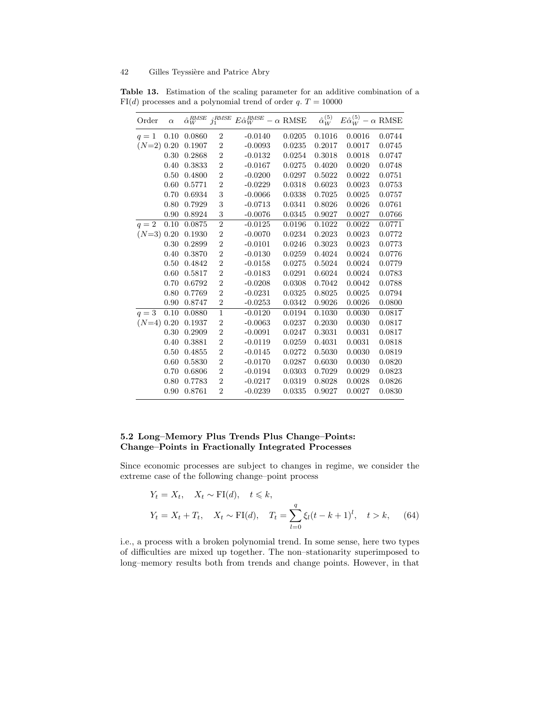| Order        | $\alpha$ | $\hat{\alpha}_W^{RMSE}$ | $j_1^\mathit{RMSE}$ | $E\hat{\alpha}_W^{RMSE} - \alpha$ RMSE |        | $\hat{\alpha}_W^{(5)}$ | $E\hat{\alpha}_{W}^{(5)} - \alpha$ RMSE |        |
|--------------|----------|-------------------------|---------------------|----------------------------------------|--------|------------------------|-----------------------------------------|--------|
| $q=1$        | 0.10     | 0.0860                  | $\boldsymbol{2}$    | $-0.0140$                              | 0.0205 | 0.1016                 | 0.0016                                  | 0.0744 |
| $(N=2)$ 0.20 |          | 0.1907                  | $\overline{2}$      | $-0.0093$                              | 0.0235 | 0.2017                 | 0.0017                                  | 0.0745 |
|              | 0.30     | 0.2868                  | $\overline{2}$      | $-0.0132$                              | 0.0254 | 0.3018                 | 0.0018                                  | 0.0747 |
|              | 0.40     | 0.3833                  | $\overline{2}$      | $-0.0167$                              | 0.0275 | 0.4020                 | 0.0020                                  | 0.0748 |
|              | 0.50     | 0.4800                  | $\overline{2}$      | $-0.0200$                              | 0.0297 | 0.5022                 | 0.0022                                  | 0.0751 |
|              | 0.60     | 0.5771                  | $\overline{2}$      | $-0.0229$                              | 0.0318 | 0.6023                 | 0.0023                                  | 0.0753 |
|              | 0.70     | 0.6934                  | 3                   | $-0.0066$                              | 0.0338 | 0.7025                 | 0.0025                                  | 0.0757 |
|              | 0.80     | 0.7929                  | 3                   | $-0.0713$                              | 0.0341 | 0.8026                 | 0.0026                                  | 0.0761 |
|              | 0.90     | 0.8924                  | 3                   | $-0.0076$                              | 0.0345 | 0.9027                 | 0.0027                                  | 0.0766 |
| $q=2$        | 0.10     | 0.0875                  | $\overline{2}$      | $-0.0125$                              | 0.0196 | 0.1022                 | 0.0022                                  | 0.0771 |
| $(N=3)$ 0.20 |          | 0.1930                  | $\overline{2}$      | $-0.0070$                              | 0.0234 | 0.2023                 | 0.0023                                  | 0.0772 |
|              | 0.30     | 0.2899                  | $\overline{2}$      | $-0.0101$                              | 0.0246 | 0.3023                 | 0.0023                                  | 0.0773 |
|              | 0.40     | 0.3870                  | $\overline{2}$      | $-0.0130$                              | 0.0259 | 0.4024                 | 0.0024                                  | 0.0776 |
|              | 0.50     | 0.4842                  | $\overline{2}$      | $-0.0158$                              | 0.0275 | 0.5024                 | 0.0024                                  | 0.0779 |
|              | 0.60     | 0.5817                  | $\overline{2}$      | $-0.0183$                              | 0.0291 | 0.6024                 | 0.0024                                  | 0.0783 |
|              | 0.70     | 0.6792                  | $\overline{2}$      | $-0.0208$                              | 0.0308 | 0.7042                 | 0.0042                                  | 0.0788 |
|              | 0.80     | 0.7769                  | $\overline{2}$      | $-0.0231$                              | 0.0325 | 0.8025                 | 0.0025                                  | 0.0794 |
|              | 0.90     | 0.8747                  | $\overline{2}$      | $-0.0253$                              | 0.0342 | 0.9026                 | 0.0026                                  | 0.0800 |
| $q = 3$      | 0.10     | 0.0880                  | $\mathbf{1}$        | $-0.0120$                              | 0.0194 | 0.1030                 | 0.0030                                  | 0.0817 |
| $(N=4)$ 0.20 |          | 0.1937                  | $\overline{2}$      | $-0.0063$                              | 0.0237 | 0.2030                 | 0.0030                                  | 0.0817 |
|              | 0.30     | 0.2909                  | $\overline{2}$      | $-0.0091$                              | 0.0247 | 0.3031                 | 0.0031                                  | 0.0817 |
|              | 0.40     | 0.3881                  | $\overline{2}$      | $-0.0119$                              | 0.0259 | 0.4031                 | 0.0031                                  | 0.0818 |
|              | 0.50     | 0.4855                  | $\overline{2}$      | $-0.0145$                              | 0.0272 | 0.5030                 | 0.0030                                  | 0.0819 |
|              | 0.60     | 0.5830                  | $\overline{2}$      | $-0.0170$                              | 0.0287 | 0.6030                 | 0.0030                                  | 0.0820 |
|              | 0.70     | 0.6806                  | $\overline{2}$      | $-0.0194$                              | 0.0303 | 0.7029                 | 0.0029                                  | 0.0823 |
|              | 0.80     | 0.7783                  | $\overline{2}$      | $-0.0217$                              | 0.0319 | 0.8028                 | 0.0028                                  | 0.0826 |
|              | 0.90     | 0.8761                  | $\overline{2}$      | $-0.0239$                              | 0.0335 | 0.9027                 | 0.0027                                  | 0.0830 |

Table 13. Estimation of the scaling parameter for an additive combination of a  $FI(d)$  processes and a polynomial trend of order q.  $T = 10000$ 

## 5.2 Long–Memory Plus Trends Plus Change–Points: Change–Points in Fractionally Integrated Processes

Since economic processes are subject to changes in regime, we consider the extreme case of the following change–point process

$$
Y_t = X_t
$$
,  $X_t \sim \text{FI}(d)$ ,  $t \le k$ ,  
\n $Y_t = X_t + T_t$ ,  $X_t \sim \text{FI}(d)$ ,  $T_t = \sum_{l=0}^{q} \xi_l (t - k + 1)^l$ ,  $t > k$ , (64)

i.e., a process with a broken polynomial trend. In some sense, here two types of difficulties are mixed up together. The non–stationarity superimposed to long–memory results both from trends and change points. However, in that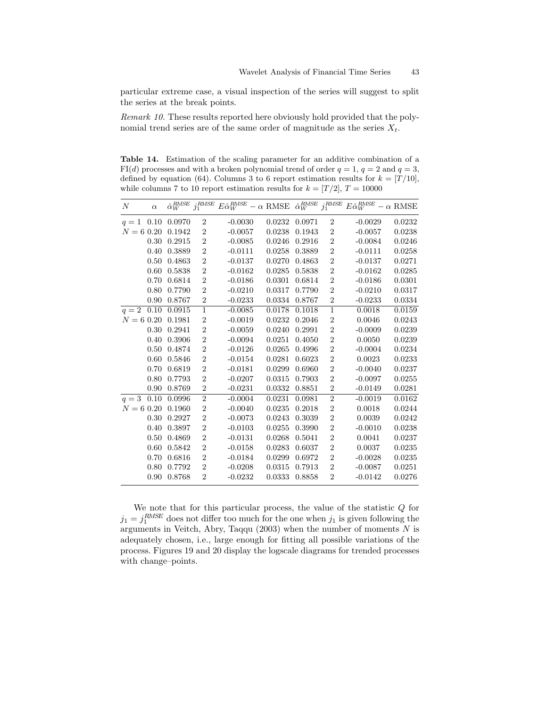particular extreme case, a visual inspection of the series will suggest to split the series at the break points.

Remark 10. These results reported here obviously hold provided that the polynomial trend series are of the same order of magnitude as the series  $X_t$ .

Table 14. Estimation of the scaling parameter for an additive combination of a  $FI(d)$  processes and with a broken polynomial trend of order  $q = 1, q = 2$  and  $q = 3$ , defined by equation (64). Columns 3 to 6 report estimation results for  $k = [T/10]$ , while columns 7 to 10 report estimation results for  $k = [T/2], T = 10000$ 

| N           | $\alpha$ | $\hat{\alpha}_W^{RMSE}$ | :RMSE<br>$\jmath_1$ | $E\hat{\alpha}_W^{RMSE}$ | $-\alpha$ RMSE | $\hat{\alpha}_W^{RMSE}$ | $j_1^\mathit{RMSE}$ | $E\hat{\alpha}_W^{RMSE}$ | $-\alpha$ RMSE |
|-------------|----------|-------------------------|---------------------|--------------------------|----------------|-------------------------|---------------------|--------------------------|----------------|
| 1<br>$q =$  | 0.10     | 0.0970                  | $\overline{2}$      | $-0.0030$                | 0.0232         | 0.0971                  | $\overline{2}$      | $-0.0029$                | 0.0232         |
| $N = 60.20$ |          | 0.1942                  | $\overline{2}$      | $-0.0057$                | 0.0238         | 0.1943                  | $\overline{2}$      | $-0.0057$                | 0.0238         |
|             | 0.30     | 0.2915                  | $\overline{2}$      | $-0.0085$                | 0.0246         | 0.2916                  | $\overline{2}$      | $-0.0084$                | 0.0246         |
|             | 0.40     | 0.3889                  | $\overline{2}$      | $-0.0111$                | 0.0258         | 0.3889                  | $\overline{2}$      | $-0.0111$                | 0.0258         |
|             | 0.50     | 0.4863                  | $\overline{2}$      | $-0.0137$                | 0.0270         | 0.4863                  | $\overline{2}$      | $-0.0137$                | 0.0271         |
|             | 0.60     | 0.5838                  | $\overline{2}$      | $-0.0162$                | 0.0285         | 0.5838                  | $\overline{2}$      | $-0.0162$                | 0.0285         |
|             | 0.70     | 0.6814                  | $\overline{2}$      | $-0.0186$                | 0.0301         | 0.6814                  | $\overline{2}$      | $-0.0186$                | 0.0301         |
|             | 0.80     | 0.7790                  | $\overline{2}$      | $-0.0210$                | 0.0317         | 0.7790                  | $\overline{2}$      | $-0.0210$                | 0.0317         |
|             | 0.90     | 0.8767                  | $\overline{2}$      | $-0.0233$                | 0.0334         | 0.8767                  | $\overline{2}$      | $-0.0233$                | 0.0334         |
| $q=2$       | 0.10     | 0.0915                  | $\mathbf{1}$        | $-0.0085$                | 0.0178         | 0.1018                  | $\mathbf{1}$        | 0.0018                   | 0.0159         |
| $N = 60.20$ |          | 0.1981                  | $\overline{2}$      | $-0.0019$                | 0.0232         | 0.2046                  | $\overline{2}$      | 0.0046                   | 0.0243         |
|             | 0.30     | 0.2941                  | $\overline{2}$      | $-0.0059$                | 0.0240         | 0.2991                  | $\overline{2}$      | $-0.0009$                | 0.0239         |
|             | 0.40     | 0.3906                  | $\overline{2}$      | $-0.0094$                | 0.0251         | 0.4050                  | $\overline{2}$      | 0.0050                   | 0.0239         |
|             | 0.50     | 0.4874                  | $\overline{2}$      | $-0.0126$                | 0.0265         | 0.4996                  | $\overline{2}$      | $-0.0004$                | 0.0234         |
|             | 0.60     | 0.5846                  | $\overline{2}$      | $-0.0154$                | 0.0281         | 0.6023                  | $\overline{2}$      | 0.0023                   | 0.0233         |
|             | 0.70     | 0.6819                  | $\overline{2}$      | $-0.0181$                | 0.0299         | 0.6960                  | $\overline{2}$      | $-0.0040$                | 0.0237         |
|             | 0.80     | 0.7793                  | $\overline{2}$      | $-0.0207$                | 0.0315         | 0.7903                  | $\overline{2}$      | $-0.0097$                | 0.0255         |
|             | 0.90     | 0.8769                  | $\overline{2}$      | $-0.0231$                | 0.0332         | 0.8851                  | $\overline{2}$      | $-0.0149$                | 0.0281         |
| $q=3$       | 0.10     | 0.0996                  | $\boldsymbol{2}$    | $-0.0004$                | 0.0231         | 0.0981                  | $\boldsymbol{2}$    | $-0.0019$                | 0.0162         |
| $N = 60.20$ |          | 0.1960                  | $\boldsymbol{2}$    | $-0.0040$                | 0.0235         | 0.2018                  | $\overline{2}$      | 0.0018                   | 0.0244         |
|             | 0.30     | 0.2927                  | $\overline{2}$      | $-0.0073$                | 0.0243         | 0.3039                  | $\overline{2}$      | 0.0039                   | 0.0242         |
|             | 0.40     | 0.3897                  | $\overline{2}$      | $-0.0103$                | 0.0255         | 0.3990                  | $\overline{2}$      | $-0.0010$                | 0.0238         |
|             | 0.50     | 0.4869                  | $\overline{2}$      | $-0.0131$                | 0.0268         | 0.5041                  | $\overline{2}$      | 0.0041                   | 0.0237         |
|             | 0.60     | 0.5842                  | $\overline{2}$      | $-0.0158$                | 0.0283         | 0.6037                  | $\overline{2}$      | 0.0037                   | 0.0235         |
|             | 0.70     | 0.6816                  | $\overline{2}$      | $-0.0184$                | 0.0299         | 0.6972                  | $\overline{2}$      | $-0.0028$                | 0.0235         |
|             | 0.80     | 0.7792                  | $\overline{2}$      | $-0.0208$                | 0.0315         | 0.7913                  | $\overline{2}$      | $-0.0087$                | 0.0251         |
|             | 0.90     | 0.8768                  | $\overline{2}$      | $-0.0232$                | 0.0333         | 0.8858                  | $\overline{2}$      | $-0.0142$                | 0.0276         |
|             |          |                         |                     |                          |                |                         |                     |                          |                |

We note that for this particular process, the value of the statistic  $Q$  for  $j_1 = j_1^{RMSE}$  does not differ too much for the one when  $j_1$  is given following the arguments in Veitch, Abry, Taqqu (2003) when the number of moments  $N$  is adequately chosen, i.e., large enough for fitting all possible variations of the process. Figures 19 and 20 display the logscale diagrams for trended processes with change–points.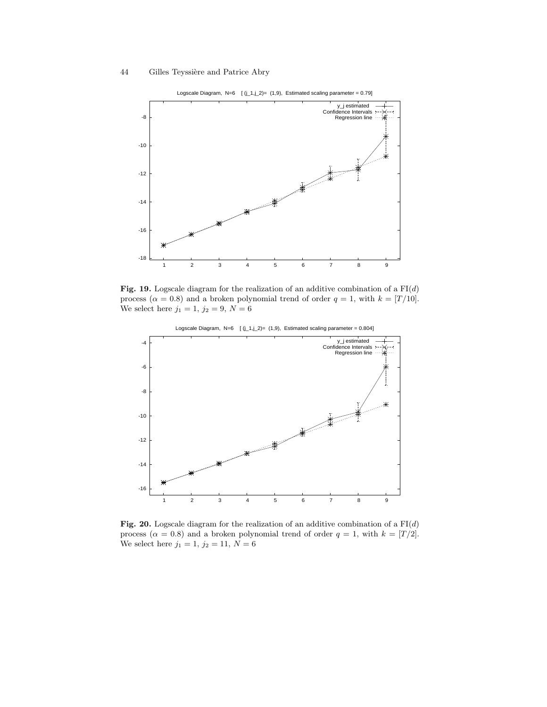

Fig. 19. Logscale diagram for the realization of an additive combination of a  $FI(d)$ process ( $\alpha = 0.8$ ) and a broken polynomial trend of order  $q = 1$ , with  $k = [T/10]$ . We select here  $j_1 = 1, j_2 = 9, N = 6$ 



Fig. 20. Logscale diagram for the realization of an additive combination of a  $FI(d)$ process ( $\alpha = 0.8$ ) and a broken polynomial trend of order  $q = 1$ , with  $k = [T/2]$ . We select here  $j_1=1,\,j_2=11,\,N=6$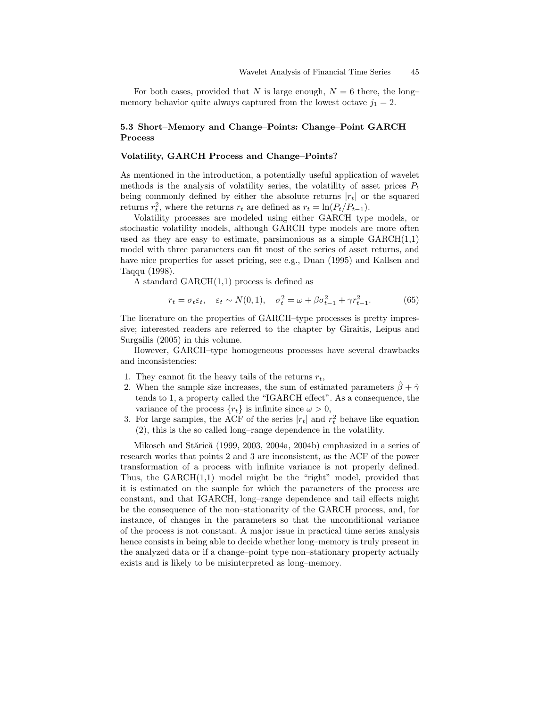For both cases, provided that N is large enough,  $N = 6$  there, the long– memory behavior quite always captured from the lowest octave  $j_1 = 2$ .

## 5.3 Short–Memory and Change–Points: Change–Point GARCH Process

#### Volatility, GARCH Process and Change–Points?

As mentioned in the introduction, a potentially useful application of wavelet methods is the analysis of volatility series, the volatility of asset prices  $P_t$ being commonly defined by either the absolute returns  $|r_t|$  or the squared returns  $r_t^2$ , where the returns  $r_t$  are defined as  $r_t = \ln(P_t/P_{t-1})$ .

Volatility processes are modeled using either GARCH type models, or stochastic volatility models, although GARCH type models are more often used as they are easy to estimate, parsimonious as a simple  $GARCH(1,1)$ model with three parameters can fit most of the series of asset returns, and have nice properties for asset pricing, see e.g., Duan (1995) and Kallsen and Taqqu (1998).

A standard GARCH(1,1) process is defined as

$$
r_t = \sigma_t \varepsilon_t, \quad \varepsilon_t \sim N(0, 1), \quad \sigma_t^2 = \omega + \beta \sigma_{t-1}^2 + \gamma r_{t-1}^2. \tag{65}
$$

The literature on the properties of GARCH–type processes is pretty impressive; interested readers are referred to the chapter by Giraitis, Leipus and Surgailis (2005) in this volume.

However, GARCH–type homogeneous processes have several drawbacks and inconsistencies:

- 1. They cannot fit the heavy tails of the returns  $r_t$ ,
- 2. When the sample size increases, the sum of estimated parameters  $\hat{\beta} + \hat{\gamma}$ tends to 1, a property called the "IGARCH effect". As a consequence, the variance of the process  $\{r_t\}$  is infinite since  $\omega > 0$ ,
- 3. For large samples, the ACF of the series  $|r_t|$  and  $r_t^2$  behave like equation (2), this is the so called long–range dependence in the volatility.

Mikosch and Stărică (1999, 2003, 2004a, 2004b) emphasized in a series of research works that points 2 and 3 are inconsistent, as the ACF of the power transformation of a process with infinite variance is not properly defined. Thus, the GARCH(1,1) model might be the "right" model, provided that it is estimated on the sample for which the parameters of the process are constant, and that IGARCH, long–range dependence and tail effects might be the consequence of the non–stationarity of the GARCH process, and, for instance, of changes in the parameters so that the unconditional variance of the process is not constant. A major issue in practical time series analysis hence consists in being able to decide whether long–memory is truly present in the analyzed data or if a change–point type non–stationary property actually exists and is likely to be misinterpreted as long–memory.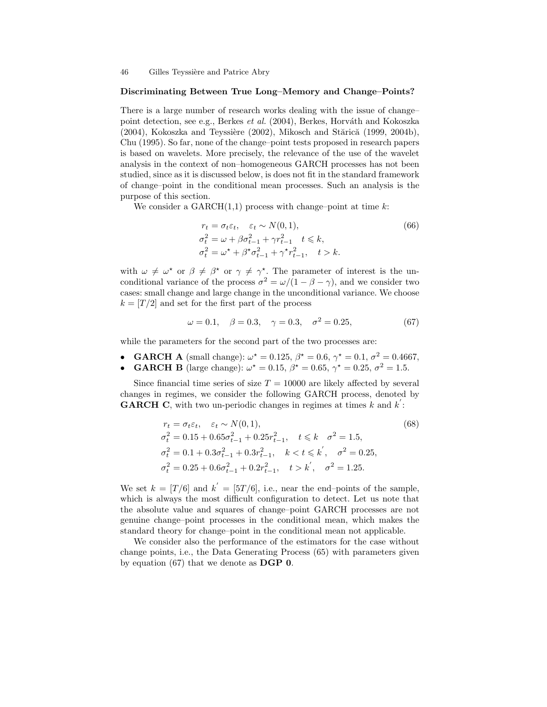#### Discriminating Between True Long–Memory and Change–Points?

There is a large number of research works dealing with the issue of change– point detection, see e.g., Berkes et al. (2004), Berkes, Horváth and Kokoszka (2004), Kokoszka and Teyssière (2002), Mikosch and Stărică (1999, 2004b), Chu (1995). So far, none of the change–point tests proposed in research papers is based on wavelets. More precisely, the relevance of the use of the wavelet analysis in the context of non–homogeneous GARCH processes has not been studied, since as it is discussed below, is does not fit in the standard framework of change–point in the conditional mean processes. Such an analysis is the purpose of this section.

We consider a  $GARCH(1,1)$  process with change–point at time k:

$$
r_t = \sigma_t \varepsilon_t, \quad \varepsilon_t \sim N(0, 1),
$$
  
\n
$$
\sigma_t^2 = \omega + \beta \sigma_{t-1}^2 + \gamma r_{t-1}^2 \quad t \le k,
$$
  
\n
$$
\sigma_t^2 = \omega^* + \beta^* \sigma_{t-1}^2 + \gamma^* r_{t-1}^2, \quad t > k.
$$
\n(66)

with  $\omega \neq \omega^*$  or  $\beta \neq \beta^*$  or  $\gamma \neq \gamma^*$ . The parameter of interest is the unconditional variance of the process  $\sigma^2 = \omega/(1 - \beta - \gamma)$ , and we consider two cases: small change and large change in the unconditional variance. We choose  $k = \lfloor T/2 \rfloor$  and set for the first part of the process

$$
\omega = 0.1, \quad \beta = 0.3, \quad \gamma = 0.3, \quad \sigma^2 = 0.25,
$$
\n(67)

while the parameters for the second part of the two processes are:

- GARCH A (small change):  $\omega^* = 0.125, \beta^* = 0.6, \gamma^* = 0.1, \sigma^2 = 0.4667,$ • **GARCH B** (large change):  $\omega^* = 0.15$ ,  $\beta^* = 0.65$ ,  $\gamma^* = 0.25$ ,  $\sigma^2 = 1.5$ .
- Since financial time series of size  $T = 10000$  are likely affected by several changes in regimes, we consider the following GARCH process, denoted by ′ **GARCH C**, with two un-periodic changes in regimes at times  $k$  and  $k$ :

$$
r_t = \sigma_t \varepsilon_t, \quad \varepsilon_t \sim N(0, 1),
$$
\n
$$
\sigma_t^2 = 0.15 + 0.65\sigma_{t-1}^2 + 0.25r_{t-1}^2, \quad t \le k \quad \sigma^2 = 1.5,
$$
\n
$$
\sigma_t^2 = 0.1 + 0.3\sigma_{t-1}^2 + 0.3r_{t-1}^2, \quad k < t \le k', \quad \sigma^2 = 0.25,
$$
\n
$$
\sigma_t^2 = 0.25 + 0.6\sigma_{t-1}^2 + 0.2r_{t-1}^2, \quad t > k', \quad \sigma^2 = 1.25.
$$
\n
$$
(68)
$$

We set  $k = [T/6]$  and  $k' = [5T/6]$ , i.e., near the end-points of the sample, which is always the most difficult configuration to detect. Let us note that the absolute value and squares of change–point GARCH processes are not genuine change–point processes in the conditional mean, which makes the standard theory for change–point in the conditional mean not applicable.

We consider also the performance of the estimators for the case without change points, i.e., the Data Generating Process (65) with parameters given by equation (67) that we denote as DGP 0.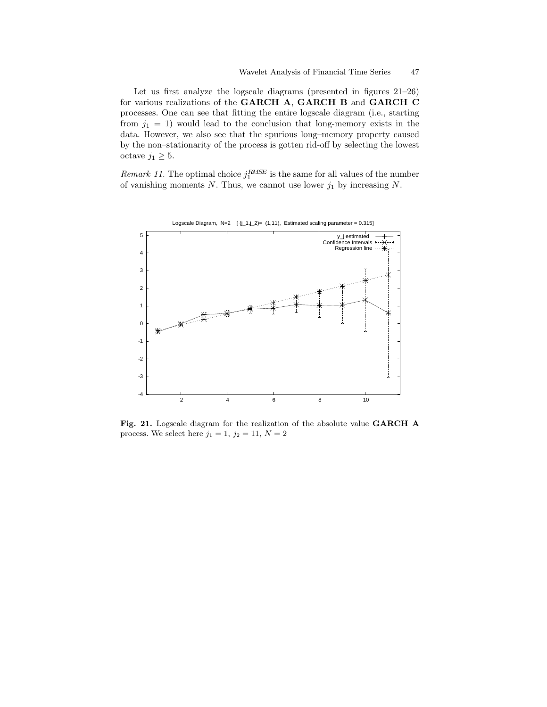Let us first analyze the logscale diagrams (presented in figures 21–26) for various realizations of the GARCH A, GARCH B and GARCH C processes. One can see that fitting the entire logscale diagram (i.e., starting from  $j_1 = 1$ ) would lead to the conclusion that long-memory exists in the data. However, we also see that the spurious long–memory property caused by the non–stationarity of the process is gotten rid-off by selecting the lowest octave  $j_1 \geq 5$ .

Remark 11. The optimal choice  $j_1^{RMSE}$  is the same for all values of the number of vanishing moments  $N$ . Thus, we cannot use lower  $j_1$  by increasing  $N$ .



Fig. 21. Logscale diagram for the realization of the absolute value GARCH A process. We select here  $j_1 = 1, j_2 = 11, N = 2$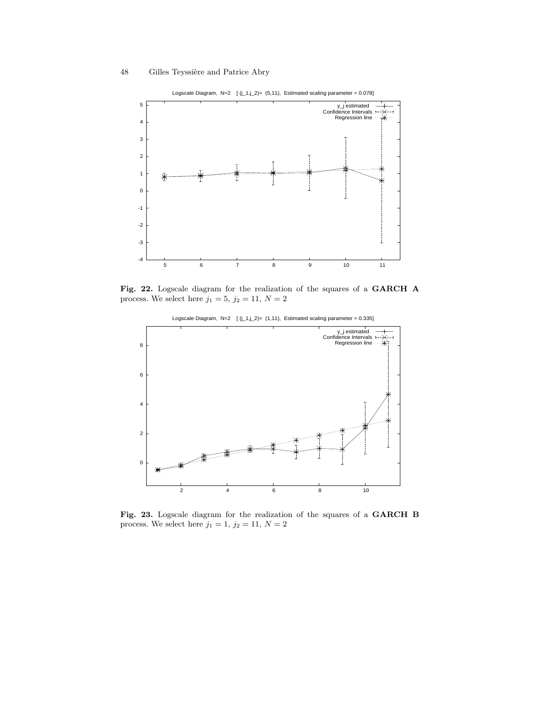

Logscale Diagram, N=2  $[(j_1,j_2)=(5,11)]$ , Estimated scaling parameter = 0.078]

Fig. 22. Logscale diagram for the realization of the squares of a GARCH A process. We select here  $j_1 = 5$ ,  $j_2 = 11$ ,  $N = 2$ 



Logscale Diagram, N=2  $[(j_1, j_2) = (1, 11)]$ , Estimated scaling parameter = 0.335]

Fig. 23. Logscale diagram for the realization of the squares of a GARCH B process. We select here  $j_1=1,\,j_2=11,\,N=2$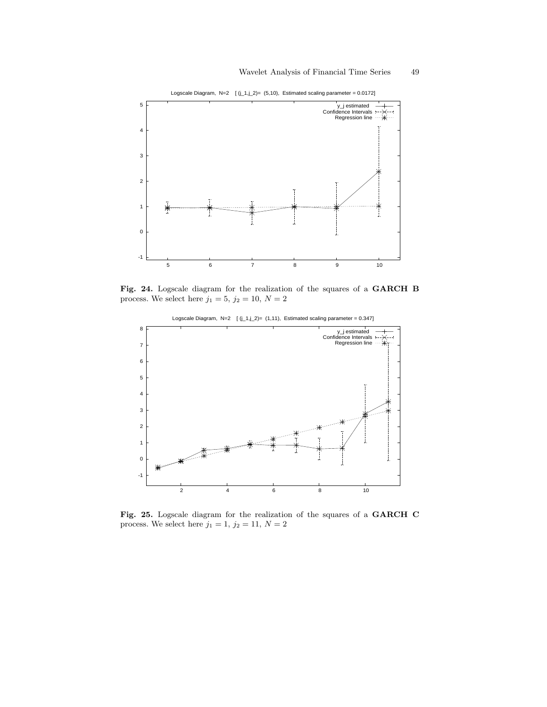

Logscale Diagram,  $N=2$   $[(j_1, j_2)=(5, 10),$  Estimated scaling parameter = 0.0172]

Fig. 24. Logscale diagram for the realization of the squares of a GARCH B process. We select here  $j_1=5,\,j_2=10,\,N=2$ 



Logscale Diagram, N=2  $[(j_1, j_2) = (1, 11)$ , Estimated scaling parameter = 0.347]

Fig. 25. Logscale diagram for the realization of the squares of a GARCH C process. We select here  $j_1=1,\,j_2=11,\,N=2$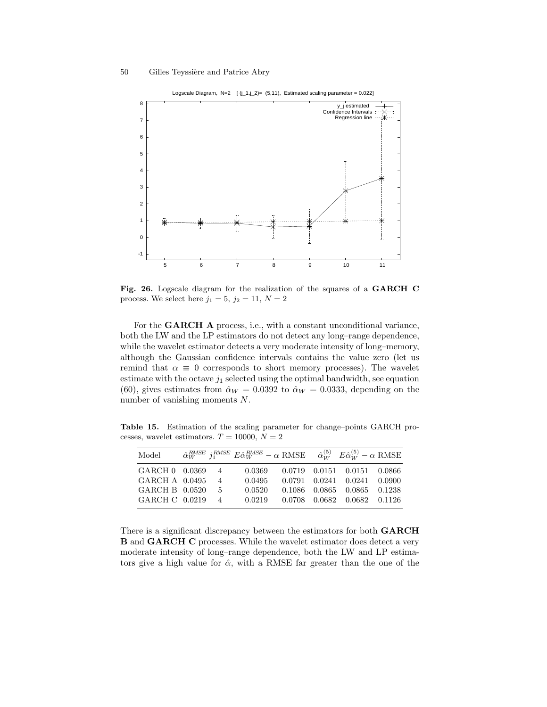process. We select here  $j_1 = 5$ ,  $j_2 = 11$ ,  $N = 2$ 

number of vanishing moments N.



Fig. 26. Logscale diagram for the realization of the squares of a GARCH C

For the **GARCH A** process, i.e., with a constant unconditional variance, both the LW and the LP estimators do not detect any long–range dependence, while the wavelet estimator detects a very moderate intensity of long–memory, although the Gaussian confidence intervals contains the value zero (let us remind that  $\alpha \equiv 0$  corresponds to short memory processes). The wavelet estimate with the octave  $j_1$  selected using the optimal bandwidth, see equation (60), gives estimates from  $\hat{\alpha}_W = 0.0392$  to  $\hat{\alpha}_W = 0.0333$ , depending on the

Table 15. Estimation of the scaling parameter for change–points GARCH processes, wavelet estimators.  $T = 10000, N = 2$ 

| Model            |                                                                                                                                                                                                                                                                                                                                                                   | $\hat{\alpha}_{W}^{RMSE}$ j <sup>RMSE</sup> $E \hat{\alpha}_{W}^{RMSE} - \alpha$ RMSE $\hat{\alpha}_{W}^{(5)}$ $E \hat{\alpha}_{W}^{(5)} - \alpha$ RMSE |  |                                        |  |
|------------------|-------------------------------------------------------------------------------------------------------------------------------------------------------------------------------------------------------------------------------------------------------------------------------------------------------------------------------------------------------------------|---------------------------------------------------------------------------------------------------------------------------------------------------------|--|----------------------------------------|--|
| GARCH 0 0.0369 4 |                                                                                                                                                                                                                                                                                                                                                                   |                                                                                                                                                         |  | 0.0369  0.0719  0.0151  0.0151  0.0866 |  |
| GARCH A 0.0495   | $4\phantom{.00000}\phantom{.00000}\phantom{.00000}\phantom{.0000}\phantom{.0000}\phantom{.00000}\phantom{.00000}\phantom{.00000}\phantom{.00000}\phantom{.00000}\phantom{.000000}\phantom{.00000}\phantom{.00000}\phantom{.00000}\phantom{.00000}\phantom{.00000}\phantom{.00000}\phantom{.000000}\phantom{.000000}\phantom{.000000}\phantom{.000000}\phantom{.0$ | 0.0495                                                                                                                                                  |  | 0.0791 0.0241 0.0241 0.0900            |  |
| GARCH B 0.0520 5 |                                                                                                                                                                                                                                                                                                                                                                   | 0.0520                                                                                                                                                  |  | 0.1086 0.0865 0.0865 0.1238            |  |
| GARCH C 0.0219 4 |                                                                                                                                                                                                                                                                                                                                                                   | $0.0219$ $0.0708$ $0.0682$ $0.0682$ $0.1126$                                                                                                            |  |                                        |  |

There is a significant discrepancy between the estimators for both GARCH B and GARCH C processes. While the wavelet estimator does detect a very moderate intensity of long–range dependence, both the LW and LP estimators give a high value for  $\hat{\alpha}$ , with a RMSE far greater than the one of the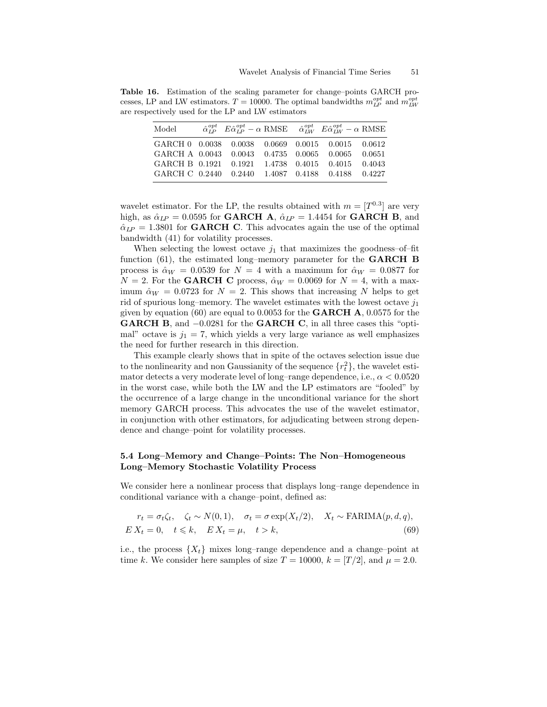Table 16. Estimation of the scaling parameter for change–points GARCH processes, LP and LW estimators.  $T = 10000$ . The optimal bandwidths  $m_{LP}^{opt}$  and  $m_{LW}^{opt}$ are respectively used for the LP and LW estimators

| Model                                             |  |  | $\hat{\alpha}_{LP}^{opt}$ $E \hat{\alpha}_{LP}^{opt} - \alpha$ RMSE $\hat{\alpha}_{IW}^{opt}$ $E \hat{\alpha}_{IW}^{opt} - \alpha$ RMSE |  |
|---------------------------------------------------|--|--|-----------------------------------------------------------------------------------------------------------------------------------------|--|
| GARCH 0 0.0038 0.0038 0.0669 0.0015 0.0015 0.0612 |  |  |                                                                                                                                         |  |
| GARCH A 0.0043 0.0043 0.4735 0.0065 0.0065 0.0651 |  |  |                                                                                                                                         |  |
| GARCH B 0.1921 0.1921 1.4738 0.4015 0.4015 0.4043 |  |  |                                                                                                                                         |  |
| GARCH C 0.2440 0.2440 1.4087 0.4188 0.4188 0.4227 |  |  |                                                                                                                                         |  |

wavelet estimator. For the LP, the results obtained with  $m = [T^{0.3}]$  are very high, as  $\hat{\alpha}_{LP} = 0.0595$  for GARCH A,  $\hat{\alpha}_{LP} = 1.4454$  for GARCH B, and  $\hat{\alpha}_{LP} = 1.3801$  for **GARCH C**. This advocates again the use of the optimal bandwidth (41) for volatility processes.

When selecting the lowest octave  $j_1$  that maximizes the goodness-of-fit function (61), the estimated long–memory parameter for the GARCH B process is  $\hat{\alpha}_W = 0.0539$  for  $N = 4$  with a maximum for  $\hat{\alpha}_W = 0.0877$  for  $N = 2$ . For the **GARCH C** process,  $\hat{\alpha}_W = 0.0069$  for  $N = 4$ , with a maximum  $\hat{\alpha}_W = 0.0723$  for  $N = 2$ . This shows that increasing N helps to get rid of spurious long–memory. The wavelet estimates with the lowest octave  $j_1$ given by equation (60) are equal to 0.0053 for the **GARCH**  $\mathbf{A}$ , 0.0575 for the GARCH B, and  $-0.0281$  for the GARCH C, in all three cases this "optimal" octave is  $j_1 = 7$ , which yields a very large variance as well emphasizes the need for further research in this direction.

This example clearly shows that in spite of the octaves selection issue due to the nonlinearity and non Gaussianity of the sequence  $\{r_t^2\}$ , the wavelet estimator detects a very moderate level of long–range dependence, i.e.,  $\alpha < 0.0520$ in the worst case, while both the LW and the LP estimators are "fooled" by the occurrence of a large change in the unconditional variance for the short memory GARCH process. This advocates the use of the wavelet estimator, in conjunction with other estimators, for adjudicating between strong dependence and change–point for volatility processes.

## 5.4 Long–Memory and Change–Points: The Non–Homogeneous Long–Memory Stochastic Volatility Process

We consider here a nonlinear process that displays long–range dependence in conditional variance with a change–point, defined as:

$$
r_t = \sigma_t \zeta_t, \quad \zeta_t \sim N(0, 1), \quad \sigma_t = \sigma \exp(X_t/2), \quad X_t \sim \text{FARIMA}(p, d, q),
$$
  
\n
$$
EX_t = 0, \quad t \le k, \quad EX_t = \mu, \quad t > k,
$$
\n(69)

i.e., the process  $\{X_t\}$  mixes long–range dependence and a change–point at time k. We consider here samples of size  $T = 10000$ ,  $k = [T/2]$ , and  $\mu = 2.0$ .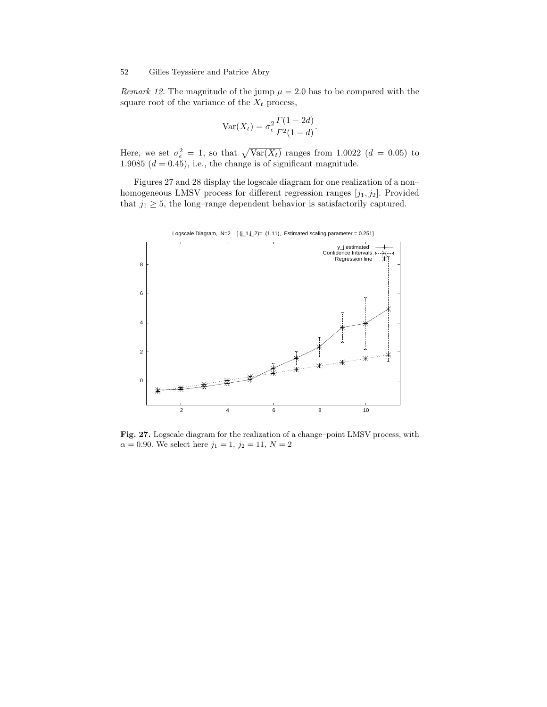Remark 12. The magnitude of the jump  $\mu = 2.0$  has to be compared with the square root of the variance of the  $X_t$  process,

$$
\text{Var}(X_t) = \sigma_\epsilon^2 \frac{\Gamma(1 - 2d)}{\Gamma^2(1 - d)}.
$$

Here, we set  $\sigma_{\epsilon}^2 = 1$ , so that  $\sqrt{\text{Var}(X_t)}$  ranges from 1.0022 ( $d = 0.05$ ) to 1.9085  $(d = 0.45)$ , i.e., the change is of significant magnitude.

Figures 27 and 28 display the logscale diagram for one realization of a non– homogeneous LMSV process for different regression ranges  $[j_1,j_2]$ . Provided that  $j_1 \geq 5$ , the long–range dependent behavior is satisfactorily captured.



Fig. 27. Logscale diagram for the realization of a change–point LMSV process, with

 $\alpha = 0.90$ . We select here  $j_1 = 1, j_2 = 11, N = 2$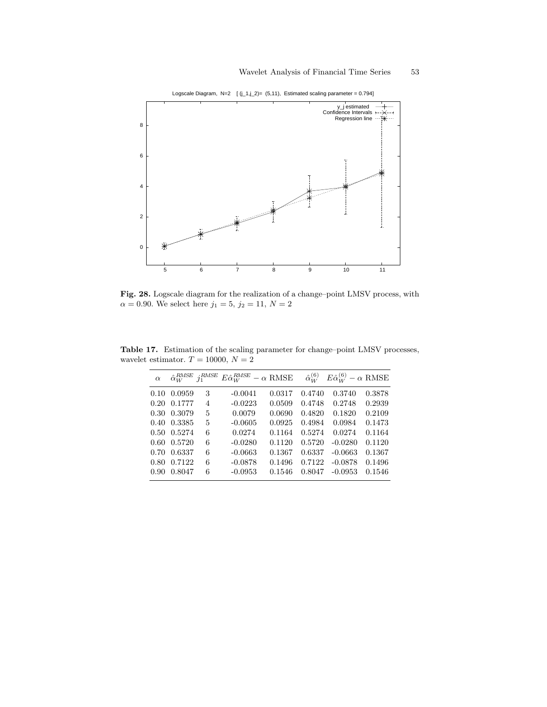

Logscale Diagram,  $N=2$   $[(j_1,j_2)=(5,11),$  Estimated scaling parameter = 0.794]

Fig. 28. Logscale diagram for the realization of a change–point LMSV process, with  $\alpha = 0.90$ . We select here  $j_1 = 5$ ,  $j_2 = 11$ ,  $N = 2$ 

| $\alpha$       | $\hat{\alpha}_W^{RMSE}$ | $i_1^{RMSE}$ | $E\hat{\alpha}_W^{RMSE}-\alpha\,\,{\rm RMSE}$ |        | $\hat{\alpha}_{W}^{(6)}$ | $E\hat{\alpha}_{W}^{(6)} - \alpha$ RMSE |        |
|----------------|-------------------------|--------------|-----------------------------------------------|--------|--------------------------|-----------------------------------------|--------|
| 0.10           | 0.0959                  | 3            | $-0.0041$                                     | 0.0317 | 0.4740                   | 0.3740                                  | 0.3878 |
| 0.20           | 0.1777                  | 4            | $-0.0223$                                     | 0.0509 | 0.4748                   | 0.2748                                  | 0.2939 |
| $0.30^{\circ}$ | 0.3079                  | 5            | 0.0079                                        | 0.0690 | 0.4820                   | 0.1820                                  | 0.2109 |
| 0.40           | 0.3385                  | 5            | $-0.0605$                                     | 0.0925 | 0.4984                   | 0.0984                                  | 0.1473 |
|                | 0.50 0.5274             | 6            | 0.0274                                        | 0.1164 | 0.5274                   | 0.0274                                  | 0.1164 |
| $0.60^{\circ}$ | 0.5720                  | 6            | $-0.0280$                                     | 0.1120 | 0.5720                   | $-0.0280$                               | 0.1120 |
| 0.70           | 0.6337                  | 6            | $-0.0663$                                     | 0.1367 | 0.6337                   | $-0.0663$                               | 0.1367 |
| 0.80           | 0.7122                  | 6            | $-0.0878$                                     | 0.1496 | 0.7122                   | $-0.0878$                               | 0.1496 |
| 0.90           | 0.8047                  | 6            | $-0.0953$                                     | 0.1546 | 0.8047                   | $-0.0953$                               | 0.1546 |

Table 17. Estimation of the scaling parameter for change–point LMSV processes, wavelet estimator.  $T = 10000, N = 2$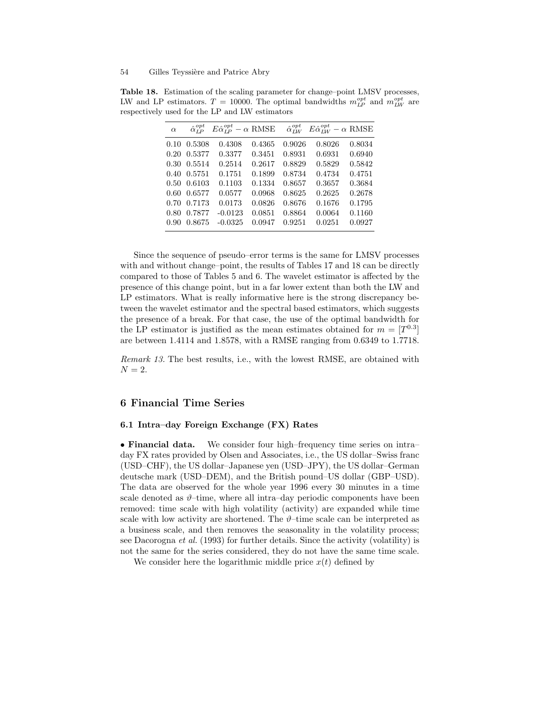|                                                |  | <b>Table 18.</b> Estimation of the scaling parameter for change-point LMSV processes,              |  |  |
|------------------------------------------------|--|----------------------------------------------------------------------------------------------------|--|--|
|                                                |  | LW and LP estimators. $T = 10000$ . The optimal bandwidths $m_{I_P}^{opt}$ and $m_{I_W}^{opt}$ are |  |  |
| respectively used for the LP and LW estimators |  |                                                                                                    |  |  |

| $\alpha$       | $\hat{\alpha}_{\tau p}^{opt}$ | $E\hat{\alpha}_{IP}^{opt} - \alpha$ RMSE |        | $\hat{\alpha}_{IW}^{opt}$ | $E\hat{\alpha}_{IW}^{opt} - \alpha$ RMSE |        |
|----------------|-------------------------------|------------------------------------------|--------|---------------------------|------------------------------------------|--------|
|                | $0.10 \quad 0.5308$           | 0.4308                                   | 0.4365 | 0.9026                    | 0.8026                                   | 0.8034 |
|                | 0.20 0.5377                   | 0.3377                                   | 0.3451 | 0.8931                    | 0.6931                                   | 0.6940 |
|                | 0.30 0.5514                   | 0.2514                                   | 0.2617 | 0.8829                    | 0.5829                                   | 0.5842 |
|                | 0.40 0.5751                   | 0.1751                                   | 0.1899 | 0.8734                    | 0.4734                                   | 0.4751 |
|                | 0.50 0.6103                   | 0.1103                                   | 0.1334 | 0.8657                    | 0.3657                                   | 0.3684 |
|                | 0.60 0.6577                   | 0.0577                                   | 0.0968 | 0.8625                    | 0.2625                                   | 0.2678 |
|                | 0.70 0.7173                   | 0.0173                                   | 0.0826 | 0.8676                    | 0.1676                                   | 0.1795 |
| 0.80           | 0.7877                        | $-0.0123$                                | 0.0851 | 0.8864                    | 0.0064                                   | 0.1160 |
| $0.90^{\circ}$ | 0.8675                        | $-0.0325$                                | 0.0947 | 0.9251                    | 0.0251                                   | 0.0927 |

Since the sequence of pseudo–error terms is the same for LMSV processes with and without change–point, the results of Tables 17 and 18 can be directly compared to those of Tables 5 and 6. The wavelet estimator is affected by the presence of this change point, but in a far lower extent than both the LW and LP estimators. What is really informative here is the strong discrepancy between the wavelet estimator and the spectral based estimators, which suggests the presence of a break. For that case, the use of the optimal bandwidth for the LP estimator is justified as the mean estimates obtained for  $m = [T^{0.3}]$ are between 1.4114 and 1.8578, with a RMSE ranging from 0.6349 to 1.7718.

Remark 13. The best results, i.e., with the lowest RMSE, are obtained with  $N = 2$ .

## 6 Financial Time Series

#### 6.1 Intra–day Foreign Exchange (FX) Rates

• **Financial data.** We consider four high–frequency time series on intra– day FX rates provided by Olsen and Associates, i.e., the US dollar–Swiss franc (USD–CHF), the US dollar–Japanese yen (USD–JPY), the US dollar–German deutsche mark (USD–DEM), and the British pound–US dollar (GBP–USD). The data are observed for the whole year 1996 every 30 minutes in a time scale denoted as  $\vartheta$ -time, where all intra-day periodic components have been removed: time scale with high volatility (activity) are expanded while time scale with low activity are shortened. The  $\vartheta$ –time scale can be interpreted as a business scale, and then removes the seasonality in the volatility process; see Dacorogna et al. (1993) for further details. Since the activity (volatility) is not the same for the series considered, they do not have the same time scale.

We consider here the logarithmic middle price  $x(t)$  defined by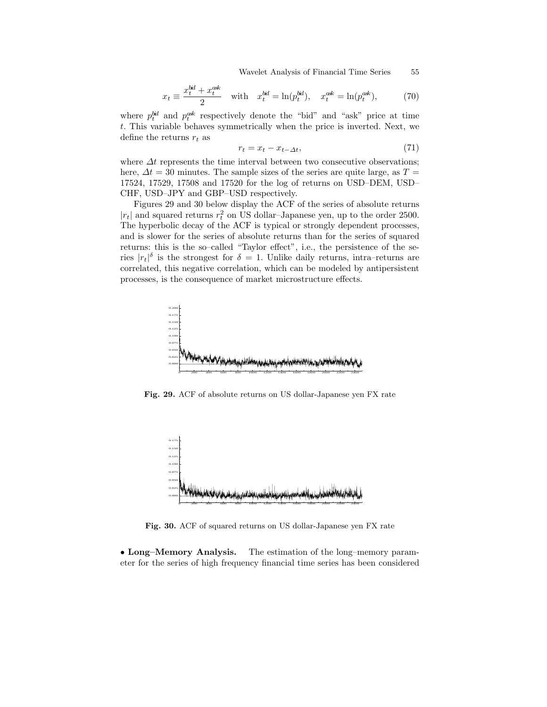Wavelet Analysis of Financial Time Series 55

$$
x_t \equiv \frac{x_t^{bd} + x_t^{ask}}{2} \quad \text{with} \quad x_t^{bid} = \ln(p_t^{bid}), \quad x_t^{ask} = \ln(p_t^{ask}), \tag{70}
$$

where  $p_t^{bid}$  and  $p_t^{ask}$  respectively denote the "bid" and "ask" price at time t. This variable behaves symmetrically when the price is inverted. Next, we define the returns  $r_t$  as

$$
r_t = x_t - x_{t-\Delta t},\tag{71}
$$

where  $\Delta t$  represents the time interval between two consecutive observations; here,  $\Delta t = 30$  minutes. The sample sizes of the series are quite large, as  $T =$ 17524, 17529, 17508 and 17520 for the log of returns on USD–DEM, USD– CHF, USD–JPY and GBP–USD respectively.

Figures 29 and 30 below display the ACF of the series of absolute returns  $|r_t|$  and squared returns  $r_t^2$  on US dollar–Japanese yen, up to the order 2500. The hyperbolic decay of the ACF is typical or strongly dependent processes, and is slower for the series of absolute returns than for the series of squared returns: this is the so–called "Taylor effect", i.e., the persistence of the series  $|r_t|^{\delta}$  is the strongest for  $\delta = 1$ . Unlike daily returns, intra-returns are correlated, this negative correlation, which can be modeled by antipersistent processes, is the consequence of market microstructure effects.



Fig. 29. ACF of absolute returns on US dollar-Japanese yen FX rate



Fig. 30. ACF of squared returns on US dollar-Japanese yen FX rate

• Long–Memory Analysis. The estimation of the long–memory parameter for the series of high frequency financial time series has been considered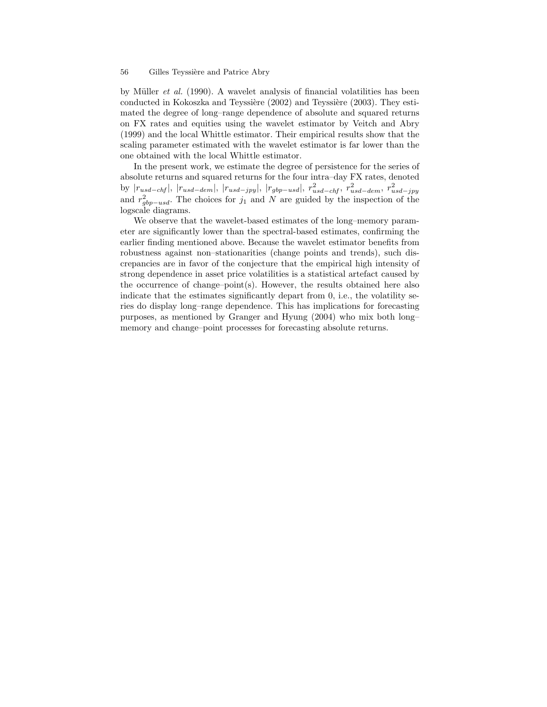by Müller *et al.* (1990). A wavelet analysis of financial volatilities has been conducted in Kokoszka and Teyssière (2002) and Teyssière (2003). They estimated the degree of long–range dependence of absolute and squared returns on FX rates and equities using the wavelet estimator by Veitch and Abry (1999) and the local Whittle estimator. Their empirical results show that the scaling parameter estimated with the wavelet estimator is far lower than the one obtained with the local Whittle estimator.

In the present work, we estimate the degree of persistence for the series of absolute returns and squared returns for the four intra–day FX rates, denoted by  $|r_{usd-chf}|, |r_{usd-dem}|, |r_{usd-jpy}|, |r_{gbp-usd}|, r_{usd-chf}^2, r_{usd-dem}^2, r_{usd-jpy}^2$ and  $r_{gbp-usd}^2$ . The choices for  $j_1$  and N are guided by the inspection of the logscale diagrams.

We observe that the wavelet-based estimates of the long–memory parameter are significantly lower than the spectral-based estimates, confirming the earlier finding mentioned above. Because the wavelet estimator benefits from robustness against non–stationarities (change points and trends), such discrepancies are in favor of the conjecture that the empirical high intensity of strong dependence in asset price volatilities is a statistical artefact caused by the occurrence of change–point(s). However, the results obtained here also indicate that the estimates significantly depart from 0, i.e., the volatility series do display long–range dependence. This has implications for forecasting purposes, as mentioned by Granger and Hyung (2004) who mix both long– memory and change–point processes for forecasting absolute returns.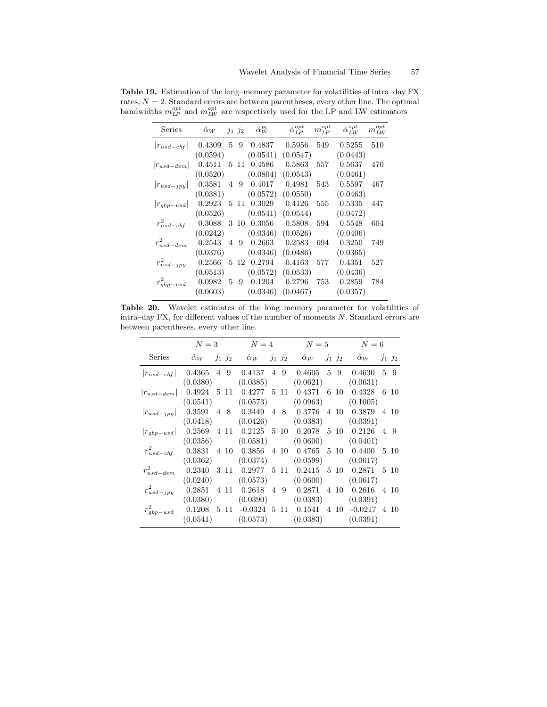| Series          |          |  | $\hat{\alpha}_W$ $j_1$ $j_2$ $\hat{\alpha}_W^m$ | $\hat{\alpha}_{LP}^{opt}$ $m_{LP}^{opt}$ |     | $\hat{\alpha}_{L\!W}^{opt}$ | $m_{LW}^{opt}$ |
|-----------------|----------|--|-------------------------------------------------|------------------------------------------|-----|-----------------------------|----------------|
| $ r_{usd-chf} $ |          |  | 0.4309 5 9 0.4837 0.5956 549                    |                                          |     | 0.5255 510                  |                |
|                 | (0.0594) |  | $(0.0541)$ $(0.0547)$                           |                                          |     | (0.0443)                    |                |
| $ r_{usd-dem} $ |          |  | 0.4511 5 11 0.4586 0.5863                       |                                          | 557 | 0.5637                      | 470            |
|                 | (0.0520) |  | $(0.0804)$ $(0.0543)$                           |                                          |     | (0.0461)                    |                |
| $ r_{usd-jpy} $ | 0.3581   |  | 4 9 0.4017                                      | 0.4981                                   | 543 | 0.5597                      | 467            |
|                 | (0.0381) |  | $(0.0572)$ $(0.0550)$                           |                                          |     | (0.0463)                    |                |
| $ r_{gbp-usd} $ |          |  | $0.2923 \quad 5 \quad 11 \quad 0.3029$          | 0.4126                                   | 555 | 0.5335                      | -447           |
|                 | (0.0526) |  | $(0.0541)$ $(0.0544)$                           |                                          |     | (0.0472)                    |                |
| $r_{usd-chf}^2$ | 0.3088   |  | 3 10 0.3056 0.5808                              |                                          | 594 | 0.5548                      | 604            |
|                 | (0.0242) |  | $(0.0346)$ $(0.0526)$                           |                                          |     | (0.0406)                    |                |
| $r_{usd-dem}^2$ | 0.2543   |  | 4 9 0.2663                                      | 0.2583                                   | 694 | 0.3250                      | 749            |
|                 | (0.0376) |  | $(0.0346)$ $(0.0486)$                           |                                          |     | (0.0365)                    |                |
| $r^2_{usd-jpy}$ | 0.2566   |  | 5 12 0.2794                                     | 0.4163                                   | 577 | 0.4351                      | 527            |
|                 | (0.0513) |  | $(0.0572)$ $(0.0533)$                           |                                          |     | (0.0436)                    |                |
| $r_{gbp-usd}^2$ |          |  | $0.0982 \quad 5 \quad 9 \quad 0.1204$           | 0.2796                                   | 753 | 0.2859                      | 784            |
|                 |          |  | $(0.0603)$ $(0.0346)$ $(0.0467)$                |                                          |     | (0.0357)                    |                |

Table 19. Estimation of the long–memory parameter for volatilities of intra–day FX rates,  $N = 2$ . Standard errors are between parentheses, every other line. The optimal bandwidths  $m_{LP}^{opt}$  and  $m_{LW}^{opt}$  are respectively used for the LP and LW estimators

Table 20. Wavelet estimates of the long–memory parameter for volatilities of intra–day FX, for different values of the number of moments  $N$ . Standard errors are between parentheses, every other line.

|                 |  |  | $N=3$ $N=4$ $N=5$ $N=6$                     |                                                                                                                                |
|-----------------|--|--|---------------------------------------------|--------------------------------------------------------------------------------------------------------------------------------|
| Series          |  |  |                                             | $\hat{\alpha}_W$ ji j2 $\hat{\alpha}_W$ ji j2 $\hat{\alpha}_W$ ji j2 $\hat{\alpha}_W$ ji j2                                    |
|                 |  |  |                                             | $\begin{array}{ccccccccccccccccc} r_{usd-chf} & 0.4365 & 4 & 9 & 0.4137 & 4 & 9 & 0.4605 & 5 & 9 & 0.4630 & 5 & 9 \end{array}$ |
|                 |  |  | $(0.0380)$ $(0.0385)$ $(0.0621)$            | (0.0631)                                                                                                                       |
|                 |  |  |                                             | $ r_{usd-dem} $ 0.4924 5 11 0.4277 5 11 0.4371 6 10 0.4328 6 10                                                                |
|                 |  |  | $(0.0541)$ $(0.0573)$ $(0.0963)$ $(0.1005)$ |                                                                                                                                |
|                 |  |  |                                             | $ r_{usd-jpy} $ 0.3591 4 8 0.3449 4 8 0.3776 4 10 0.3879 4 10                                                                  |
|                 |  |  | $(0.0418)$ $(0.0426)$ $(0.0383)$ $(0.0391)$ |                                                                                                                                |
|                 |  |  |                                             | $ r_{gbp-usd} $ 0.2569 4 11 0.2125 5 10 0.2078 5 10 0.2126 4 9                                                                 |
|                 |  |  | $(0.0356)$ $(0.0581)$ $(0.0600)$ $(0.0401)$ |                                                                                                                                |
| $r^2_{usd-chf}$ |  |  |                                             | $0.3831$ 4 10 $0.3856$ 4 10 $0.4765$ 5 10 $0.4400$ 5 10                                                                        |
|                 |  |  | $(0.0362)$ $(0.0374)$ $(0.0599)$ $(0.0617)$ |                                                                                                                                |
| $r_{usd-dem}^2$ |  |  |                                             | $0.2340$ 3 11 $0.2977$ 5 11 $0.2415$ 5 10 $0.2871$ 5 10                                                                        |
|                 |  |  | $(0.0240)$ $(0.0573)$ $(0.0600)$            | (0.0617)                                                                                                                       |
| $r_{usd-jpy}^2$ |  |  |                                             | $0.2851$ 4 11 $0.2618$ 4 9 $0.2871$ 4 10 $0.2616$ 4 10                                                                         |
|                 |  |  | $(0.0380)$ $(0.0390)$ $(0.0383)$ $(0.0391)$ |                                                                                                                                |
|                 |  |  |                                             | $r_{qbp-usd}^2$ 0.1208 5 11 -0.0324 5 11 0.1541 4 10 -0.0217 4 10                                                              |
|                 |  |  | $(0.0541)$ $(0.0573)$ $(0.0383)$ $(0.0391)$ |                                                                                                                                |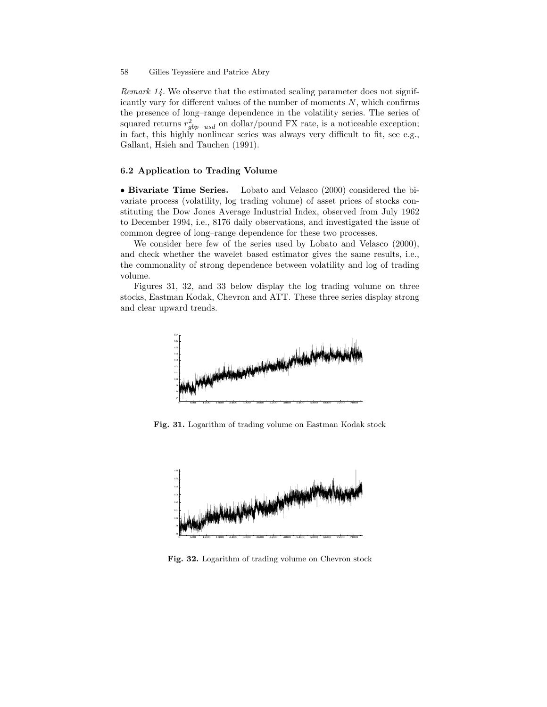Remark 14. We observe that the estimated scaling parameter does not significantly vary for different values of the number of moments  $N$ , which confirms the presence of long–range dependence in the volatility series. The series of squared returns  $r_{gbp-usd}^2$  on dollar/pound FX rate, is a noticeable exception; in fact, this highly nonlinear series was always very difficult to fit, see e.g., Gallant, Hsieh and Tauchen (1991).

## 6.2 Application to Trading Volume

• Bivariate Time Series. Lobato and Velasco (2000) considered the bivariate process (volatility, log trading volume) of asset prices of stocks constituting the Dow Jones Average Industrial Index, observed from July 1962 to December 1994, i.e., 8176 daily observations, and investigated the issue of common degree of long–range dependence for these two processes.

We consider here few of the series used by Lobato and Velasco (2000), and check whether the wavelet based estimator gives the same results, i.e., the commonality of strong dependence between volatility and log of trading volume.

Figures 31, 32, and 33 below display the log trading volume on three stocks, Eastman Kodak, Chevron and ATT. These three series display strong and clear upward trends.



Fig. 31. Logarithm of trading volume on Eastman Kodak stock



Fig. 32. Logarithm of trading volume on Chevron stock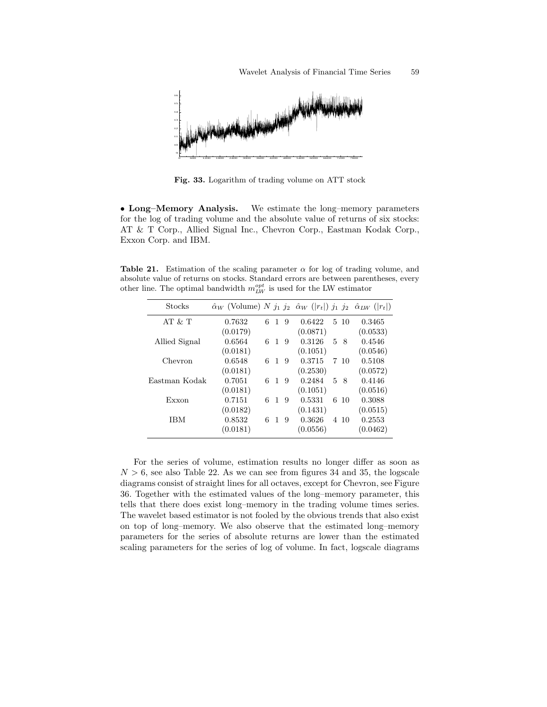

Fig. 33. Logarithm of trading volume on ATT stock

• Long–Memory Analysis. We estimate the long–memory parameters for the log of trading volume and the absolute value of returns of six stocks: AT & T Corp., Allied Signal Inc., Chevron Corp., Eastman Kodak Corp., Exxon Corp. and IBM.

Table 21. Estimation of the scaling parameter  $\alpha$  for log of trading volume, and absolute value of returns on stocks. Standard errors are between parentheses, every other line. The optimal bandwidth  $m_{LW}^{opt}$  is used for the LW estimator

| <b>Stocks</b> | $\hat{\alpha}_W$ (Volume) N $j_1$ $j_2$ $\hat{\alpha}_W$ ( r <sub>t</sub>  ) $j_1$ $j_2$ $\hat{\alpha}_{LW}$ ( r <sub>t</sub>  ) |   |    |   |          |   |      |          |
|---------------|----------------------------------------------------------------------------------------------------------------------------------|---|----|---|----------|---|------|----------|
| AT $&$ T      | 0.7632                                                                                                                           | 6 | 1  | 9 | 0.6422   |   | 5 10 | 0.3465   |
|               | (0.0179)                                                                                                                         |   |    |   | (0.0871) |   |      | (0.0533) |
| Allied Signal | 0.6564                                                                                                                           | 6 | 1. | 9 | 0.3126   |   | 58   | 0.4546   |
|               | (0.0181)                                                                                                                         |   |    |   | (0.1051) |   |      | (0.0546) |
| Chevron       | 0.6548                                                                                                                           | 6 | 1  | 9 | 0.3715   |   | 7 10 | 0.5108   |
|               | (0.0181)                                                                                                                         |   |    |   | (0.2530) |   |      | (0.0572) |
| Eastman Kodak | 0.7051                                                                                                                           | 6 | 1  | 9 | 0.2484   | 5 | - 8  | 0.4146   |
|               | (0.0181)                                                                                                                         |   |    |   | (0.1051) |   |      | (0.0516) |
| Exxon         | 0.7151                                                                                                                           | 6 | 1  | 9 | 0.5331   |   | 6 10 | 0.3088   |
|               | (0.0182)                                                                                                                         |   |    |   | (0.1431) |   |      | (0.0515) |
| IBM           | 0.8532                                                                                                                           | 6 | 1  | 9 | 0.3626   |   | 4 10 | 0.2553   |
|               | (0.0181)                                                                                                                         |   |    |   | (0.0556) |   |      | (0.0462) |
|               |                                                                                                                                  |   |    |   |          |   |      |          |

For the series of volume, estimation results no longer differ as soon as  $N > 6$ , see also Table 22. As we can see from figures 34 and 35, the logscale diagrams consist of straight lines for all octaves, except for Chevron, see Figure 36. Together with the estimated values of the long–memory parameter, this tells that there does exist long–memory in the trading volume times series. The wavelet based estimator is not fooled by the obvious trends that also exist on top of long–memory. We also observe that the estimated long–memory parameters for the series of absolute returns are lower than the estimated scaling parameters for the series of log of volume. In fact, logscale diagrams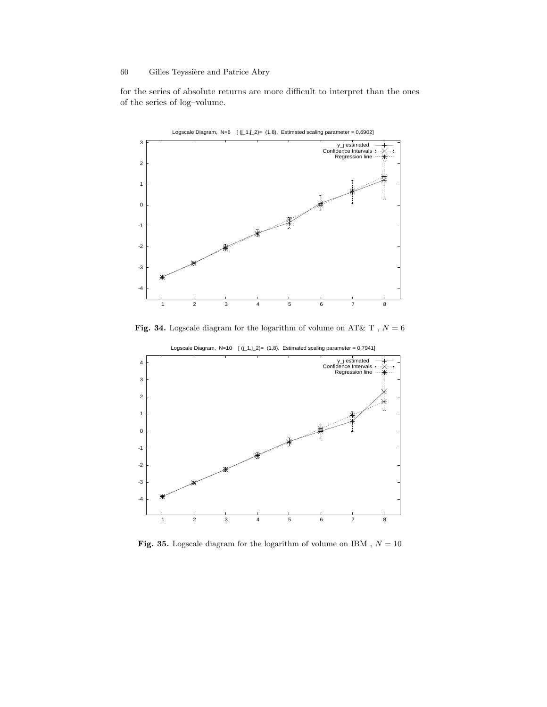for the series of absolute returns are more difficult to interpret than the ones of the series of log–volume.



Fig. 34. Logscale diagram for the logarithm of volume on AT& T ,  ${\cal N}=6$ 



Fig. 35. Logscale diagram for the logarithm of volume on IBM ,  ${\cal N}=10$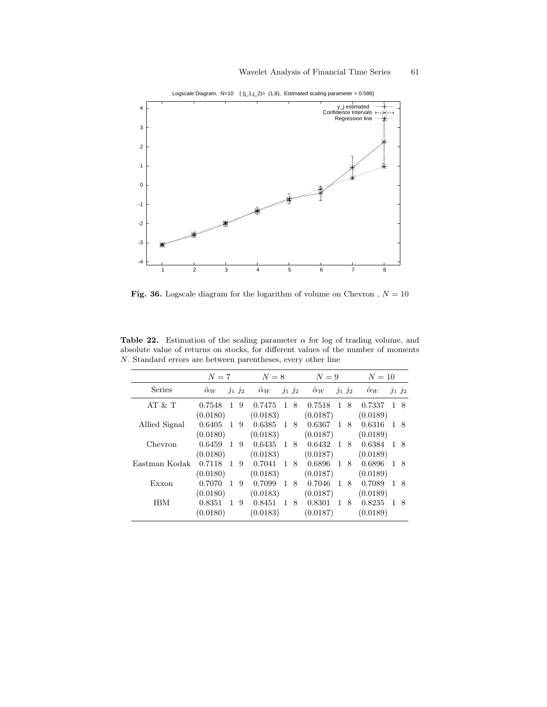

Logscale Diagram,  $N=10$  [  $(j_1, j_2) = (1, 8)$ , Estimated scaling parameter = 0.586]

Fig. 36. Logscale diagram for the logarithm of volume on Chevron ,  $N = 10$ 

Table 22. Estimation of the scaling parameter  $\alpha$  for log of trading volume, and absolute value of returns on stocks, for different values of the number of moments N. Standard errors are between parentheses, every other line

|               |                  | $N=7$        |   |            | $N=8$        |            |                  | $N=9$        |             |            | $N=10$         |    |
|---------------|------------------|--------------|---|------------|--------------|------------|------------------|--------------|-------------|------------|----------------|----|
| Series        | $\hat{\alpha}_W$ | $j_1 j_2$    |   | $\alpha_W$ |              | $j_1\,j_2$ | $\hat{\alpha}_W$ |              | $j_1$ $j_2$ | $\alpha_W$ | $j_1 j_2$      |    |
| AT $&$ T      | 0.7548           | 1            | 9 | 0.7475     | -1           | -8         | 0.7518           | 1            | 8           | 0.7337     | 1 8            |    |
|               | (0.0180)         |              |   | (0.0183)   |              |            | (0.0187)         |              |             | (0.0189)   |                |    |
| Allied Signal | 0.6405           | $\mathbf{1}$ | 9 | 0.6385     | $\mathbf{1}$ | 8          | 0.6367           | 1            | -8          | 0.6316     | 18             |    |
|               | (0.0180)         |              |   | (0.0183)   |              |            | (0.0187)         |              |             | (0.0189)   |                |    |
| Chevron       | 0.6459           | $\mathbf{1}$ | 9 | 0.6435     | $\mathbf{1}$ | -8         | 0.6432           | $\mathbf{1}$ | -8          | 0.6384     | 1 8            |    |
|               | (0.0180)         |              |   | (0.0183)   |              |            | (0.0187)         |              |             | (0.0189)   |                |    |
| Eastman Kodak | 0.7118           | $\mathbf{1}$ | 9 | 0.7041     | $\mathbf{1}$ | -8         | 0.6896           | 1            | -8          | 0.6896     | 1 8            |    |
|               | (0.0180)         |              |   | (0.0183)   |              |            | (0.0187)         |              |             | (0.0189)   |                |    |
| Exxon         | 0.7070           | 1            | 9 | 0.7099     | $\mathbf{1}$ | 8          | 0.7046           | 1            | 8           | 0.7089     | $\overline{1}$ | -8 |
|               | (0.0180)         |              |   | (0.0183)   |              |            | (0.0187)         |              |             | (0.0189)   |                |    |
| IBM           | 0.8351           | 1            | 9 | 0.8451     | 1            | 8          | 0.8301           | 1            | 8           | 0.8235     | 1              | -8 |
|               | (0.0180)         |              |   | (0.0183)   |              |            | (0.0187)         |              |             | (0.0189)   |                |    |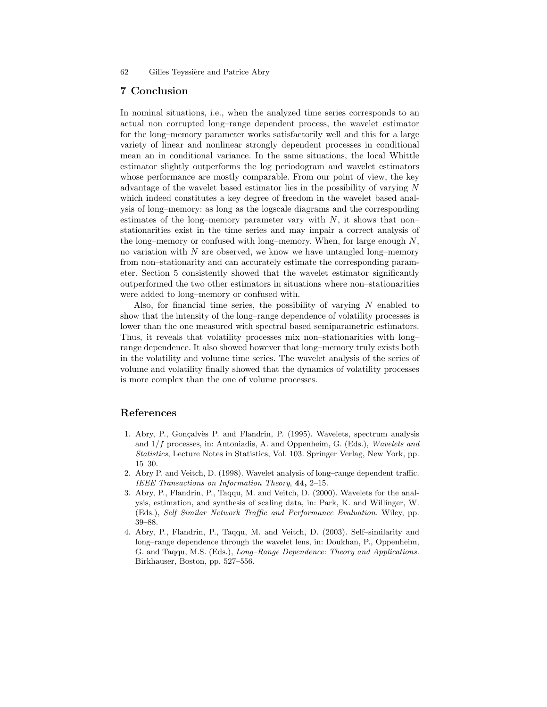## 7 Conclusion

In nominal situations, i.e., when the analyzed time series corresponds to an actual non corrupted long–range dependent process, the wavelet estimator for the long–memory parameter works satisfactorily well and this for a large variety of linear and nonlinear strongly dependent processes in conditional mean an in conditional variance. In the same situations, the local Whittle estimator slightly outperforms the log periodogram and wavelet estimators whose performance are mostly comparable. From our point of view, the key advantage of the wavelet based estimator lies in the possibility of varying N which indeed constitutes a key degree of freedom in the wavelet based analysis of long–memory: as long as the logscale diagrams and the corresponding estimates of the long–memory parameter vary with  $N$ , it shows that non– stationarities exist in the time series and may impair a correct analysis of the long–memory or confused with long–memory. When, for large enough  $N$ , no variation with  $N$  are observed, we know we have untangled long–memory from non–stationarity and can accurately estimate the corresponding parameter. Section 5 consistently showed that the wavelet estimator significantly outperformed the two other estimators in situations where non–stationarities were added to long–memory or confused with.

Also, for financial time series, the possibility of varying  $N$  enabled to show that the intensity of the long–range dependence of volatility processes is lower than the one measured with spectral based semiparametric estimators. Thus, it reveals that volatility processes mix non–stationarities with long– range dependence. It also showed however that long–memory truly exists both in the volatility and volume time series. The wavelet analysis of the series of volume and volatility finally showed that the dynamics of volatility processes is more complex than the one of volume processes.

## References

- 1. Abry, P., Gonçalvès P. and Flandrin, P. (1995). Wavelets, spectrum analysis and 1/f processes, in: Antoniadis, A. and Oppenheim, G. (Eds.), *Wavelets and Statistics*, Lecture Notes in Statistics, Vol. 103. Springer Verlag, New York, pp. 15–30.
- 2. Abry P. and Veitch, D. (1998). Wavelet analysis of long–range dependent traffic. *IEEE Transactions on Information Theory*, 44, 2–15.
- 3. Abry, P., Flandrin, P., Taqqu, M. and Veitch, D. (2000). Wavelets for the analysis, estimation, and synthesis of scaling data, in: Park, K. and Willinger, W. (Eds.), *Self Similar Network Traffic and Performance Evaluation.* Wiley, pp. 39–88.
- 4. Abry, P., Flandrin, P., Taqqu, M. and Veitch, D. (2003). Self–similarity and long–range dependence through the wavelet lens, in: Doukhan, P., Oppenheim, G. and Taqqu, M.S. (Eds.), *Long–Range Dependence: Theory and Applications.* Birkhauser, Boston, pp. 527–556.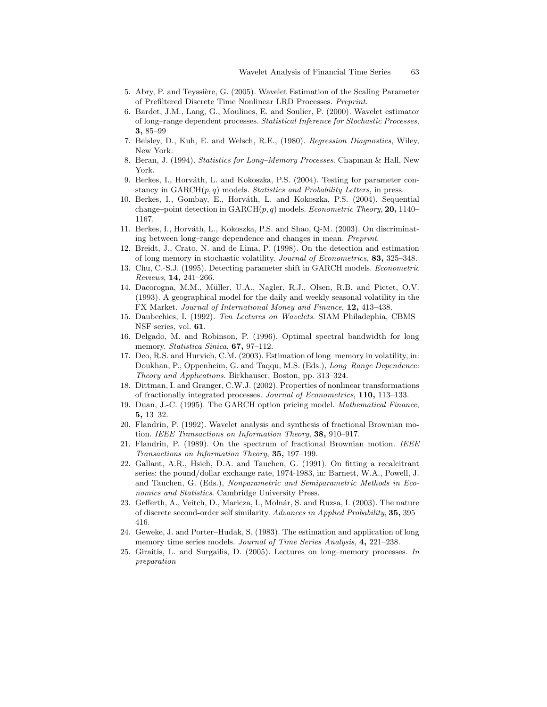- 5. Abry, P. and Teyssière, G. (2005). Wavelet Estimation of the Scaling Parameter of Prefiltered Discrete Time Nonlinear LRD Processes. *Preprint.*
- 6. Bardet, J.M., Lang, G., Moulines, E. and Soulier, P. (2000). Wavelet estimator of long–range dependent processes. *Statistical Inference for Stochastic Processes*, 3, 85–99
- 7. Belsley, D., Kuh, E. and Welsch, R.E., (1980). *Regression Diagnostics*, Wiley, New York.
- 8. Beran, J. (1994). *Statistics for Long–Memory Processes*. Chapman & Hall, New York.
- 9. Berkes, I., Horváth, L. and Kokoszka, P.S. (2004). Testing for parameter constancy in  $GARCH(p, q)$  models. *Statistics and Probability Letters*, in press.
- 10. Berkes, I., Gombay, E., Horváth, L. and Kokoszka, P.S. (2004). Sequential change–point detection in GARCH(p, q) models. *Econometric Theory*, 20, 1140– 1167.
- 11. Berkes, I., Horváth, L., Kokoszka, P.S. and Shao, Q-M. (2003). On discriminating between long–range dependence and changes in mean. *Preprint*.
- 12. Breidt, J., Crato, N. and de Lima, P. (1998). On the detection and estimation of long memory in stochastic volatility. *Journal of Econometrics*, 83, 325–348.
- 13. Chu, C.-S.J. (1995). Detecting parameter shift in GARCH models. *Econometric Reviews*, 14, 241–266.
- 14. Dacorogna, M.M., Müller, U.A., Nagler, R.J., Olsen, R.B. and Pictet, O.V. (1993). A geographical model for the daily and weekly seasonal volatility in the FX Market. *Journal of International Money and Finance*, 12, 413–438.
- 15. Daubechies, I. (1992). *Ten Lectures on Wavelets*. SIAM Philadephia, CBMS– NSF series, vol. 61.
- 16. Delgado, M. and Robinson, P. (1996). Optimal spectral bandwidth for long memory. *Statistica Sinica*, 67, 97–112.
- 17. Deo, R.S. and Hurvich, C.M. (2003). Estimation of long–memory in volatility, in: Doukhan, P., Oppenheim, G. and Taqqu, M.S. (Eds.), *Long–Range Dependence: Theory and Applications.* Birkhauser, Boston, pp. 313–324.
- 18. Dittman, I. and Granger, C.W.J. (2002). Properties of nonlinear transformations of fractionally integrated processes. *Journal of Econometrics*, 110, 113–133.
- 19. Duan, J.-C. (1995). The GARCH option pricing model. *Mathematical Finance*, 5, 13–32.
- 20. Flandrin, P. (1992). Wavelet analysis and synthesis of fractional Brownian motion. *IEEE Transactions on Information Theory*, 38, 910–917.
- 21. Flandrin, P. (1989). On the spectrum of fractional Brownian motion. *IEEE Transactions on Information Theory*, 35, 197–199.
- 22. Gallant, A.R., Hsieh, D.A. and Tauchen, G. (1991). On fitting a recalcitrant series: the pound/dollar exchange rate, 1974-1983, in: Barnett, W.A., Powell, J. and Tauchen, G. (Eds.), *Nonparametric and Semiparametric Methods in Economics and Statistics*. Cambridge University Press.
- 23. Gefferth, A., Veitch, D., Maricza, I., Molnár, S. and Ruzsa, I. (2003). The nature of discrete second-order self similarity. *Advances in Applied Probability*, 35, 395– 416.
- 24. Geweke, J. and Porter–Hudak, S. (1983). The estimation and application of long memory time series models. *Journal of Time Series Analysis*, 4, 221–238.
- 25. Giraitis, L. and Surgailis, D. (2005). Lectures on long–memory processes. *In preparation*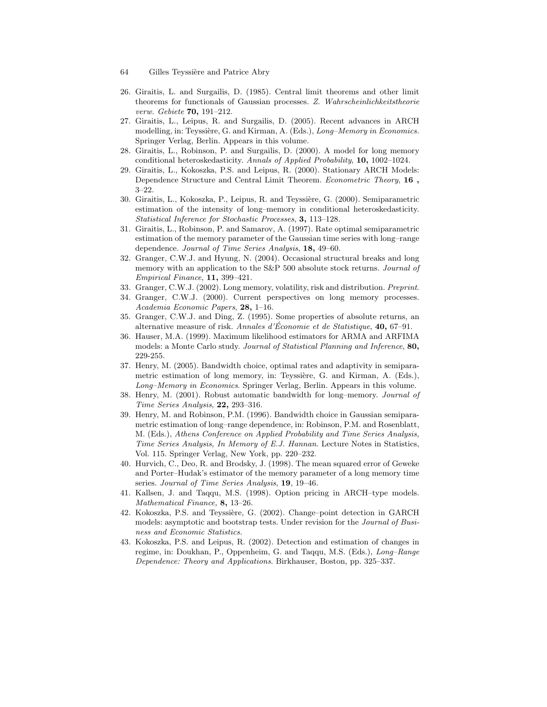- 64 Gilles Teyssière and Patrice Abry
- 26. Giraitis, L. and Surgailis, D. (1985). Central limit theorems and other limit theorems for functionals of Gaussian processes. *Z. Wahrscheinlichkeitstheorie verw. Gebiete* 70, 191–212.
- 27. Giraitis, L., Leipus, R. and Surgailis, D. (2005). Recent advances in ARCH modelling, in: Teyssière, G. and Kirman, A. (Eds.), *Long-Memory in Economics*. Springer Verlag, Berlin. Appears in this volume.
- 28. Giraitis, L., Robinson, P. and Surgailis, D. (2000). A model for long memory conditional heteroskedasticity. *Annals of Applied Probability*, 10, 1002–1024.
- 29. Giraitis, L., Kokoszka, P.S. and Leipus, R. (2000). Stationary ARCH Models: Dependence Structure and Central Limit Theorem. *Econometric Theory*, 16 , 3–22.
- 30. Giraitis, L., Kokoszka, P., Leipus, R. and Teyssière, G. (2000). Semiparametric estimation of the intensity of long–memory in conditional heteroskedasticity. *Statistical Inference for Stochastic Processes*, 3, 113–128.
- 31. Giraitis, L., Robinson, P. and Samarov, A. (1997). Rate optimal semiparametric estimation of the memory parameter of the Gaussian time series with long–range dependence. *Journal of Time Series Analysis*, 18, 49–60.
- 32. Granger, C.W.J. and Hyung, N. (2004). Occasional structural breaks and long memory with an application to the S&P 500 absolute stock returns. *Journal of Empirical Finance*, 11, 399–421.
- 33. Granger, C.W.J. (2002). Long memory, volatility, risk and distribution. *Preprint*.
- 34. Granger, C.W.J. (2000). Current perspectives on long memory processes. *Academia Economic Papers*, 28, 1–16.
- 35. Granger, C.W.J. and Ding, Z. (1995). Some properties of absolute returns, an alternative measure of risk. *Annales d'Economie et de Statistique*, **40**, 67–91.
- 36. Hauser, M.A. (1999). Maximum likelihood estimators for ARMA and ARFIMA models: a Monte Carlo study. *Journal of Statistical Planning and Inference*, 80, 229-255.
- 37. Henry, M. (2005). Bandwidth choice, optimal rates and adaptivity in semiparametric estimation of long memory, in: Teyssière, G. and Kirman, A. (Eds.), *Long–Memory in Economics*. Springer Verlag, Berlin. Appears in this volume.
- 38. Henry, M. (2001). Robust automatic bandwidth for long–memory. *Journal of Time Series Analysis*, 22, 293–316.
- 39. Henry, M. and Robinson, P.M. (1996). Bandwidth choice in Gaussian semiparametric estimation of long–range dependence, in: Robinson, P.M. and Rosenblatt, M. (Eds.), *Athens Conference on Applied Probability and Time Series Analysis, Time Series Analysis, In Memory of E.J. Hannan.* Lecture Notes in Statistics, Vol. 115. Springer Verlag, New York, pp. 220–232.
- 40. Hurvich, C., Deo, R. and Brodsky, J. (1998). The mean squared error of Geweke and Porter–Hudak's estimator of the memory parameter of a long memory time series. *Journal of Time Series Analysis*, 19, 19–46.
- 41. Kallsen, J. and Taqqu, M.S. (1998). Option pricing in ARCH–type models. *Mathematical Finance,* 8, 13–26.
- 42. Kokoszka, P.S. and Teyssière, G. (2002). Change–point detection in GARCH models: asymptotic and bootstrap tests. Under revision for the *Journal of Business and Economic Statistics.*
- 43. Kokoszka, P.S. and Leipus, R. (2002). Detection and estimation of changes in regime, in: Doukhan, P., Oppenheim, G. and Taqqu, M.S. (Eds.), *Long–Range Dependence: Theory and Applications*. Birkhauser, Boston, pp. 325–337.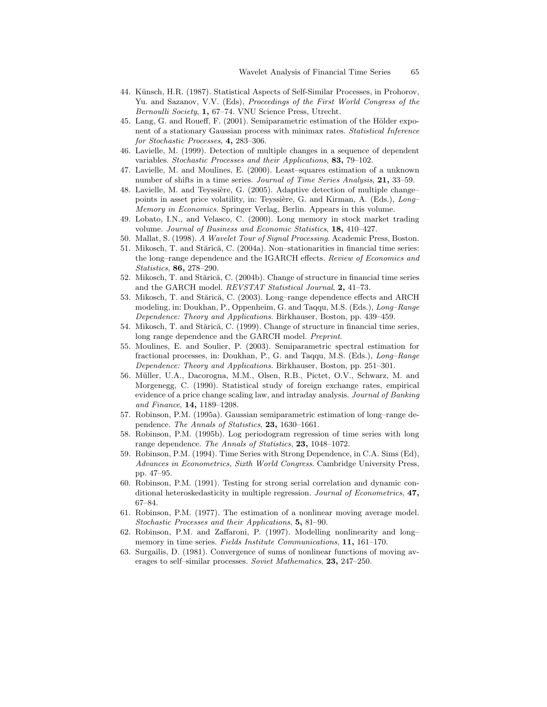- 44. Künsch, H.R. (1987). Statistical Aspects of Self-Similar Processes, in Prohorov, Yu. and Sazanov, V.V. (Eds), *Proceedings of the First World Congress of the Bernoulli Society*, 1, 67–74. VNU Science Press, Utrecht.
- 45. Lang, G. and Roueff, F. (2001). Semiparametric estimation of the Hölder exponent of a stationary Gaussian process with minimax rates. *Statistical Inference for Stochastic Processes*, 4, 283–306.
- 46. Lavielle, M. (1999). Detection of multiple changes in a sequence of dependent variables. *Stochastic Processes and their Applications*, 83, 79–102.
- 47. Lavielle, M. and Moulines, E. (2000). Least–squares estimation of a unknown number of shifts in a time series. *Journal of Time Series Analysis*, 21, 33–59.
- 48. Lavielle, M. and Teyssière, G. (2005). Adaptive detection of multiple change– points in asset price volatility, in: Teyssière, G. and Kirman, A. (Eds.), *Long*– *Memory in Economics.* Springer Verlag, Berlin. Appears in this volume.
- 49. Lobato, I.N., and Velasco, C. (2000). Long memory in stock market trading volume. *Journal of Business and Economic Statistics*, 18, 410–427.
- 50. Mallat, S. (1998). *A Wavelet Tour of Signal Processing*. Academic Press, Boston.
- 51. Mikosch, T. and Stărică, C. (2004a). Non-stationarities in financial time series: the long–range dependence and the IGARCH effects. *Review of Economics and Statistics*, 86, 278–290.
- 52. Mikosch, T. and Stărică, C. (2004b). Change of structure in financial time series and the GARCH model. *REVSTAT Statistical Journal*, 2, 41–73.
- 53. Mikosch, T. and Stărică, C. (2003). Long–range dependence effects and ARCH modeling, in: Doukhan, P., Oppenheim, G. and Taqqu, M.S. (Eds.), *Long–Range Dependence: Theory and Applications.* Birkhauser, Boston, pp. 439–459.
- 54. Mikosch, T. and Stărică, C. (1999). Change of structure in financial time series, long range dependence and the GARCH model. *Preprint*.
- 55. Moulines, E. and Soulier, P. (2003). Semiparametric spectral estimation for fractional processes, in: Doukhan, P., G. and Taqqu, M.S. (Eds.), *Long–Range Dependence: Theory and Applications.* Birkhauser, Boston, pp. 251–301.
- 56. Müller, U.A., Dacorogna, M.M., Olsen, R.B., Pictet, O.V., Schwarz, M. and Morgenegg, C. (1990). Statistical study of foreign exchange rates, empirical evidence of a price change scaling law, and intraday analysis. *Journal of Banking and Finance*, 14, 1189–1208.
- 57. Robinson, P.M. (1995a). Gaussian semiparametric estimation of long–range dependence. *The Annals of Statistics*, 23, 1630–1661.
- 58. Robinson, P.M. (1995b). Log periodogram regression of time series with long range dependence. *The Annals of Statistics*, 23, 1048–1072.
- 59. Robinson, P.M. (1994). Time Series with Strong Dependence, in C.A. Sims (Ed), *Advances in Econometrics, Sixth World Congress*. Cambridge University Press, pp. 47–95.
- 60. Robinson, P.M. (1991). Testing for strong serial correlation and dynamic conditional heteroskedasticity in multiple regression. *Journal of Econometrics*, 47, 67–84.
- 61. Robinson, P.M. (1977). The estimation of a nonlinear moving average model. *Stochastic Processes and their Applications*, 5, 81–90.
- 62. Robinson, P.M. and Zaffaroni, P. (1997). Modelling nonlinearity and long– memory in time series. *Fields Institute Communications*, 11, 161–170.
- 63. Surgailis, D. (1981). Convergence of sums of nonlinear functions of moving averages to self–similar processes. *Soviet Mathematics*, 23, 247–250.